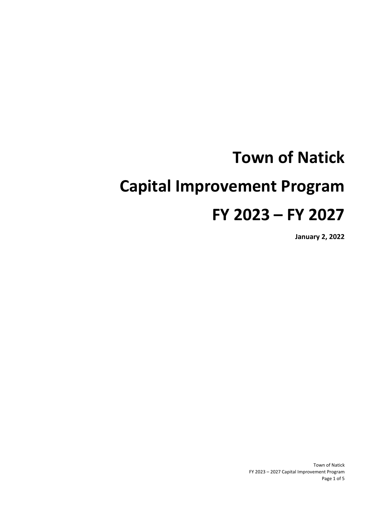# **Town of Natick Capital Improvement Program FY 2023 – FY 2027**

**January 2, 2022**

Town of Natick FY 2023 – 2027 Capital Improvement Program Page 1 of 5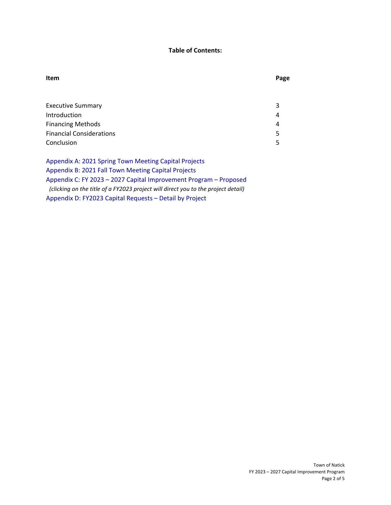#### **Table of Contents:**

## **Item**

| ۰.<br>×<br>. .<br>۰,<br>× |
|---------------------------|
|---------------------------|

| <b>Executive Summary</b>        | 3  |
|---------------------------------|----|
| Introduction                    | 4  |
| <b>Financing Methods</b>        | 4  |
| <b>Financial Considerations</b> | 5. |
| Conclusion                      | 5. |
|                                 |    |

Appendix A: 2021 Spring Town Meeting [Capital Projects](#page-5-0) Appendix B: 2021 [Fall Town Meeting Capital](#page-7-0) Projects Appendix C: FY 2023 – 2027 [Capital Improvement Program – Proposed](#page-9-0) *(clicking on the title of a FY2023 project will direct you to the project detail)* Appendix D: FY2023 [Capital Requests – Detail](#page-19-0) by Project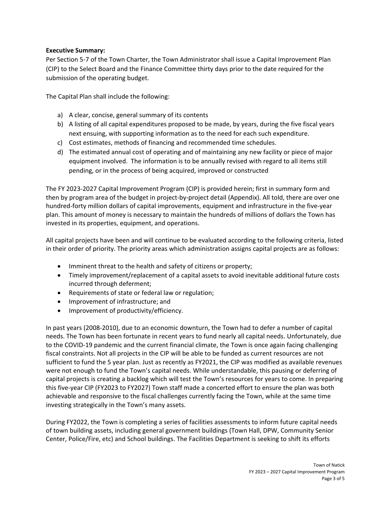#### **Executive Summary:**

Per Section 5-7 of the Town Charter, the Town Administrator shall issue a Capital Improvement Plan (CIP) to the Select Board and the Finance Committee thirty days prior to the date required for the submission of the operating budget.

The Capital Plan shall include the following:

- a) A clear, concise, general summary of its contents
- b) A listing of all capital expenditures proposed to be made, by years, during the five fiscal years next ensuing, with supporting information as to the need for each such expenditure.
- c) Cost estimates, methods of financing and recommended time schedules.
- d) The estimated annual cost of operating and of maintaining any new facility or piece of major equipment involved. The information is to be annually revised with regard to all items still pending, or in the process of being acquired, improved or constructed

The FY 2023-2027 Capital Improvement Program (CIP) is provided herein; first in summary form and then by program area of the budget in project-by-project detail (Appendix). All told, there are over one hundred-forty million dollars of capital improvements, equipment and infrastructure in the five-year plan. This amount of money is necessary to maintain the hundreds of millions of dollars the Town has invested in its properties, equipment, and operations.

All capital projects have been and will continue to be evaluated according to the following criteria, listed in their order of priority. The priority areas which administration assigns capital projects are as follows:

- Imminent threat to the health and safety of citizens or property;
- Timely improvement/replacement of a capital assets to avoid inevitable additional future costs incurred through deferment;
- Requirements of state or federal law or regulation;
- Improvement of infrastructure; and
- Improvement of productivity/efficiency.

In past years (2008-2010), due to an economic downturn, the Town had to defer a number of capital needs. The Town has been fortunate in recent years to fund nearly all capital needs. Unfortunately, due to the COVID-19 pandemic and the current financial climate, the Town is once again facing challenging fiscal constraints. Not all projects in the CIP will be able to be funded as current resources are not sufficient to fund the 5 year plan. Just as recently as FY2021, the CIP was modified as available revenues were not enough to fund the Town's capital needs. While understandable, this pausing or deferring of capital projects is creating a backlog which will test the Town's resources for years to come. In preparing this five-year CIP (FY2023 to FY2027) Town staff made a concerted effort to ensure the plan was both achievable and responsive to the fiscal challenges currently facing the Town, while at the same time investing strategically in the Town's many assets.

During FY2022, the Town is completing a series of facilities assessments to inform future capital needs of town building assets, including general government buildings (Town Hall, DPW, Community Senior Center, Police/Fire, etc) and School buildings. The Facilities Department is seeking to shift its efforts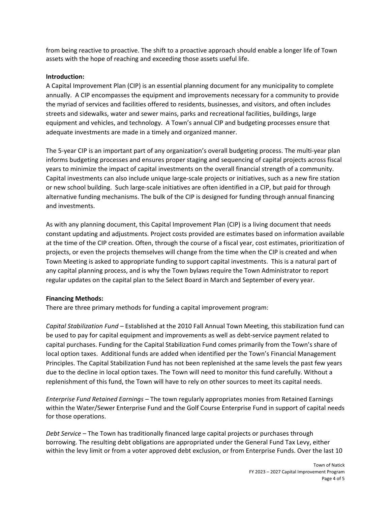from being reactive to proactive. The shift to a proactive approach should enable a longer life of Town assets with the hope of reaching and exceeding those assets useful life.

#### **Introduction:**

A Capital Improvement Plan (CIP) is an essential planning document for any municipality to complete annually. A CIP encompasses the equipment and improvements necessary for a community to provide the myriad of services and facilities offered to residents, businesses, and visitors, and often includes streets and sidewalks, water and sewer mains, parks and recreational facilities, buildings, large equipment and vehicles, and technology. A Town's annual CIP and budgeting processes ensure that adequate investments are made in a timely and organized manner.

The 5-year CIP is an important part of any organization's overall budgeting process. The multi-year plan informs budgeting processes and ensures proper staging and sequencing of capital projects across fiscal years to minimize the impact of capital investments on the overall financial strength of a community. Capital investments can also include unique large-scale projects or initiatives, such as a new fire station or new school building. Such large-scale initiatives are often identified in a CIP, but paid for through alternative funding mechanisms. The bulk of the CIP is designed for funding through annual financing and investments.

As with any planning document, this Capital Improvement Plan (CIP) is a living document that needs constant updating and adjustments. Project costs provided are estimates based on information available at the time of the CIP creation. Often, through the course of a fiscal year, cost estimates, prioritization of projects, or even the projects themselves will change from the time when the CIP is created and when Town Meeting is asked to appropriate funding to support capital investments. This is a natural part of any capital planning process, and is why the Town bylaws require the Town Administrator to report regular updates on the capital plan to the Select Board in March and September of every year.

#### **Financing Methods:**

There are three primary methods for funding a capital improvement program:

*Capital Stabilization Fund –* Established at the 2010 Fall Annual Town Meeting, this stabilization fund can be used to pay for capital equipment and improvements as well as debt-service payment related to capital purchases. Funding for the Capital Stabilization Fund comes primarily from the Town's share of local option taxes. Additional funds are added when identified per the Town's Financial Management Principles. The Capital Stabilization Fund has not been replenished at the same levels the past few years due to the decline in local option taxes. The Town will need to monitor this fund carefully. Without a replenishment of this fund, the Town will have to rely on other sources to meet its capital needs.

*Enterprise Fund Retained Earnings –* The town regularly appropriates monies from Retained Earnings within the Water/Sewer Enterprise Fund and the Golf Course Enterprise Fund in support of capital needs for those operations.

*Debt Service –* The Town has traditionally financed large capital projects or purchases through borrowing. The resulting debt obligations are appropriated under the General Fund Tax Levy, either within the levy limit or from a voter approved debt exclusion, or from Enterprise Funds. Over the last 10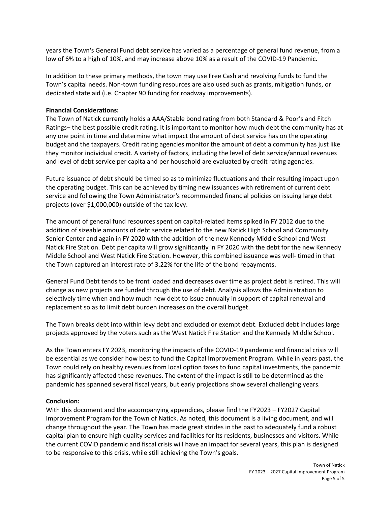years the Town's General Fund debt service has varied as a percentage of general fund revenue, from a low of 6% to a high of 10%, and may increase above 10% as a result of the COVID-19 Pandemic.

In addition to these primary methods, the town may use Free Cash and revolving funds to fund the Town's capital needs. Non-town funding resources are also used such as grants, mitigation funds, or dedicated state aid (i.e. Chapter 90 funding for roadway improvements).

#### **Financial Considerations:**

The Town of Natick currently holds a AAA/Stable bond rating from both Standard & Poor's and Fitch Ratings– the best possible credit rating. It is important to monitor how much debt the community has at any one point in time and determine what impact the amount of debt service has on the operating budget and the taxpayers. Credit rating agencies monitor the amount of debt a community has just like they monitor individual credit. A variety of factors, including the level of debt service/annual revenues and level of debt service per capita and per household are evaluated by credit rating agencies.

Future issuance of debt should be timed so as to minimize fluctuations and their resulting impact upon the operating budget. This can be achieved by timing new issuances with retirement of current debt service and following the Town Administrator's recommended financial policies on issuing large debt projects (over \$1,000,000) outside of the tax levy.

The amount of general fund resources spent on capital-related items spiked in FY 2012 due to the addition of sizeable amounts of debt service related to the new Natick High School and Community Senior Center and again in FY 2020 with the addition of the new Kennedy Middle School and West Natick Fire Station. Debt per capita will grow significantly in FY 2020 with the debt for the new Kennedy Middle School and West Natick Fire Station. However, this combined issuance was well- timed in that the Town captured an interest rate of 3.22% for the life of the bond repayments.

General Fund Debt tends to be front loaded and decreases over time as project debt is retired. This will change as new projects are funded through the use of debt. Analysis allows the Administration to selectively time when and how much new debt to issue annually in support of capital renewal and replacement so as to limit debt burden increases on the overall budget.

The Town breaks debt into within levy debt and excluded or exempt debt. Excluded debt includes large projects approved by the voters such as the West Natick Fire Station and the Kennedy Middle School.

As the Town enters FY 2023, monitoring the impacts of the COVID-19 pandemic and financial crisis will be essential as we consider how best to fund the Capital Improvement Program. While in years past, the Town could rely on healthy revenues from local option taxes to fund capital investments, the pandemic has significantly affected these revenues. The extent of the impact is still to be determined as the pandemic has spanned several fiscal years, but early projections show several challenging years.

#### **Conclusion:**

With this document and the accompanying appendices, please find the FY2023 – FY2027 Capital Improvement Program for the Town of Natick. As noted, this document is a living document, and will change throughout the year. The Town has made great strides in the past to adequately fund a robust capital plan to ensure high quality services and facilities for its residents, businesses and visitors. While the current COVID pandemic and fiscal crisis will have an impact for several years, this plan is designed to be responsive to this crisis, while still achieving the Town's goals.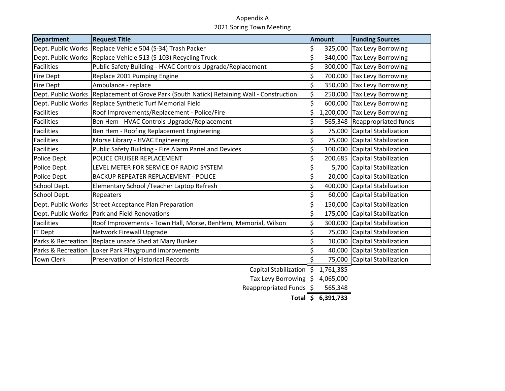#### Appendix A 2021 Spring Town Meeting

| <b>Department</b>  | <b>Request Title</b>                                                                      | <b>Amount</b>   | <b>Funding Sources</b>        |
|--------------------|-------------------------------------------------------------------------------------------|-----------------|-------------------------------|
|                    | Dept. Public Works Replace Vehicle 504 (S-34) Trash Packer                                | \$<br>325,000   | <b>Tax Levy Borrowing</b>     |
|                    | Dept. Public Works   Replace Vehicle 513 (S-103) Recycling Truck                          | \$              | 340,000 Tax Levy Borrowing    |
| <b>Facilities</b>  | Public Safety Building - HVAC Controls Upgrade/Replacement                                | \$<br>300,000   | Tax Levy Borrowing            |
| <b>Fire Dept</b>   | Replace 2001 Pumping Engine                                                               | \$<br>700,000   | Tax Levy Borrowing            |
| <b>Fire Dept</b>   | Ambulance - replace                                                                       | \$<br>350,000   | Tax Levy Borrowing            |
|                    | Dept. Public Works Replacement of Grove Park (South Natick) Retaining Wall - Construction | \$<br>250,000   | <b>Tax Levy Borrowing</b>     |
| Dept. Public Works | Replace Synthetic Turf Memorial Field                                                     | \$<br>600,000   | <b>Tax Levy Borrowing</b>     |
| <b>Facilities</b>  | Roof Improvements/Replacement - Police/Fire                                               | \$<br>1,200,000 | Tax Levy Borrowing            |
| <b>Facilities</b>  | Ben Hem - HVAC Controls Upgrade/Replacement                                               | \$              | 565,348 Reappropriated funds  |
| <b>Facilities</b>  | Ben Hem - Roofing Replacement Engineering                                                 | \$<br>75,000    | Capital Stabilization         |
| <b>Facilities</b>  | Morse Library - HVAC Engineering                                                          | \$<br>75,000    | Capital Stabilization         |
| <b>Facilities</b>  | Public Safety Building - Fire Alarm Panel and Devices                                     | \$<br>100,000   | Capital Stabilization         |
| Police Dept.       | POLICE CRUISER REPLACEMENT                                                                | \$<br>200,685   | Capital Stabilization         |
| Police Dept.       | LEVEL METER FOR SERVICE OF RADIO SYSTEM                                                   | \$<br>5,700     | Capital Stabilization         |
| Police Dept.       | <b>BACKUP REPEATER REPLACEMENT - POLICE</b>                                               | \$<br>20,000    | Capital Stabilization         |
| School Dept.       | Elementary School / Teacher Laptop Refresh                                                | \$<br>400,000   | Capital Stabilization         |
| School Dept.       | Repeaters                                                                                 | \$<br>60,000    | Capital Stabilization         |
|                    | Dept. Public Works Street Acceptance Plan Preparation                                     | \$              | 150,000 Capital Stabilization |
| Dept. Public Works | Park and Field Renovations                                                                | \$<br>175,000   | Capital Stabilization         |
| <b>Facilities</b>  | Roof Improvements - Town Hall, Morse, BenHem, Memorial, Wilson                            | \$<br>300,000   | Capital Stabilization         |
| <b>IT Dept</b>     | Network Firewall Upgrade                                                                  | \$<br>75,000    | Capital Stabilization         |
|                    | Parks & Recreation Replace unsafe Shed at Mary Bunker                                     | \$<br>10,000    | Capital Stabilization         |
| Parks & Recreation | Loker Park Playground Improvements                                                        | \$              | 40,000 Capital Stabilization  |
| <b>Town Clerk</b>  | <b>Preservation of Historical Records</b>                                                 | \$<br>75,000    | Capital Stabilization         |
|                    | Capital Stabilization \$                                                                  | 1,761,385       |                               |

Tax Levy Borrowing \$ 4,065,000

<span id="page-5-0"></span>Reappropriated Funds \$ 565,348

**Total 6,391,733 \$**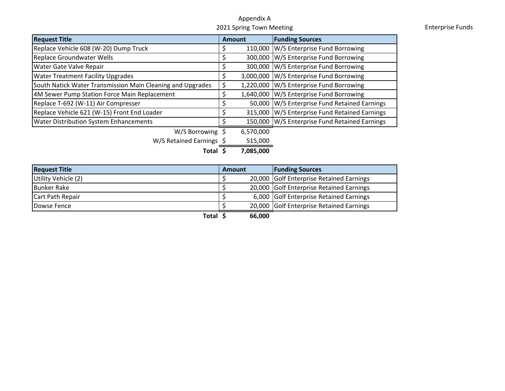#### Appendix <sup>A</sup>2021 Spring Town

**Enterprise Funds** 

| <b>Request Title</b>                                       | <b>Amount</b> |           | <b>Funding Sources</b>                        |
|------------------------------------------------------------|---------------|-----------|-----------------------------------------------|
| Replace Vehicle 608 (W-20) Dump Truck                      |               | 110,000   | W/S Enterprise Fund Borrowing                 |
| <b>Replace Groundwater Wells</b>                           |               |           | 300,000 W/S Enterprise Fund Borrowing         |
| Water Gate Valve Repair                                    |               | 300,000   | W/S Enterprise Fund Borrowing                 |
| <b>Water Treatment Facility Upgrades</b>                   |               |           | 3,000,000 W/S Enterprise Fund Borrowing       |
| South Natick Water Transmission Main Cleaning and Upgrades | \$            |           | 1,220,000 W/S Enterprise Fund Borrowing       |
| 4M Sewer Pump Station Force Main Replacement               |               |           | 1,640,000 W/S Enterprise Fund Borrowing       |
| Replace T-692 (W-11) Air Compresser                        |               | 50,000    | W/S Enterprise Fund Retained Earnings         |
| Replace Vehicle 621 (W-15) Front End Loader                |               | 315,000   | W/S Enterprise Fund Retained Earnings         |
| <b>Water Distribution System Enhancements</b>              |               |           | 150,000 W/S Enterprise Fund Retained Earnings |
| W/S Borrowing \$                                           |               | 6,570,000 |                                               |
| W/S Retained Earnings \$                                   |               | 515,000   |                                               |
| Total                                                      |               | 7,085,000 |                                               |

| <b>Request Title</b> | Amount | <b>Funding Sources</b>                   |
|----------------------|--------|------------------------------------------|
| Utility Vehicle (2)  |        | 20,000 Golf Enterprise Retained Earnings |
| Bunker Rake          |        | 20,000 Golf Enterprise Retained Earnings |
| Cart Path Repair     |        | 6,000 Golf Enterprise Retained Earnings  |
| Dowse Fence          |        | 20,000 Golf Enterprise Retained Earnings |

**Total 66,000 \$**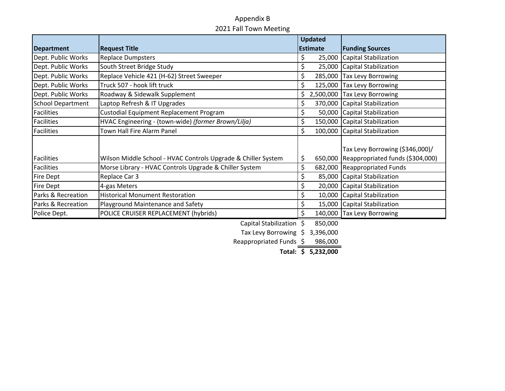#### Appendix <sup>B</sup>2021 Fall Town Meeting

|                          |                                                               | <b>Updated</b>  |                                  |
|--------------------------|---------------------------------------------------------------|-----------------|----------------------------------|
| <b>Department</b>        | <b>Request Title</b>                                          | <b>Estimate</b> | <b>Funding Sources</b>           |
| Dept. Public Works       | <b>Replace Dumpsters</b>                                      | 25,000<br>Ş     | Capital Stabilization            |
| Dept. Public Works       | South Street Bridge Study                                     | \$              | 25,000 Capital Stabilization     |
| Dept. Public Works       | Replace Vehicle 421 (H-62) Street Sweeper                     | \$<br>285,000   | <b>Tax Levy Borrowing</b>        |
| Dept. Public Works       | Truck 507 - hook lift truck                                   | \$              | 125,000 Tax Levy Borrowing       |
| Dept. Public Works       | Roadway & Sidewalk Supplement                                 | \$.             | 2,500,000 Tax Levy Borrowing     |
| <b>School Department</b> | Laptop Refresh & IT Upgrades                                  | \$              | 370,000 Capital Stabilization    |
| <b>Facilities</b>        | Custodial Equipment Replacement Program                       | \$              | 50,000 Capital Stabilization     |
| <b>Facilities</b>        | HVAC Engineering - (town-wide) (former Brown/Lilja)           | \$              | 150,000 Capital Stabilization    |
| <b>Facilities</b>        | Town Hall Fire Alarm Panel                                    | \$              | 100,000 Capital Stabilization    |
|                          |                                                               |                 |                                  |
|                          |                                                               |                 | Tax Levy Borrowing (\$346,000)/  |
| <b>Facilities</b>        | Wilson Middle School - HVAC Controls Upgrade & Chiller System | \$<br>650,000   | Reappropriated funds (\$304,000) |
| <b>Facilities</b>        | Morse Library - HVAC Controls Upgrade & Chiller System        | \$              | 682,000 Reappropriated Funds     |
| <b>Fire Dept</b>         | Replace Car 3                                                 | \$              | 85,000 Capital Stabilization     |
| <b>Fire Dept</b>         | 4-gas Meters                                                  | \$              | 20,000 Capital Stabilization     |
| Parks & Recreation       | <b>Historical Monument Restoration</b>                        | \$              | 10,000 Capital Stabilization     |
| Parks & Recreation       | Playground Maintenance and Safety                             |                 | 15,000 Capital Stabilization     |
| Police Dept.             | POLICE CRUISER REPLACEMENT (hybrids)                          | \$              | 140,000 Tax Levy Borrowing       |

Capital Stabilization  $\frac{1}{5}$  850,000

Tax Levy Borrowing \$ 3,396,000

<span id="page-7-0"></span>Reappropriated Funds  $$986,000$ 

**Total: 5,232,000 \$**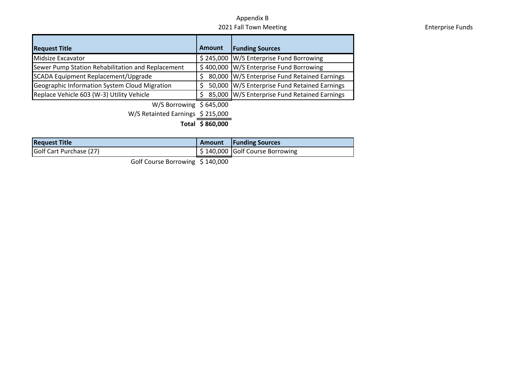#### Appendix B 2021 Fall Town

| LULIUS TURITIMULUMIS                                 |               |                                              |  |  |  |  |
|------------------------------------------------------|---------------|----------------------------------------------|--|--|--|--|
| <b>Request Title</b>                                 | <b>Amount</b> | <b>Funding Sources</b>                       |  |  |  |  |
| Midsize Excavator                                    |               | \$245,000 W/S Enterprise Fund Borrowing      |  |  |  |  |
| Sewer Pump Station Rehabilitation and Replacement    |               | \$400,000 W/S Enterprise Fund Borrowing      |  |  |  |  |
| SCADA Equipment Replacement/Upgrade                  |               | 80,000 W/S Enterprise Fund Retained Earnings |  |  |  |  |
| <b>Geographic Information System Cloud Migration</b> |               | 50,000 W/S Enterprise Fund Retained Earnings |  |  |  |  |
| Replace Vehicle 603 (W-3) Utility Vehicle            |               | 85,000 W/S Enterprise Fund Retained Earnings |  |  |  |  |

W/S Borrowing  $\frac{1}{5}$  645,000

W/S Retainted Earnings \$ 215,000

**Total**  $\frac{1}{2}$  **860,000** 

| <b>Request Title</b>    | <b>Amount</b>   Funding Sources |
|-------------------------|---------------------------------|
| Golf Cart Purchase (27) | \$140,000 Golf Course Borrowing |

Golf Course Borrowing \$140,000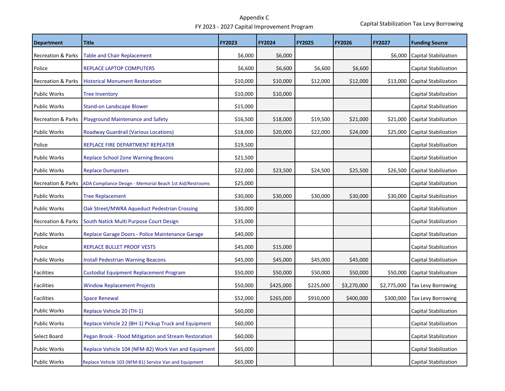<span id="page-9-0"></span>

| <b>Department</b>             | <b>Title</b>                                             | <b>FY2023</b> | <b>FY2024</b> | <b>FY2025</b> | <b>FY2026</b> | <b>FY2027</b> | <b>Funding Source</b>        |
|-------------------------------|----------------------------------------------------------|---------------|---------------|---------------|---------------|---------------|------------------------------|
| <b>Recreation &amp; Parks</b> | <b>Table and Chair Replacement</b>                       | \$6,000       | \$6,000       |               |               | \$6,000       | Capital Stabilization        |
| Police                        | <b>REPLACE LAPTOP COMPUTERS</b>                          | \$6,600       | \$6,600       | \$6,600       | \$6,600       |               | Capital Stabilization        |
| <b>Recreation &amp; Parks</b> | <b>Historical Monument Restoration</b>                   | \$10,000      | \$10,000      | \$12,000      | \$12,000      | \$13,000      | <b>Capital Stabilization</b> |
| <b>Public Works</b>           | <b>Tree Inventory</b>                                    | \$10,000      | \$10,000      |               |               |               | Capital Stabilization        |
| <b>Public Works</b>           | <b>Stand-on Landscape Blower</b>                         | \$15,000      |               |               |               |               | Capital Stabilization        |
| <b>Recreation &amp; Parks</b> | <b>Playground Maintenance and Safety</b>                 | \$16,500      | \$18,000      | \$19,500      | \$21,000      | \$21,000      | <b>Capital Stabilization</b> |
| <b>Public Works</b>           | <b>Roadway Guardrail (Various Locations)</b>             | \$18,000      | \$20,000      | \$22,000      | \$24,000      | \$25,000      | Capital Stabilization        |
| Police                        | REPLACE FIRE DEPARTMENT REPEATER                         | \$19,500      |               |               |               |               | Capital Stabilization        |
| <b>Public Works</b>           | <b>Replace School Zone Warning Beacons</b>               | \$21,500      |               |               |               |               | Capital Stabilization        |
| <b>Public Works</b>           | <b>Replace Dumpsters</b>                                 | \$22,000      | \$23,500      | \$24,500      | \$25,500      | \$26,500      | <b>Capital Stabilization</b> |
| <b>Recreation &amp; Parks</b> | ADA Compliance Design - Memorial Beach 1st Aid/Restrooms | \$25,000      |               |               |               |               | <b>Capital Stabilization</b> |
| <b>Public Works</b>           | <b>Tree Replacement</b>                                  | \$30,000      | \$30,000      | \$30,000      | \$30,000      | \$30,000      | <b>Capital Stabilization</b> |
| <b>Public Works</b>           | Oak Street/MWRA Aqueduct Pedestrian Crossing             | \$30,000      |               |               |               |               | Capital Stabilization        |
| <b>Recreation &amp; Parks</b> | South Natick Multi Purpose Court Design                  | \$35,000      |               |               |               |               | Capital Stabilization        |
| <b>Public Works</b>           | Replace Garage Doors - Police Maintenance Garage         | \$40,000      |               |               |               |               | Capital Stabilization        |
| Police                        | REPLACE BULLET PROOF VESTS                               | \$45,000      | \$15,000      |               |               |               | Capital Stabilization        |
| <b>Public Works</b>           | <b>Install Pedestrian Warning Beacons</b>                | \$45,000      | \$45,000      | \$45,000      | \$45,000      |               | Capital Stabilization        |
| <b>Facilities</b>             | <b>Custodial Equipment Replacement Program</b>           | \$50,000      | \$50,000      | \$50,000      | \$50,000      | \$50,000      | <b>Capital Stabilization</b> |
| <b>Facilities</b>             | <b>Window Replacement Projects</b>                       | \$50,000      | \$425,000     | \$225,000     | \$3,270,000   | \$2,775,000   | <b>Tax Levy Borrowing</b>    |
| <b>Facilities</b>             | <b>Space Renewal</b>                                     | \$52,000      | \$265,000     | \$910,000     | \$400,000     | \$300,000     | <b>Tax Levy Borrowing</b>    |
| <b>Public Works</b>           | Replace Vehicle 20 (TH-1)                                | \$60,000      |               |               |               |               | Capital Stabilization        |
| <b>Public Works</b>           | Replace Vehicle 22 (BH-1) Pickup Truck and Equipment     | \$60,000      |               |               |               |               | Capital Stabilization        |
| Select Board                  | Pegan Brook - Flood Mitigation and Stream Restoration    | \$60,000      |               |               |               |               | Capital Stabilization        |
| <b>Public Works</b>           | Replace Vehicle 104 (NFM-82) Work Van and Equipment      | \$65,000      |               |               |               |               | Capital Stabilization        |
| <b>Public Works</b>           | Replace Vehicle 103 (NFM-81) Service Van and Equipment   | \$65,000      |               |               |               |               | Capital Stabilization        |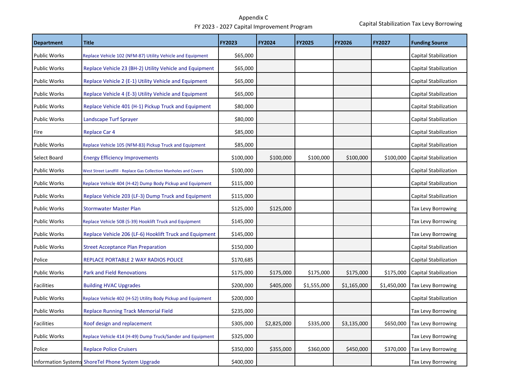| <b>Department</b>   | <b>Title</b>                                                      | <b>FY2023</b> | <b>FY2024</b> | <b>FY2025</b> | <b>FY2026</b> | <b>FY2027</b> | <b>Funding Source</b>        |
|---------------------|-------------------------------------------------------------------|---------------|---------------|---------------|---------------|---------------|------------------------------|
| <b>Public Works</b> | Replace Vehicle 102 (NFM-87) Utility Vehicle and Equipment        | \$65,000      |               |               |               |               | <b>Capital Stabilization</b> |
| <b>Public Works</b> | Replace Vehicle 23 (BH-2) Utility Vehicle and Equipment           | \$65,000      |               |               |               |               | <b>Capital Stabilization</b> |
| <b>Public Works</b> | Replace Vehicle 2 (E-1) Utility Vehicle and Equipment             | \$65,000      |               |               |               |               | Capital Stabilization        |
| <b>Public Works</b> | Replace Vehicle 4 (E-3) Utility Vehicle and Equipment             | \$65,000      |               |               |               |               | Capital Stabilization        |
| <b>Public Works</b> | Replace Vehicle 401 (H-1) Pickup Truck and Equipment              | \$80,000      |               |               |               |               | Capital Stabilization        |
| <b>Public Works</b> | Landscape Turf Sprayer                                            | \$80,000      |               |               |               |               | Capital Stabilization        |
| Fire                | <b>Replace Car 4</b>                                              | \$85,000      |               |               |               |               | Capital Stabilization        |
| <b>Public Works</b> | Replace Vehicle 105 (NFM-83) Pickup Truck and Equipment           | \$85,000      |               |               |               |               | Capital Stabilization        |
| Select Board        | <b>Energy Efficiency Improvements</b>                             | \$100,000     | \$100,000     | \$100,000     | \$100,000     | \$100,000     | <b>Capital Stabilization</b> |
| <b>Public Works</b> | West Street Landfill - Replace Gas Collection Manholes and Covers | \$100,000     |               |               |               |               | Capital Stabilization        |
| <b>Public Works</b> | Replace Vehicle 404 (H-42) Dump Body Pickup and Equipment         | \$115,000     |               |               |               |               | Capital Stabilization        |
| <b>Public Works</b> | Replace Vehicle 203 (LF-3) Dump Truck and Equipment               | \$115,000     |               |               |               |               | Capital Stabilization        |
| <b>Public Works</b> | <b>Stormwater Master Plan</b>                                     | \$125,000     | \$125,000     |               |               |               | Tax Levy Borrowing           |
| <b>Public Works</b> | Replace Vehicle 508 (S-39) Hooklift Truck and Equipment           | \$145,000     |               |               |               |               | <b>Tax Levy Borrowing</b>    |
| <b>Public Works</b> | Replace Vehicle 206 (LF-6) Hooklift Truck and Equipment           | \$145,000     |               |               |               |               | Tax Levy Borrowing           |
| <b>Public Works</b> | <b>Street Acceptance Plan Preparation</b>                         | \$150,000     |               |               |               |               | <b>Capital Stabilization</b> |
| Police              | REPLACE PORTABLE 2 WAY RADIOS POLICE                              | \$170,685     |               |               |               |               | Capital Stabilization        |
| <b>Public Works</b> | <b>Park and Field Renovations</b>                                 | \$175,000     | \$175,000     | \$175,000     | \$175,000     | \$175,000     | <b>Capital Stabilization</b> |
| Facilities          | <b>Building HVAC Upgrades</b>                                     | \$200,000     | \$405,000     | \$1,555,000   | \$1,165,000   | \$1,450,000   | Tax Levy Borrowing           |
| <b>Public Works</b> | Replace Vehicle 402 (H-52) Utility Body Pickup and Equipment      | \$200,000     |               |               |               |               | Capital Stabilization        |
| <b>Public Works</b> | <b>Replace Running Track Memorial Field</b>                       | \$235,000     |               |               |               |               | Tax Levy Borrowing           |
| <b>Facilities</b>   | Roof design and replacement                                       | \$305,000     | \$2,825,000   | \$335,000     | \$3,135,000   | \$650,000     | Tax Levy Borrowing           |
| <b>Public Works</b> | Replace Vehicle 414 (H-49) Dump Truck/Sander and Equipment        | \$325,000     |               |               |               |               | <b>Tax Levy Borrowing</b>    |
| Police              | <b>Replace Police Cruisers</b>                                    | \$350,000     | \$355,000     | \$360,000     | \$450,000     | \$370,000     | Tax Levy Borrowing           |
|                     | Information Systems ShoreTel Phone System Upgrade                 | \$400,000     |               |               |               |               | <b>Tax Levy Borrowing</b>    |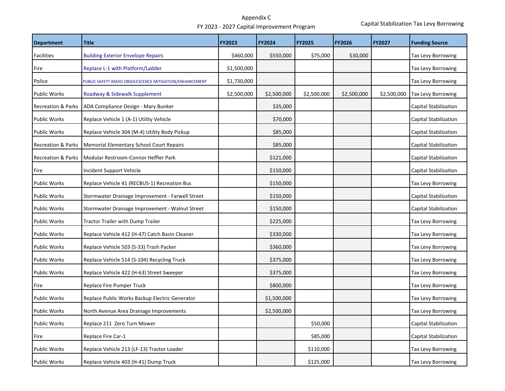| <b>Department</b>             | <b>Title</b>                                            | <b>FY2023</b> | FY2024      | <b>FY2025</b> | <b>FY2026</b> | <b>FY2027</b> | <b>Funding Source</b>     |
|-------------------------------|---------------------------------------------------------|---------------|-------------|---------------|---------------|---------------|---------------------------|
| <b>Facilities</b>             | <b>Building Exterior Envelope Repairs</b>               | \$460,000     | \$550,000   | \$75,000      | \$30,000      |               | Tax Levy Borrowing        |
| Fire                          | Replace L-1 with Platform/Ladder                        | \$1,500,000   |             |               |               |               | Tax Levy Borrowing        |
| Police                        | PUBLIC SAFETY RADIO OBSOLESCENCE MITIGATION/ENHANCEMENT | \$1,730,000   |             |               |               |               | Tax Levy Borrowing        |
| <b>Public Works</b>           | Roadway & Sidewalk Supplement                           | \$2,500,000   | \$2,500,000 | \$2,500,000   | \$2,500,000   | \$2,500,000   | Tax Levy Borrowing        |
| <b>Recreation &amp; Parks</b> | ADA Compliance Design - Mary Bunker                     |               | \$35,000    |               |               |               | Capital Stabilization     |
| <b>Public Works</b>           | Replace Vehicle 1 (A-1) Utility Vehicle                 |               | \$70,000    |               |               |               | Capital Stabilization     |
| <b>Public Works</b>           | Replace Vehicle 304 (M-4) Utility Body Pickup           |               | \$85,000    |               |               |               | Capital Stabilization     |
| <b>Recreation &amp; Parks</b> | <b>Memorial Elementary School Court Repairs</b>         |               | \$85,000    |               |               |               | Capital Stabilization     |
| <b>Recreation &amp; Parks</b> | Modular Restroom-Connor Heffler Park                    |               | \$121,000   |               |               |               | Capital Stabilization     |
| Fire                          | Incident Support Vehicle                                |               | \$150,000   |               |               |               | Capital Stabilization     |
| <b>Public Works</b>           | Replace Vehicle 41 (RECBUS-1) Recreation Bus            |               | \$150,000   |               |               |               | Tax Levy Borrowing        |
| <b>Public Works</b>           | Stormwater Drainage Improvement - Farwell Street        |               | \$150,000   |               |               |               | Capital Stabilization     |
| <b>Public Works</b>           | Stormwater Drainage Improvement - Walnut Street         |               | \$150,000   |               |               |               | Capital Stabilization     |
| <b>Public Works</b>           | <b>Tractor Trailer with Dump Trailer</b>                |               | \$225,000   |               |               |               | Tax Levy Borrowing        |
| <b>Public Works</b>           | Replace Vehicle 412 (H-47) Catch Basin Cleaner          |               | \$330,000   |               |               |               | Tax Levy Borrowing        |
| <b>Public Works</b>           | Replace Vehicle 503 (S-33) Trash Packer                 |               | \$360,000   |               |               |               | Tax Levy Borrowing        |
| <b>Public Works</b>           | Replace Vehicle 514 (S-104) Recycling Truck             |               | \$375,000   |               |               |               | Tax Levy Borrowing        |
| <b>Public Works</b>           | Replace Vehicle 422 (H-63) Street Sweeper               |               | \$375,000   |               |               |               | Tax Levy Borrowing        |
| Fire                          | Replace Fire Pumper Truck                               |               | \$800,000   |               |               |               | <b>Tax Levy Borrowing</b> |
| Public Works                  | Replace Public Works Backup Electric Generator          |               | \$1,500,000 |               |               |               | Tax Levy Borrowing        |
| <b>Public Works</b>           | North Avenue Area Drainage Improvements                 |               | \$2,500,000 |               |               |               | <b>Tax Levy Borrowing</b> |
| <b>Public Works</b>           | Replace 211 Zero Turn Mower                             |               |             | \$50,000      |               |               | Capital Stabilization     |
| Fire                          | Replace Fire Car-1                                      |               |             | \$85,000      |               |               | Capital Stabilization     |
| <b>Public Works</b>           | Replace Vehicle 213 (LF-13) Tractor Loader              |               |             | \$110,000     |               |               | Tax Levy Borrowing        |
| <b>Public Works</b>           | Replace Vehicle 403 (H-41) Dump Truck                   |               |             | \$125,000     |               |               | Tax Levy Borrowing        |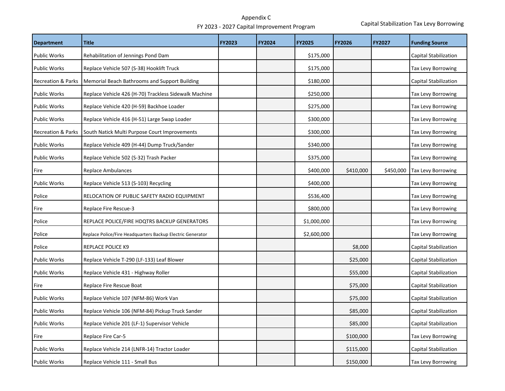| <b>Department</b>             | <b>Title</b>                                               | <b>FY2023</b> | <b>FY2024</b> | <b>FY2025</b> | <b>FY2026</b> | <b>FY2027</b> | <b>Funding Source</b>        |
|-------------------------------|------------------------------------------------------------|---------------|---------------|---------------|---------------|---------------|------------------------------|
| <b>Public Works</b>           | Rehabilitation of Jennings Pond Dam                        |               |               | \$175,000     |               |               | Capital Stabilization        |
| <b>Public Works</b>           | Replace Vehicle 507 (S-38) Hooklift Truck                  |               |               | \$175,000     |               |               | <b>Tax Levy Borrowing</b>    |
| <b>Recreation &amp; Parks</b> | Memorial Beach Bathrooms and Support Building              |               |               | \$180,000     |               |               | <b>Capital Stabilization</b> |
| <b>Public Works</b>           | Replace Vehicle 426 (H-70) Trackless Sidewalk Machine      |               |               | \$250,000     |               |               | <b>Tax Levy Borrowing</b>    |
| <b>Public Works</b>           | Replace Vehicle 420 (H-59) Backhoe Loader                  |               |               | \$275,000     |               |               | Tax Levy Borrowing           |
| <b>Public Works</b>           | Replace Vehicle 416 (H-51) Large Swap Loader               |               |               | \$300,000     |               |               | <b>Tax Levy Borrowing</b>    |
| <b>Recreation &amp; Parks</b> | South Natick Multi Purpose Court Improvements              |               |               | \$300,000     |               |               | Tax Levy Borrowing           |
| <b>Public Works</b>           | Replace Vehicle 409 (H-44) Dump Truck/Sander               |               |               | \$340,000     |               |               | Tax Levy Borrowing           |
| <b>Public Works</b>           | Replace Vehicle 502 (S-32) Trash Packer                    |               |               | \$375,000     |               |               | <b>Tax Levy Borrowing</b>    |
| Fire                          | <b>Replace Ambulances</b>                                  |               |               | \$400,000     | \$410,000     | \$450,000     | <b>Tax Levy Borrowing</b>    |
| <b>Public Works</b>           | Replace Vehicle 513 (S-103) Recycling                      |               |               | \$400,000     |               |               | <b>Tax Levy Borrowing</b>    |
| Police                        | RELOCATION OF PUBLIC SAFETY RADIO EQUIPMENT                |               |               | \$536,400     |               |               | Tax Levy Borrowing           |
| Fire                          | Replace Fire Rescue-3                                      |               |               | \$800,000     |               |               | <b>Tax Levy Borrowing</b>    |
| Police                        | REPLACE POLICE/FIRE HDQTRS BACKUP GENERATORS               |               |               | \$1,000,000   |               |               | Tax Levy Borrowing           |
| Police                        | Replace Police/Fire Headquarters Backup Electric Generator |               |               | \$2,600,000   |               |               | <b>Tax Levy Borrowing</b>    |
| Police                        | <b>REPLACE POLICE K9</b>                                   |               |               |               | \$8,000       |               | Capital Stabilization        |
| <b>Public Works</b>           | Replace Vehicle T-290 (LF-133) Leaf Blower                 |               |               |               | \$25,000      |               | <b>Capital Stabilization</b> |
| <b>Public Works</b>           | Replace Vehicle 431 - Highway Roller                       |               |               |               | \$55,000      |               | <b>Capital Stabilization</b> |
| Fire                          | Replace Fire Rescue Boat                                   |               |               |               | \$75,000      |               | Capital Stabilization        |
| <b>Public Works</b>           | Replace Vehicle 107 (NFM-86) Work Van                      |               |               |               | \$75,000      |               | Capital Stabilization        |
| <b>Public Works</b>           | Replace Vehicle 106 (NFM-84) Pickup Truck Sander           |               |               |               | \$85,000      |               | <b>Capital Stabilization</b> |
| <b>Public Works</b>           | Replace Vehicle 201 (LF-1) Supervisor Vehicle              |               |               |               | \$85,000      |               | Capital Stabilization        |
| Fire                          | Replace Fire Car-5                                         |               |               |               | \$100,000     |               | Tax Levy Borrowing           |
| <b>Public Works</b>           | Replace Vehicle 214 (LNFR-14) Tractor Loader               |               |               |               | \$115,000     |               | Capital Stabilization        |
| <b>Public Works</b>           | Replace Vehicle 111 - Small Bus                            |               |               |               | \$150,000     |               | Tax Levy Borrowing           |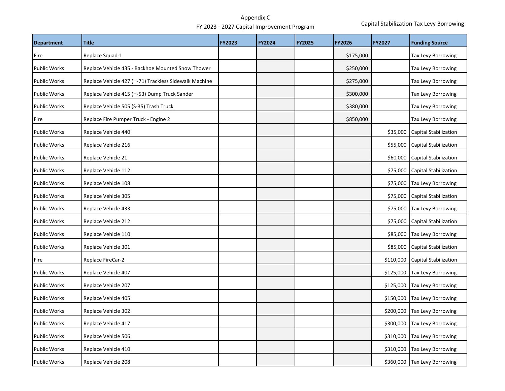| <b>Department</b>   | <b>Title</b>                                          | <b>FY2023</b> | FY2024 | <b>FY2025</b> | <b>FY2026</b> | FY2027    | <b>Funding Source</b>        |
|---------------------|-------------------------------------------------------|---------------|--------|---------------|---------------|-----------|------------------------------|
| Fire                | Replace Squad-1                                       |               |        |               | \$175,000     |           | Tax Levy Borrowing           |
| <b>Public Works</b> | Replace Vehicle 435 - Backhoe Mounted Snow Thower     |               |        |               | \$250,000     |           | Tax Levy Borrowing           |
| Public Works        | Replace Vehicle 427 (H-71) Trackless Sidewalk Machine |               |        |               | \$275,000     |           | Tax Levy Borrowing           |
| Public Works        | Replace Vehicle 415 (H-53) Dump Truck Sander          |               |        |               | \$300,000     |           | Tax Levy Borrowing           |
| <b>Public Works</b> | Replace Vehicle 505 (S-35) Trash Truck                |               |        |               | \$380,000     |           | <b>Tax Levy Borrowing</b>    |
| Fire                | Replace Fire Pumper Truck - Engine 2                  |               |        |               | \$850,000     |           | Tax Levy Borrowing           |
| <b>Public Works</b> | Replace Vehicle 440                                   |               |        |               |               | \$35,000  | Capital Stabilization        |
| <b>Public Works</b> | Replace Vehicle 216                                   |               |        |               |               | \$55,000  | Capital Stabilization        |
| <b>Public Works</b> | Replace Vehicle 21                                    |               |        |               |               | \$60,000  | <b>Capital Stabilization</b> |
| <b>Public Works</b> | Replace Vehicle 112                                   |               |        |               |               | \$75,000  | <b>Capital Stabilization</b> |
| <b>Public Works</b> | Replace Vehicle 108                                   |               |        |               |               | \$75,000  | <b>Tax Levy Borrowing</b>    |
| Public Works        | Replace Vehicle 305                                   |               |        |               |               | \$75,000  | Capital Stabilization        |
| <b>Public Works</b> | Replace Vehicle 433                                   |               |        |               |               | \$75,000  | <b>Tax Levy Borrowing</b>    |
| <b>Public Works</b> | Replace Vehicle 212                                   |               |        |               |               | \$75,000  | <b>Capital Stabilization</b> |
| <b>Public Works</b> | Replace Vehicle 110                                   |               |        |               |               | \$85,000  | <b>Tax Levy Borrowing</b>    |
| <b>Public Works</b> | Replace Vehicle 301                                   |               |        |               |               | \$85,000  | Capital Stabilization        |
| Fire                | Replace FireCar-2                                     |               |        |               |               | \$110,000 | <b>Capital Stabilization</b> |
| Public Works        | Replace Vehicle 407                                   |               |        |               |               | \$125,000 | <b>Tax Levy Borrowing</b>    |
| Public Works        | Replace Vehicle 207                                   |               |        |               |               | \$125,000 | <b>Tax Levy Borrowing</b>    |
| <b>Public Works</b> | Replace Vehicle 405                                   |               |        |               |               | \$150,000 | <b>Tax Levy Borrowing</b>    |
| <b>Public Works</b> | Replace Vehicle 302                                   |               |        |               |               | \$200,000 | <b>Tax Levy Borrowing</b>    |
| <b>Public Works</b> | Replace Vehicle 417                                   |               |        |               |               | \$300,000 | <b>Tax Levy Borrowing</b>    |
| <b>Public Works</b> | Replace Vehicle 506                                   |               |        |               |               | \$310,000 | Tax Levy Borrowing           |
| <b>Public Works</b> | Replace Vehicle 410                                   |               |        |               |               | \$310,000 | <b>Tax Levy Borrowing</b>    |
| <b>Public Works</b> | Replace Vehicle 208                                   |               |        |               |               | \$360,000 | Tax Levy Borrowing           |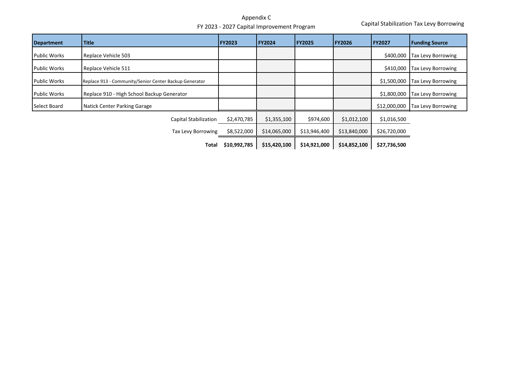Capital Stabilization Tax Levy Borrowing

| <b>Department</b>   | <b>Title</b>                                           | <b>FY2023</b> | FY2024       | <b>FY2025</b> | <b>FY2026</b> | <b>FY2027</b> | <b>Funding Source</b>     |
|---------------------|--------------------------------------------------------|---------------|--------------|---------------|---------------|---------------|---------------------------|
| <b>Public Works</b> | Replace Vehicle 503                                    |               |              |               |               | \$400,000     | <b>Tax Levy Borrowing</b> |
| <b>Public Works</b> | Replace Vehicle 511                                    |               |              |               |               | \$410,000     | <b>Tax Levy Borrowing</b> |
| <b>Public Works</b> | Replace 913 - Community/Senior Center Backup Generator |               |              |               |               | \$1,500,000   | <b>Tax Levy Borrowing</b> |
| <b>Public Works</b> | Replace 910 - High School Backup Generator             |               |              |               |               | \$1,800,000   | Tax Levy Borrowing        |
| Select Board        | Natick Center Parking Garage                           |               |              |               |               | \$12,000,000  | <b>Tax Levy Borrowing</b> |
|                     | <b>Capital Stabilization</b>                           | \$2,470,785   | \$1,355,100  | \$974,600     | \$1,012,100   | \$1,016,500   |                           |
|                     | Tax Levy Borrowing                                     | \$8,522,000   | \$14,065,000 | \$13,946,400  | \$13,840,000  | \$26,720,000  |                           |
|                     | Total                                                  | \$10,992,785  | \$15,420,100 | \$14,921,000  | \$14,852,100  | \$27,736,500  |                           |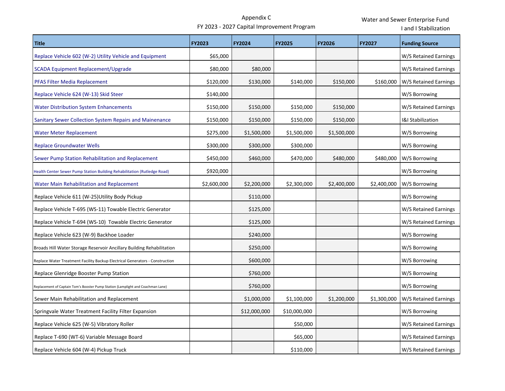I

and <sup>I</sup> Stabilization

| <b>Title</b>                                                                    | <b>FY2023</b> | FY2024       | FY2025       | <b>FY2026</b> | <b>FY2027</b> | <b>Funding Source</b>        |
|---------------------------------------------------------------------------------|---------------|--------------|--------------|---------------|---------------|------------------------------|
| Replace Vehicle 602 (W-2) Utility Vehicle and Equipment                         | \$65,000      |              |              |               |               | W/S Retained Earnings        |
| <b>SCADA Equipment Replacement/Upgrade</b>                                      | \$80,000      | \$80,000     |              |               |               | W/S Retained Earnings        |
| PFAS Filter Media Replacement                                                   | \$120,000     | \$130,000    | \$140,000    | \$150,000     | \$160,000     | W/S Retained Earnings        |
| Replace Vehicle 624 (W-13) Skid Steer                                           | \$140,000     |              |              |               |               | W/S Borrowing                |
| <b>Water Distribution System Enhancements</b>                                   | \$150,000     | \$150,000    | \$150,000    | \$150,000     |               | W/S Retained Earnings        |
| Sanitary Sewer Collection System Repairs and Mainenance                         | \$150,000     | \$150,000    | \$150,000    | \$150,000     |               | <b>I&amp;I Stabilization</b> |
| <b>Water Meter Replacement</b>                                                  | \$275,000     | \$1,500,000  | \$1,500,000  | \$1,500,000   |               | W/S Borrowing                |
| <b>Replace Groundwater Wells</b>                                                | \$300,000     | \$300,000    | \$300,000    |               |               | W/S Borrowing                |
| Sewer Pump Station Rehabilitation and Replacement                               | \$450,000     | \$460,000    | \$470,000    | \$480,000     | \$480,000     | W/S Borrowing                |
| Health Center Sewer Pump Station Building Rehabilitation (Rutledge Road)        | \$920,000     |              |              |               |               | W/S Borrowing                |
| Water Main Rehabilitation and Replacement                                       | \$2,600,000   | \$2,200,000  | \$2,300,000  | \$2,400,000   | \$2,400,000   | W/S Borrowing                |
| Replace Vehicle 611 (W-25)Utility Body Pickup                                   |               | \$110,000    |              |               |               | W/S Borrowing                |
| Replace Vehicle T-695 (WS-11) Towable Electric Generator                        |               | \$125,000    |              |               |               | W/S Retained Earnings        |
| Replace Vehicle T-694 (WS-10) Towable Electric Generator                        |               | \$125,000    |              |               |               | W/S Retained Earnings        |
| Replace Vehicle 623 (W-9) Backhoe Loader                                        |               | \$240,000    |              |               |               | W/S Borrowing                |
| Broads Hill Water Storage Reservoir Ancillary Building Rehabilitation           |               | \$250,000    |              |               |               | W/S Borrowing                |
| Replace Water Treatment Facility Backup Electrical Generators - Construction    |               | \$600,000    |              |               |               | W/S Borrowing                |
| Replace Glenridge Booster Pump Station                                          |               | \$760,000    |              |               |               | W/S Borrowing                |
| Replacement of Captain Tom's Booster Pump Station (Lamplight and Coachman Lane) |               | \$760,000    |              |               |               | W/S Borrowing                |
| Sewer Main Rehabilitation and Replacement                                       |               | \$1,000,000  | \$1,100,000  | \$1,200,000   | \$1,300,000   | W/S Retained Earnings        |
| Springvale Water Treatment Facility Filter Expansion                            |               | \$12,000,000 | \$10,000,000 |               |               | W/S Borrowing                |
| Replace Vehicle 625 (W-5) Vibratory Roller                                      |               |              | \$50,000     |               |               | W/S Retained Earnings        |
| Replace T-690 (WT-6) Variable Message Board                                     |               |              | \$65,000     |               |               | W/S Retained Earnings        |
| Replace Vehicle 604 (W-4) Pickup Truck                                          |               |              | \$110,000    |               |               | W/S Retained Earnings        |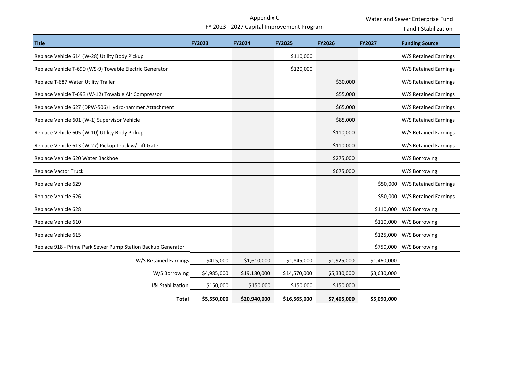Appendix <sup>C</sup>

Water and Sewer Enterprise Fund

FY <sup>2023</sup> ‐ <sup>2027</sup> Capital Improvement Program

and <sup>I</sup> Stabilization

| <b>Title</b>                                                 | <b>FY2023</b> | <b>FY2024</b> | <b>FY2025</b> | <b>FY2026</b> | <b>FY2027</b> | <b>Funding Source</b> |
|--------------------------------------------------------------|---------------|---------------|---------------|---------------|---------------|-----------------------|
| Replace Vehicle 614 (W-28) Utility Body Pickup               |               |               | \$110,000     |               |               | W/S Retained Earnings |
| Replace Vehicle T-699 (WS-9) Towable Electric Generator      |               |               | \$120,000     |               |               | W/S Retained Earnings |
| Replace T-687 Water Utility Trailer                          |               |               |               | \$30,000      |               | W/S Retained Earnings |
| Replace Vehicle T-693 (W-12) Towable Air Compressor          |               |               |               | \$55,000      |               | W/S Retained Earnings |
| Replace Vehicle 627 (DPW-506) Hydro-hammer Attachment        |               |               |               | \$65,000      |               | W/S Retained Earnings |
| Replace Vehicle 601 (W-1) Supervisor Vehicle                 |               |               |               | \$85,000      |               | W/S Retained Earnings |
| Replace Vehicle 605 (W-10) Utility Body Pickup               |               |               |               | \$110,000     |               | W/S Retained Earnings |
| Replace Vehicle 613 (W-27) Pickup Truck w/ Lift Gate         |               |               |               | \$110,000     |               | W/S Retained Earnings |
| Replace Vehicle 620 Water Backhoe                            |               |               |               | \$275,000     |               | W/S Borrowing         |
| <b>Replace Vactor Truck</b>                                  |               |               |               | \$675,000     |               | W/S Borrowing         |
| Replace Vehicle 629                                          |               |               |               |               | \$50,000      | W/S Retained Earnings |
| Replace Vehicle 626                                          |               |               |               |               | \$50,000      | W/S Retained Earnings |
| Replace Vehicle 628                                          |               |               |               |               | \$110,000     | W/S Borrowing         |
| Replace Vehicle 610                                          |               |               |               |               | \$110,000     | W/S Borrowing         |
| Replace Vehicle 615                                          |               |               |               |               | \$125,000     | W/S Borrowing         |
| Replace 918 - Prime Park Sewer Pump Station Backup Generator |               |               |               |               | \$750,000     | W/S Borrowing         |
| W/S Retained Earnings                                        | \$415,000     | \$1,610,000   | \$1,845,000   | \$1,925,000   | \$1,460,000   |                       |
| W/S Borrowing                                                | \$4,985,000   | \$19,180,000  | \$14,570,000  | \$5,330,000   | \$3,630,000   |                       |
| I&I Stabilization                                            | \$150,000     | \$150,000     | \$150,000     | \$150,000     |               |                       |
| <b>Total</b>                                                 | \$5,550,000   | \$20,940,000  | \$16,565,000  | \$7,405,000   | \$5,090,000   |                       |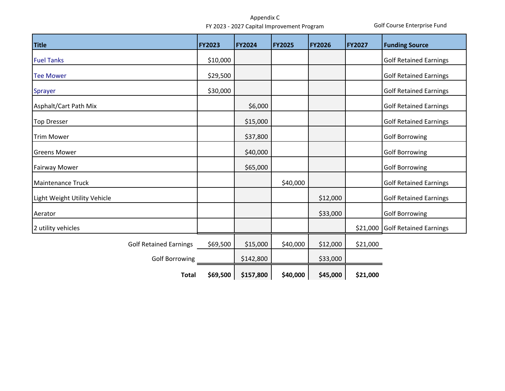Golf Course Enterprise Fund

| <b>Title</b>                  | <b>FY2023</b>            | <b>FY2024</b> | <b>FY2025</b> | <b>FY2026</b> | <b>FY2027</b> | <b>Funding Source</b>         |
|-------------------------------|--------------------------|---------------|---------------|---------------|---------------|-------------------------------|
| <b>Fuel Tanks</b>             | \$10,000                 |               |               |               |               | <b>Golf Retained Earnings</b> |
| <b>Tee Mower</b>              | \$29,500                 |               |               |               |               | <b>Golf Retained Earnings</b> |
| Sprayer                       | \$30,000                 |               |               |               |               | <b>Golf Retained Earnings</b> |
| Asphalt/Cart Path Mix         |                          | \$6,000       |               |               |               | <b>Golf Retained Earnings</b> |
| <b>Top Dresser</b>            |                          | \$15,000      |               |               |               | <b>Golf Retained Earnings</b> |
| <b>Trim Mower</b>             |                          | \$37,800      |               |               |               | <b>Golf Borrowing</b>         |
| <b>Greens Mower</b>           |                          | \$40,000      |               |               |               | <b>Golf Borrowing</b>         |
| <b>Fairway Mower</b>          |                          | \$65,000      |               |               |               | <b>Golf Borrowing</b>         |
| <b>Maintenance Truck</b>      |                          |               | \$40,000      |               |               | <b>Golf Retained Earnings</b> |
| Light Weight Utility Vehicle  |                          |               |               | \$12,000      |               | <b>Golf Retained Earnings</b> |
| Aerator                       |                          |               |               | \$33,000      |               | <b>Golf Borrowing</b>         |
| 2 utility vehicles            |                          |               |               |               | \$21,000      | <b>Golf Retained Earnings</b> |
| <b>Golf Retained Earnings</b> | \$69,500                 | \$15,000      | \$40,000      | \$12,000      | \$21,000      |                               |
| <b>Golf Borrowing</b>         |                          | \$142,800     |               | \$33,000      |               |                               |
|                               | \$69,500<br><b>Total</b> | \$157,800     | \$40,000      | \$45,000      | \$21,000      |                               |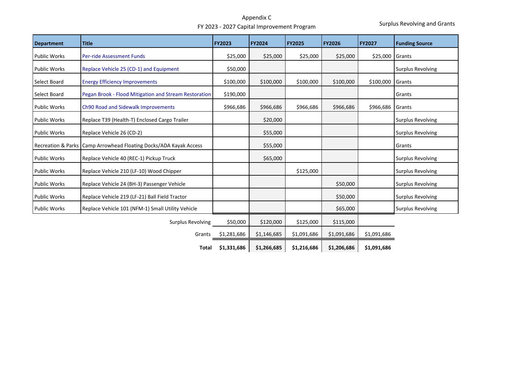Surplus Revolving and Grants

| <b>Department</b>             | <b>Title</b>                                          | <b>FY2023</b> | <b>FY2024</b> | <b>FY2025</b> | <b>FY2026</b> | <b>FY2027</b> | <b>Funding Source</b>    |
|-------------------------------|-------------------------------------------------------|---------------|---------------|---------------|---------------|---------------|--------------------------|
| <b>Public Works</b>           | <b>Per-ride Assessment Funds</b>                      | \$25,000      | \$25,000      | \$25,000      | \$25,000      | \$25,000      | Grants                   |
| <b>Public Works</b>           | Replace Vehicle 25 (CD-1) and Equipment               | \$50,000      |               |               |               |               | <b>Surplus Revolving</b> |
| Select Board                  | <b>Energy Efficiency Improvements</b>                 | \$100,000     | \$100,000     | \$100,000     | \$100,000     | \$100,000     | Grants                   |
| Select Board                  | Pegan Brook - Flood Mitigation and Stream Restoration | \$190,000     |               |               |               |               | Grants                   |
| <b>Public Works</b>           | Ch90 Road and Sidewalk Improvements                   | \$966,686     | \$966,686     | \$966,686     | \$966,686     | \$966,686     | Grants                   |
| <b>Public Works</b>           | Replace T39 (Health-T) Enclosed Cargo Trailer         |               | \$20,000      |               |               |               | <b>Surplus Revolving</b> |
| <b>Public Works</b>           | Replace Vehicle 26 (CD-2)                             |               | \$55,000      |               |               |               | <b>Surplus Revolving</b> |
| <b>Recreation &amp; Parks</b> | Camp Arrowhead Floating Docks/ADA Kayak Access        |               | \$55,000      |               |               |               | Grants                   |
| <b>Public Works</b>           | Replace Vehicle 40 (REC-1) Pickup Truck               |               | \$65,000      |               |               |               | <b>Surplus Revolving</b> |
| <b>Public Works</b>           | Replace Vehicle 210 (LF-10) Wood Chipper              |               |               | \$125,000     |               |               | <b>Surplus Revolving</b> |
| <b>Public Works</b>           | Replace Vehicle 24 (BH-3) Passenger Vehicle           |               |               |               | \$50,000      |               | <b>Surplus Revolving</b> |
| <b>Public Works</b>           | Replace Vehicle 219 (LF-21) Ball Field Tractor        |               |               |               | \$50,000      |               | <b>Surplus Revolving</b> |
| <b>Public Works</b>           | Replace Vehicle 101 (NFM-1) Small Utility Vehicle     |               |               |               | \$65,000      |               | <b>Surplus Revolving</b> |
|                               | <b>Surplus Revolving</b>                              | \$50,000      | \$120,000     | \$125,000     | \$115,000     |               |                          |
|                               | Grants                                                | \$1,281,686   | \$1,146,685   | \$1,091,686   | \$1,091,686   | \$1,091,686   |                          |
|                               | Total                                                 | \$1,331,686   | \$1,266,685   | \$1,216,686   | \$1,206,686   | \$1,091,686   |                          |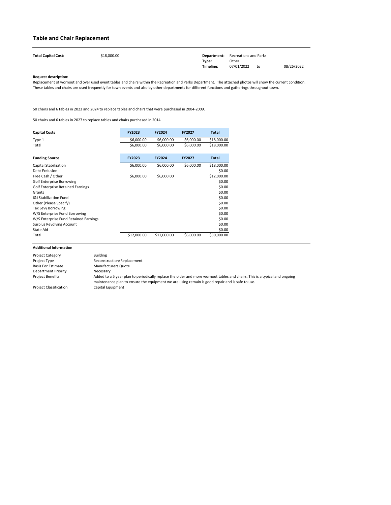| <b>Total Capital Cost:</b> | \$18,000.00 | Department: | Recreations and Parks |    |            |
|----------------------------|-------------|-------------|-----------------------|----|------------|
|                            |             | Type:       | Other                 |    |            |
|                            |             | Timeline:   | 07/01/2022            | to | 08/26/2022 |

| <b>Capital Costs</b>                     | <b>FY2023</b> | <b>FY2024</b> | <b>FY2027</b> | <b>Total</b> |
|------------------------------------------|---------------|---------------|---------------|--------------|
| Type 1                                   | \$6,000.00    | \$6,000.00    | \$6,000.00    | \$18,000.00  |
| Total                                    | \$6,000.00    | \$6,000.00    | \$6,000.00    | \$18,000.00  |
| <b>Funding Source</b>                    | <b>FY2023</b> | <b>FY2024</b> | <b>FY2027</b> | <b>Total</b> |
| Capital Stabilization                    | \$6,000.00    | \$6,000.00    | \$6,000.00    | \$18,000.00  |
| <b>Debt Exclusion</b>                    |               |               |               | \$0.00       |
| Free Cash / Other                        | \$6,000.00    | \$6,000.00    |               | \$12,000.00  |
| <b>Golf Enterprise Borrowing</b>         |               |               |               | \$0.00       |
| <b>Golf Enterprise Retained Earnings</b> |               |               |               | \$0.00       |
| Grants                                   |               |               |               | \$0.00       |
| <b>I&amp;I Stabilization Fund</b>        |               |               |               | \$0.00       |
| Other (Please Specify)                   |               |               |               | \$0.00       |
| <b>Tax Levy Borrowing</b>                |               |               |               | \$0.00       |
| W/S Enterprise Fund Borrowing            |               |               |               | \$0.00       |
| W/S Enterprise Fund Retained Earnings    |               |               |               | \$0.00       |
| <b>Surplus Revolving Account</b>         |               |               |               | \$0.00       |
| State Aid                                |               |               |               | \$0.00       |
| Total                                    | \$12,000.00   | \$12,000.00   | \$6,000.00    | \$30,000.00  |

### <span id="page-19-1"></span><span id="page-19-0"></span>**Table and Chair Replacement**

| <b>Project Category</b>       | <b>Building</b>                                                                                                                                                                                                               |
|-------------------------------|-------------------------------------------------------------------------------------------------------------------------------------------------------------------------------------------------------------------------------|
| Project Type                  | Reconstruction/Replacement                                                                                                                                                                                                    |
| <b>Basis For Estimate</b>     | <b>Manufacturers Quote</b>                                                                                                                                                                                                    |
| <b>Department Priority</b>    | Necessary                                                                                                                                                                                                                     |
| <b>Project Benefits</b>       | Added to a 5 year plan to periodically replace the older and more wornout tables and chairs. This is a typical and ongoing<br>maintenance plan to ensure the equipment we are using remain is good repair and is safe to use. |
| <b>Project Classification</b> | Capital Equipment                                                                                                                                                                                                             |

Replacement of wornout and over used event tables and chairs within the Recreation and Parks Department. The attached photos will show the current condition. These tables and chairs are used frequently for town events and also by other departments for different functions and gatherings throughout town.

50 chairs and 6 tables in 2023 and 2024 to replace tables and chairs that were purchased in 2004-2009.

50 chairs and 6 tables in 2027 to replace tables and chairs purchased in 2014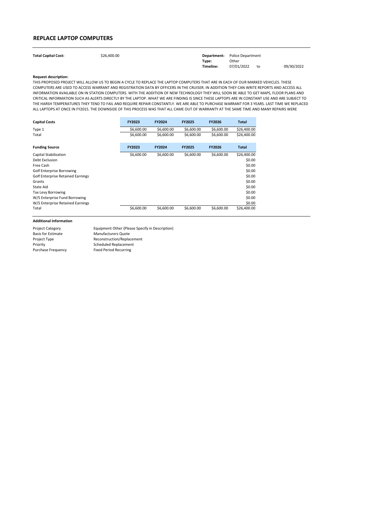| <b>Total Capital Cost:</b> | \$26,400.00 |           | <b>Department:</b> Police Department |    |            |
|----------------------------|-------------|-----------|--------------------------------------|----|------------|
|                            |             | Type:     | Other                                |    |            |
|                            |             | Timeline: | 07/01/2022                           | to | 09/30/2022 |

| <b>Capital Costs</b>                     | <b>FY2023</b> | <b>FY2024</b> | <b>FY2025</b> | <b>FY2026</b> | Total       |
|------------------------------------------|---------------|---------------|---------------|---------------|-------------|
| Type 1                                   | \$6,600.00    | \$6,600.00    | \$6,600.00    | \$6,600.00    | \$26,400.00 |
| Total                                    | \$6,600.00    | \$6,600.00    | \$6,600.00    | \$6,600.00    | \$26,400.00 |
| <b>Funding Source</b>                    | <b>FY2023</b> | <b>FY2024</b> | <b>FY2025</b> | <b>FY2026</b> | Total       |
| Capital Stabilization                    | \$6,600.00    | \$6,600.00    | \$6,600.00    | \$6,600.00    | \$26,400.00 |
| Debt Exclusion                           |               |               |               |               | \$0.00      |
| Free Cash                                |               |               |               |               | \$0.00      |
| <b>Golf Enterprise Borrowing</b>         |               |               |               |               | \$0.00      |
| <b>Golf Enterprise Retained Earnings</b> |               |               |               |               | \$0.00      |
| Grants                                   |               |               |               |               | \$0.00      |
| <b>State Aid</b>                         |               |               |               |               | \$0.00      |
| <b>Tax Levy Borrowing</b>                |               |               |               |               | \$0.00      |
| W/S Enterprise Fund Borrowing            |               |               |               |               | \$0.00      |
| W/S Enterprise Retained Earnings         |               |               |               |               | \$0.00      |
| Total                                    | \$6,600.00    | \$6,600.00    | \$6,600.00    | \$6,600.00    | \$26,400.00 |

### <span id="page-20-0"></span>**REPLACE LAPTOP COMPUTERS**

| <b>Project Category</b>   | Equipment Other (Please Specify in Description) |
|---------------------------|-------------------------------------------------|
| <b>Basis for Estimate</b> | <b>Manufacturers Quote</b>                      |
| Project Type              | Reconstruction/Replacement                      |
| Priority                  | <b>Scheduled Replacement</b>                    |
| <b>Purchase Frequency</b> | <b>Fixed Period Recurring</b>                   |
|                           |                                                 |

THIS PROPOSED PROJECT WILL ALLOW US TO BEGIN A CYCLE TO REPLACE THE LAPTOP COMPUTERS THAT ARE IN EACH OF OUR MARKED VEHICLES. THESE COMPUTERS ARE USED TO ACCESS WARRANT AND REGISTRATION DATA BY OFFICERS IN THE CRUISER. IN ADDITION THEY CAN WRITE REPORTS AND ACCESS ALL INFORMATION AVAILABLE ON IN STATION COMPUTERS. WITH THE ADDITION OF NEW TECHNOLOGY THEY WILL SOON BE ABLE TO GET MAPS, FLOOR PLANS AND CRITICAL INFORMATION SUCH AS ALERTS DIRECTLY BY THE LAPTOP. WHAT WE ARE FINDING IS SINCE THESE LAPTOPS ARE IN CONSTANT USE AND ARE SUBJECT TO THE HARSH TEMPERATURES THEY TEND TO FAIL AND REQUIRE REPAIR CONSTANTLY. WE ARE ABLE TO PURCHASE WARRANT FOR 3 YEARS. LAST TIME WE REPLACED ALL LAPTOPS AT ONCE IN FY2015. THE DOWNSIDE OF THIS PROCESS WAS THAT ALL CAME OUT OF WARRANTY AT THE SAME TIME AND MANY REPAIRS WERE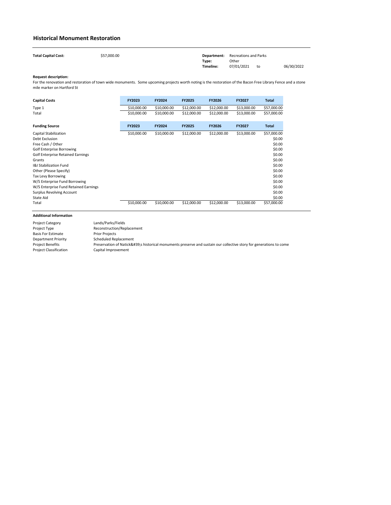| <b>Total Capital Cost:</b> | \$57,000.00 |           | <b>Department:</b> Recreations and Parks |    |            |
|----------------------------|-------------|-----------|------------------------------------------|----|------------|
|                            |             | Type:     | Other                                    |    |            |
|                            |             | Timeline: | 07/01/2021                               | to | 06/30/2022 |

| <b>Capital Costs</b>                     | <b>FY2023</b> | FY2024        | <b>FY2025</b> | <b>FY2026</b> | <b>FY2027</b> | <b>Total</b> |
|------------------------------------------|---------------|---------------|---------------|---------------|---------------|--------------|
| Type 1                                   | \$10,000.00   | \$10,000.00   | \$12,000.00   | \$12,000.00   | \$13,000.00   | \$57,000.00  |
| Total                                    | \$10,000.00   | \$10,000.00   | \$12,000.00   | \$12,000.00   | \$13,000.00   | \$57,000.00  |
| <b>Funding Source</b>                    | <b>FY2023</b> | <b>FY2024</b> | <b>FY2025</b> | <b>FY2026</b> | <b>FY2027</b> | <b>Total</b> |
| Capital Stabilization                    | \$10,000.00   | \$10,000.00   | \$12,000.00   | \$12,000.00   | \$13,000.00   | \$57,000.00  |
| Debt Exclusion                           |               |               |               |               |               | \$0.00       |
| Free Cash / Other                        |               |               |               |               |               | \$0.00       |
| <b>Golf Enterprise Borrowing</b>         |               |               |               |               |               | \$0.00       |
| <b>Golf Enterprise Retained Earnings</b> |               |               |               |               |               | \$0.00       |
| Grants                                   |               |               |               |               |               | \$0.00       |
| <b>I&amp;I Stabilization Fund</b>        |               |               |               |               |               | \$0.00       |
| Other (Please Specify)                   |               |               |               |               |               | \$0.00       |
| <b>Tax Levy Borrowing</b>                |               |               |               |               |               | \$0.00       |
| W/S Enterprise Fund Borrowing            |               |               |               |               |               | \$0.00       |
| W/S Enterprise Fund Retained Earnings    |               |               |               |               |               | \$0.00       |
| <b>Surplus Revolving Account</b>         |               |               |               |               |               | \$0.00       |
| State Aid                                |               |               |               |               |               | \$0.00       |
| Total                                    | \$10,000.00   | \$10,000.00   | \$12,000.00   | \$12,000.00   | \$13,000.00   | \$57,000.00  |

| <b>Project Category</b>       | Lands/Parks/Fields                                                                                              |
|-------------------------------|-----------------------------------------------------------------------------------------------------------------|
| Project Type                  | Reconstruction/Replacement                                                                                      |
| <b>Basis For Estimate</b>     | <b>Prior Projects</b>                                                                                           |
| <b>Department Priority</b>    | <b>Scheduled Replacement</b>                                                                                    |
| <b>Project Benefits</b>       | Preservation of Natick's historical monuments preserve and sustain our collective story for generations to come |
| <b>Project Classification</b> | Capital Improvement                                                                                             |

### <span id="page-21-0"></span>**Historical Monument Restoration**

For the renovation and restoration of town wide monuments. Some upcoming projects worth noting is the restoration of the Bacon Free Library Fence and a stone mile marker on Hartford St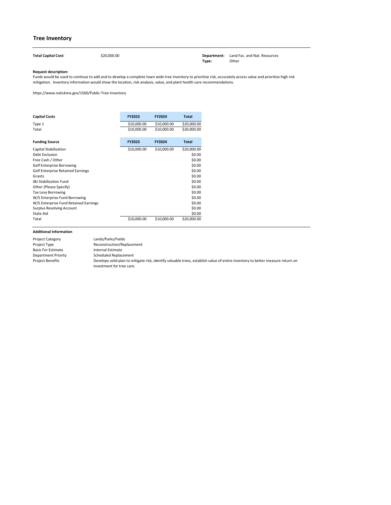**Total Capital Cost:** \$20,000.00 **Department:** Land Fac. and Nat. Resources **Type:** Other

#### **Request description:**

| <b>Capital Costs</b>                     | <b>FY2023</b> | <b>FY2024</b> | <b>Total</b> |
|------------------------------------------|---------------|---------------|--------------|
| Type 1                                   | \$10,000.00   | \$10,000.00   | \$20,000.00  |
| Total                                    | \$10,000.00   | \$10,000.00   | \$20,000.00  |
| <b>Funding Source</b>                    | <b>FY2023</b> | <b>FY2024</b> | <b>Total</b> |
| <b>Capital Stabilization</b>             | \$10,000.00   | \$10,000.00   | \$20,000.00  |
| Debt Exclusion                           |               |               | \$0.00       |
| Free Cash / Other                        |               |               | \$0.00       |
| <b>Golf Enterprise Borrowing</b>         |               |               | \$0.00       |
| <b>Golf Enterprise Retained Earnings</b> |               |               | \$0.00       |
| Grants                                   |               |               | \$0.00       |
| <b>I&amp;I Stabilization Fund</b>        |               |               | \$0.00       |
| Other (Please Specify)                   |               |               | \$0.00       |
| Tax Levy Borrowing                       |               |               | \$0.00       |
| W/S Enterprise Fund Borrowing            |               |               | \$0.00       |
| W/S Enterprise Fund Retained Earnings    |               |               | \$0.00       |
| <b>Surplus Revolving Account</b>         |               |               | \$0.00       |
| <b>State Aid</b>                         |               |               | \$0.00       |
| Total                                    | \$10,000.00   | \$10,000.00   | \$20,000.00  |

### **Tree Inventory**

<span id="page-22-0"></span>

| <b>Project Category</b>   | Lands/Parks/Fields                                                                                                             |
|---------------------------|--------------------------------------------------------------------------------------------------------------------------------|
| Project Type              | Reconstruction/Replacement                                                                                                     |
| <b>Basis For Estimate</b> | Internal Estimate                                                                                                              |
| Department Priority       | Scheduled Replacement                                                                                                          |
| <b>Project Benefits</b>   | Develops solid plan to mitigate risk, identify valuable trees, establish value of entire inventory to better measure return on |
|                           | investment for tree care.                                                                                                      |

Funds would be used to continue to add and to develop a complete town wide tree inventory to prioritize risk, accurately access value and prioritize high risk mitigation. Inventory information would show the location, risk analysis, value, and plant health care recommendations.

https://www.natickma.gov/1560/Public-Tree-Inventory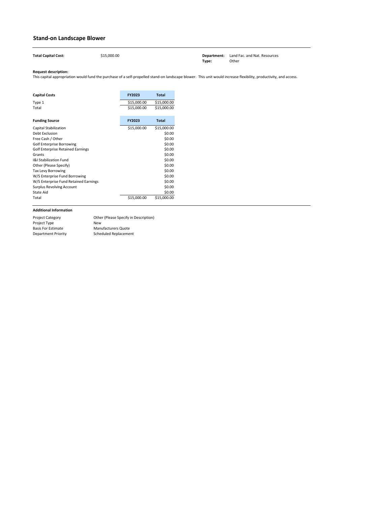<span id="page-23-0"></span>**Department:** Land Fac. and Nat. Resources **Type:** Other

#### **Request description:**

| <b>Capital Costs</b>                     | <b>FY2023</b> | <b>Total</b> |
|------------------------------------------|---------------|--------------|
| Type 1                                   | \$15,000.00   | \$15,000.00  |
| Total                                    | \$15,000.00   | \$15,000.00  |
| <b>Funding Source</b>                    | <b>FY2023</b> | <b>Total</b> |
| Capital Stabilization                    | \$15,000.00   | \$15,000.00  |
| <b>Debt Exclusion</b>                    |               | \$0.00       |
| Free Cash / Other                        |               | \$0.00       |
| <b>Golf Enterprise Borrowing</b>         |               | \$0.00       |
| <b>Golf Enterprise Retained Earnings</b> |               | \$0.00       |
| Grants                                   |               | \$0.00       |
| <b>I&amp;I Stabilization Fund</b>        |               | \$0.00       |
| Other (Please Specify)                   |               | \$0.00       |
| <b>Tax Levy Borrowing</b>                |               | \$0.00       |
| W/S Enterprise Fund Borrowing            |               | \$0.00       |
| W/S Enterprise Fund Retained Earnings    |               | \$0.00       |
| <b>Surplus Revolving Account</b>         |               | \$0.00       |
| State Aid                                |               | \$0.00       |
| Total                                    | \$15,000.00   | \$15,000.00  |

### **Stand-on Landscape Blower**

| <b>Total Capital Cost:</b> | \$15,000.00 |
|----------------------------|-------------|

| <b>Project Category</b>   | Other (Please Specify in Description) |
|---------------------------|---------------------------------------|
| <b>Project Type</b>       | New                                   |
| <b>Basis For Estimate</b> | <b>Manufacturers Quote</b>            |
| Department Priority       | Scheduled Replacement                 |

This capital appropriation would fund the purchase of a self-propelled stand-on landscape blower. This unit would increase flexibility, productivity, and access.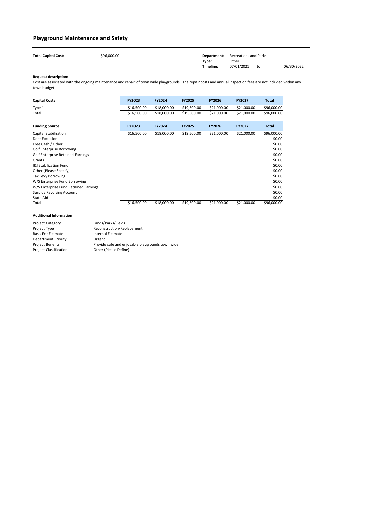| <b>Total Capital Cost:</b> | \$96,000.00 |           | <b>Department:</b> Recreations and Parks |    |            |
|----------------------------|-------------|-----------|------------------------------------------|----|------------|
|                            |             | Type:     | Other                                    |    |            |
|                            |             | Timeline: | 07/01/2021                               | to | 06/30/2022 |

| <b>Capital Costs</b>                     | <b>FY2023</b> | <b>FY2024</b> | <b>FY2025</b> | <b>FY2026</b> | <b>FY2027</b> | <b>Total</b> |
|------------------------------------------|---------------|---------------|---------------|---------------|---------------|--------------|
| Type 1                                   | \$16,500.00   | \$18,000.00   | \$19,500.00   | \$21,000.00   | \$21,000.00   | \$96,000.00  |
| Total                                    | \$16,500.00   | \$18,000.00   | \$19,500.00   | \$21,000.00   | \$21,000.00   | \$96,000.00  |
| <b>Funding Source</b>                    | <b>FY2023</b> | <b>FY2024</b> | <b>FY2025</b> | <b>FY2026</b> | <b>FY2027</b> | <b>Total</b> |
| <b>Capital Stabilization</b>             | \$16,500.00   | \$18,000.00   | \$19,500.00   | \$21,000.00   | \$21,000.00   | \$96,000.00  |
| Debt Exclusion                           |               |               |               |               |               | \$0.00       |
| Free Cash / Other                        |               |               |               |               |               | \$0.00       |
| <b>Golf Enterprise Borrowing</b>         |               |               |               |               |               | \$0.00       |
| <b>Golf Enterprise Retained Earnings</b> |               |               |               |               |               | \$0.00       |
| Grants                                   |               |               |               |               |               | \$0.00       |
| <b>I&amp;I Stabilization Fund</b>        |               |               |               |               |               | \$0.00       |
| Other (Please Specify)                   |               |               |               |               |               | \$0.00       |
| <b>Tax Levy Borrowing</b>                |               |               |               |               |               | \$0.00       |
| W/S Enterprise Fund Borrowing            |               |               |               |               |               | \$0.00       |
| W/S Enterprise Fund Retained Earnings    |               |               |               |               |               | \$0.00       |
| <b>Surplus Revolving Account</b>         |               |               |               |               |               | \$0.00       |
| State Aid                                |               |               |               |               |               | \$0.00       |
| Total                                    | \$16,500.00   | \$18,000.00   | \$19,500.00   | \$21,000.00   | \$21,000.00   | \$96,000.00  |

### <span id="page-24-0"></span>**Playground Maintenance and Safety**

| <b>Project Category</b>       | Lands/Parks/Fields                               |
|-------------------------------|--------------------------------------------------|
| Project Type                  | Reconstruction/Replacement                       |
| <b>Basis For Estimate</b>     | Internal Estimate                                |
| Department Priority           | Urgent                                           |
| <b>Project Benefits</b>       | Provide safe and enjoyable playgrounds town wide |
| <b>Project Classification</b> | Other (Please Define)                            |

Cost are associated with the ongoing maintenance and repair of town wide playgrounds. The repair costs and annual inspection fees are not included within any town budget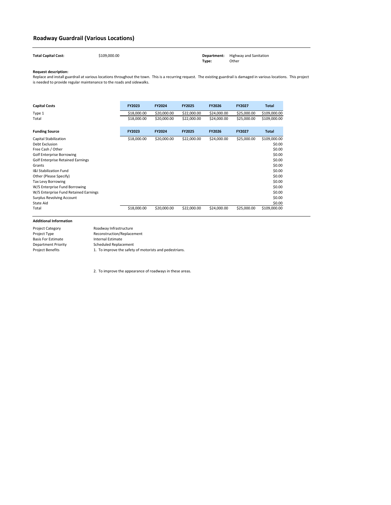| <b>Total Capital Cost:</b> | \$109,000.00 |       | <b>Department:</b> Highway and Sanitation |
|----------------------------|--------------|-------|-------------------------------------------|
|                            |              | Type: | Other                                     |

| <b>Capital Costs</b>                     | <b>FY2023</b> | <b>FY2024</b> | <b>FY2025</b> | <b>FY2026</b> | <b>FY2027</b> | <b>Total</b> |
|------------------------------------------|---------------|---------------|---------------|---------------|---------------|--------------|
| Type 1                                   | \$18,000.00   | \$20,000.00   | \$22,000.00   | \$24,000.00   | \$25,000.00   | \$109,000.00 |
| Total                                    | \$18,000.00   | \$20,000.00   | \$22,000.00   | \$24,000.00   | \$25,000.00   | \$109,000.00 |
| <b>Funding Source</b>                    | <b>FY2023</b> | <b>FY2024</b> | <b>FY2025</b> | <b>FY2026</b> | <b>FY2027</b> | <b>Total</b> |
| <b>Capital Stabilization</b>             | \$18,000.00   | \$20,000.00   | \$22,000.00   | \$24,000.00   | \$25,000.00   | \$109,000.00 |
| Debt Exclusion                           |               |               |               |               |               | \$0.00       |
| Free Cash / Other                        |               |               |               |               |               | \$0.00       |
| <b>Golf Enterprise Borrowing</b>         |               |               |               |               |               | \$0.00       |
| <b>Golf Enterprise Retained Earnings</b> |               |               |               |               |               | \$0.00       |
| Grants                                   |               |               |               |               |               | \$0.00       |
| <b>I&amp;I Stabilization Fund</b>        |               |               |               |               |               | \$0.00       |
| Other (Please Specify)                   |               |               |               |               |               | \$0.00       |
| <b>Tax Levy Borrowing</b>                |               |               |               |               |               | \$0.00       |
| W/S Enterprise Fund Borrowing            |               |               |               |               |               | \$0.00       |
| W/S Enterprise Fund Retained Earnings    |               |               |               |               |               | \$0.00       |
| <b>Surplus Revolving Account</b>         |               |               |               |               |               | \$0.00       |
| State Aid                                |               |               |               |               |               | \$0.00       |
| Total                                    | \$18,000.00   | \$20,000.00   | \$22,000.00   | \$24,000.00   | \$25,000.00   | \$109,000.00 |

2. To improve the appearance of roadways in these areas.

### <span id="page-25-0"></span>**Roadway Guardrail (Various Locations)**

| <b>Project Category</b>   | Roadway Infrastructure                                 |
|---------------------------|--------------------------------------------------------|
| <b>Project Type</b>       | Reconstruction/Replacement                             |
| <b>Basis For Estimate</b> | Internal Estimate                                      |
| Department Priority       | Scheduled Replacement                                  |
| <b>Project Benefits</b>   | 1. To improve the safety of motorists and pedestrians. |

Replace and install guardrail at various locations throughout the town. This is a recurring request. The existing guardrail is damaged in various locations. This project is needed to provide regular maintenance to the roads and sidewalks.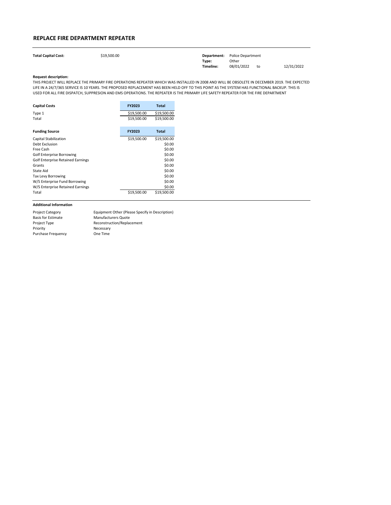| <b>Total Capital Cost:</b> | \$19,500.00 |           | <b>Department:</b> Police Department |    |            |
|----------------------------|-------------|-----------|--------------------------------------|----|------------|
|                            |             | Type:     | Other                                |    |            |
|                            |             | Timeline: | 08/01/2022                           | to | 12/31/2022 |

| <b>Capital Costs</b>                     | <b>FY2023</b> | <b>Total</b> |
|------------------------------------------|---------------|--------------|
| Type 1                                   | \$19,500.00   | \$19,500.00  |
| Total                                    | \$19,500.00   | \$19,500.00  |
| <b>Funding Source</b>                    | <b>FY2023</b> | <b>Total</b> |
| <b>Capital Stabilization</b>             | \$19,500.00   | \$19,500.00  |
| Debt Exclusion                           |               | \$0.00       |
| Free Cash                                |               | \$0.00       |
| <b>Golf Enterprise Borrowing</b>         |               | \$0.00       |
| <b>Golf Enterprise Retained Earnings</b> |               | \$0.00       |
| Grants                                   |               | \$0.00       |
| State Aid                                |               | \$0.00       |
| <b>Tax Levy Borrowing</b>                |               | \$0.00       |
| W/S Enterprise Fund Borrowing            |               | \$0.00       |
| W/S Enterprise Retained Earnings         |               | \$0.00       |
| Total                                    | \$19,500.00   | \$19,500.00  |

### <span id="page-26-0"></span>**REPLACE FIRE DEPARTMENT REPEATER**

| <b>Project Category</b>   | Equipment Other (Please Specify in Description) |
|---------------------------|-------------------------------------------------|
| <b>Basis for Estimate</b> | <b>Manufacturers Quote</b>                      |
| Project Type              | Reconstruction/Replacement                      |
| Priority                  | Necessary                                       |
| <b>Purchase Frequency</b> | One Time                                        |

THIS PROJECT WILL REPLACE THE PRIMARY FIRE OPERATIONS REPEATER WHICH WAS INSTALLED IN 2008 AND WILL BE OBSOLETE IN DECEMBER 2019. THE EXPECTED LIFE IN A 24/7/365 SERVICE IS 10 YEARS. THE PROPOSED REPLACEMENT HAS BEEN HELD OFF TO THIS POINT AS THE SYSTEM HAS FUNCTIONAL BACKUP. THIS IS USED FOR ALL FIRE DISPATCH, SUPPRESION AND EMS OPERATIONS. THE REPEATER IS THE PRIMARY LIFE SAFETY REPEATER FOR THE FIRE DEPARTMENT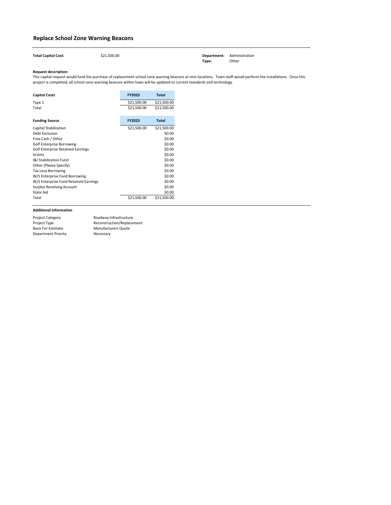| <b>Total Capital Cost:</b> | \$21,500.00 |       | <b>Department:</b> Administration |
|----------------------------|-------------|-------|-----------------------------------|
|                            |             | Type: | Other                             |

| <b>Capital Costs</b>                     | <b>FY2023</b> | <b>Total</b> |
|------------------------------------------|---------------|--------------|
| Type 1                                   | \$21,500.00   | \$21,500.00  |
| Total                                    | \$21,500.00   | \$21,500.00  |
| <b>Funding Source</b>                    | <b>FY2023</b> | <b>Total</b> |
| Capital Stabilization                    | \$21,500.00   | \$21,500.00  |
| Debt Exclusion                           |               | \$0.00       |
| Free Cash / Other                        |               | \$0.00       |
| <b>Golf Enterprise Borrowing</b>         |               | \$0.00       |
| <b>Golf Enterprise Retained Earnings</b> |               | \$0.00       |
| Grants                                   |               | \$0.00       |
| <b>I&amp;I Stabilization Fund</b>        |               | \$0.00       |
| Other (Please Specify)                   |               | \$0.00       |
| <b>Tax Levy Borrowing</b>                |               | \$0.00       |
| W/S Enterprise Fund Borrowing            |               | \$0.00       |
| W/S Enterprise Fund Retained Earnings    |               | \$0.00       |
| <b>Surplus Revolving Account</b>         |               | \$0.00       |
| State Aid                                |               | \$0.00       |
| Total                                    | \$21,500.00   | \$21,500.00  |

### <span id="page-27-0"></span>**Replace School Zone Warning Beacons**

| <b>Project Category</b>    | Roadway Infrastructure     |
|----------------------------|----------------------------|
| Project Type               | Reconstruction/Replacement |
| <b>Basis For Estimate</b>  | <b>Manufacturers Quote</b> |
| <b>Department Priority</b> | Necessary                  |

This capital request would fund the purchase of replacement school zone warning beacons at nine locations. Town staff would perform the installations. Once this project is completed, all school zone warning beacons within town will be updated to current standards and technology.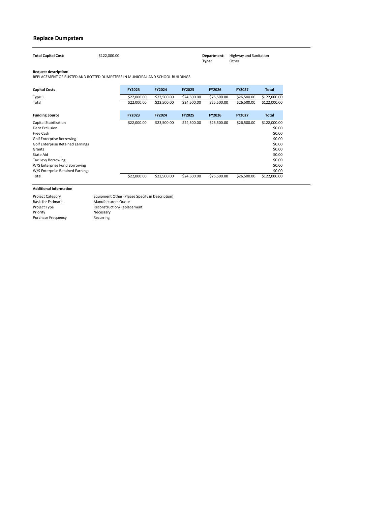| <b>Total Capital Cost:</b> | \$122,000.00 |       | <b>Department:</b> Highway and Sanitation |
|----------------------------|--------------|-------|-------------------------------------------|
|                            |              | Type: | Other                                     |

| <b>Capital Costs</b>                     | <b>FY2023</b> | <b>FY2024</b> | <b>FY2025</b> | <b>FY2026</b> | <b>FY2027</b> | <b>Total</b> |
|------------------------------------------|---------------|---------------|---------------|---------------|---------------|--------------|
| Type 1                                   | \$22,000.00   | \$23,500.00   | \$24,500.00   | \$25,500.00   | \$26,500.00   | \$122,000.00 |
| Total                                    | \$22,000.00   | \$23,500.00   | \$24,500.00   | \$25,500.00   | \$26,500.00   | \$122,000.00 |
| <b>Funding Source</b>                    | <b>FY2023</b> | <b>FY2024</b> | <b>FY2025</b> | <b>FY2026</b> | <b>FY2027</b> | <b>Total</b> |
| Capital Stabilization                    | \$22,000.00   | \$23,500.00   | \$24,500.00   | \$25,500.00   | \$26,500.00   | \$122,000.00 |
| Debt Exclusion                           |               |               |               |               |               | \$0.00       |
| Free Cash                                |               |               |               |               |               | \$0.00       |
| <b>Golf Enterprise Borrowing</b>         |               |               |               |               |               | \$0.00       |
| <b>Golf Enterprise Retained Earnings</b> |               |               |               |               |               | \$0.00       |
| Grants                                   |               |               |               |               |               | \$0.00       |
| State Aid                                |               |               |               |               |               | \$0.00       |
| <b>Tax Levy Borrowing</b>                |               |               |               |               |               | \$0.00       |
| W/S Enterprise Fund Borrowing            |               |               |               |               |               | \$0.00       |
| W/S Enterprise Retained Earnings         |               |               |               |               |               | \$0.00       |
| Total                                    | \$22,000.00   | \$23,500.00   | \$24,500.00   | \$25,500.00   | \$26,500.00   | \$122,000.00 |

### <span id="page-28-0"></span>**Replace Dumpsters**

| <b>Project Category</b>   | Equipment Other (Please Specify in Description) |
|---------------------------|-------------------------------------------------|
| <b>Basis for Estimate</b> | <b>Manufacturers Quote</b>                      |
| Project Type              | Reconstruction/Replacement                      |
| Priority                  | Necessary                                       |
| <b>Purchase Frequency</b> | Recurring                                       |

REPLACEMENT OF RUSTED AND ROTTED DUMPSTERS IN MUNICIPAL AND SCHOOL BUILDINGS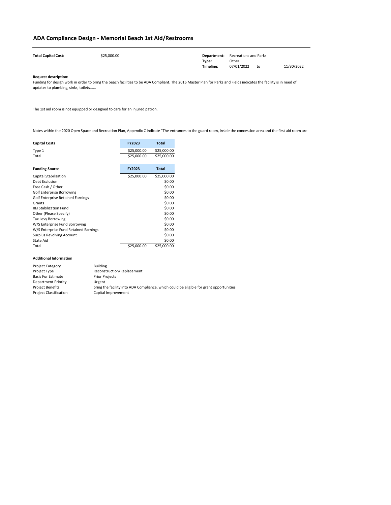| <b>Total Capital Cost:</b> | \$25,000.00 | Department: | <b>Recreations and Parks</b> |    |            |
|----------------------------|-------------|-------------|------------------------------|----|------------|
|                            |             | Type:       | Other                        |    |            |
|                            |             | Timeline:   | 07/01/2022                   | to | 11/30/2022 |

| <b>Capital Costs</b>                     | <b>FY2023</b> | <b>Total</b> |
|------------------------------------------|---------------|--------------|
| Type 1                                   | \$25,000.00   | \$25,000.00  |
| Total                                    | \$25,000.00   | \$25,000.00  |
| <b>Funding Source</b>                    | <b>FY2023</b> | <b>Total</b> |
| <b>Capital Stabilization</b>             | \$25,000.00   | \$25,000.00  |
| Debt Exclusion                           |               | \$0.00       |
| Free Cash / Other                        |               | \$0.00       |
| <b>Golf Enterprise Borrowing</b>         |               | \$0.00       |
| <b>Golf Enterprise Retained Earnings</b> |               | \$0.00       |
| Grants                                   |               | \$0.00       |
| <b>I&amp;I Stabilization Fund</b>        |               | \$0.00       |
| Other (Please Specify)                   |               | \$0.00       |
| <b>Tax Levy Borrowing</b>                |               | \$0.00       |
| W/S Enterprise Fund Borrowing            |               | \$0.00       |
| W/S Enterprise Fund Retained Earnings    |               | \$0.00       |
| <b>Surplus Revolving Account</b>         |               | \$0.00       |
| State Aid                                |               | \$0.00       |
| Total                                    | \$25,000.00   | \$25,000.00  |

### <span id="page-29-0"></span>**ADA Compliance Design - Memorial Beach 1st Aid/Restrooms**

| <b>Project Category</b>       | <b>Building</b>                                                                         |
|-------------------------------|-----------------------------------------------------------------------------------------|
| Project Type                  | Reconstruction/Replacement                                                              |
| <b>Basis For Estimate</b>     | <b>Prior Projects</b>                                                                   |
| <b>Department Priority</b>    | Urgent                                                                                  |
| <b>Project Benefits</b>       | bring the facility into ADA Compliance, which could be eligible for grant opportunities |
| <b>Project Classification</b> | Capital Improvement                                                                     |

Funding for design work in order to bring the beach facilities to be ADA Compliant. The 2016 Master Plan for Parks and Fields indicates the facility is in need of updates to plumbing, sinks, toilets......

The 1st aid room is not equipped or designed to care for an injured patron.

Notes within the 2020 Open Space and Recreation Plan, Appendix C indicate "The entrances to the guard room, inside the concession area and the first aid room are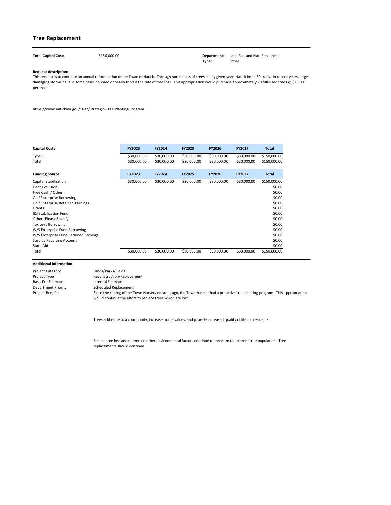**Total Capital Cost:** \$150,000.00 **Department:** Land Fac. and Nat. Resources **Type:** Other

#### **Request description:**

| <b>Capital Costs</b>                     | FY2023      | <b>FY2024</b> | <b>FY2025</b> | <b>FY2026</b> | FY2027      | <b>Total</b> |
|------------------------------------------|-------------|---------------|---------------|---------------|-------------|--------------|
| Type 1                                   | \$30,000.00 | \$30,000.00   | \$30,000.00   | \$30,000.00   | \$30,000.00 | \$150,000.00 |
| Total                                    | \$30,000.00 | \$30,000.00   | \$30,000.00   | \$30,000.00   | \$30,000.00 | \$150,000.00 |
| <b>Funding Source</b>                    | FY2023      | <b>FY2024</b> | <b>FY2025</b> | <b>FY2026</b> | FY2027      | <b>Total</b> |
| Capital Stabilization                    | \$30,000.00 | \$30,000.00   | \$30,000.00   | \$30,000.00   | \$30,000.00 | \$150,000.00 |
| Debt Exclusion                           |             |               |               |               |             | \$0.00       |
| Free Cash / Other                        |             |               |               |               |             | \$0.00       |
| <b>Golf Enterprise Borrowing</b>         |             |               |               |               |             | \$0.00       |
| <b>Golf Enterprise Retained Earnings</b> |             |               |               |               |             | \$0.00       |
| Grants                                   |             |               |               |               |             | \$0.00       |
| <b>I&amp;I Stabilization Fund</b>        |             |               |               |               |             | \$0.00       |
| Other (Please Specify)                   |             |               |               |               |             | \$0.00       |
| Tax Levy Borrowing                       |             |               |               |               |             | \$0.00       |
| W/S Enterprise Fund Borrowing            |             |               |               |               |             | \$0.00       |
| W/S Enterprise Fund Retained Earnings    |             |               |               |               |             | \$0.00       |
| <b>Surplus Revolving Account</b>         |             |               |               |               |             | \$0.00       |
| State Aid                                |             |               |               |               |             | \$0.00       |
| Total                                    | \$30,000.00 | \$30,000.00   | \$30,000.00   | \$30,000.00   | \$30,000.00 | \$150,000.00 |

Recent tree loss and numerous other environmental factors continue to threaten the current tree population. Tree replacements should continue.

| <b>Project Category</b>    | Lands/Parks/Fields                                                                                                            |
|----------------------------|-------------------------------------------------------------------------------------------------------------------------------|
| Project Type               | Reconstruction/Replacement                                                                                                    |
| <b>Basis For Estimate</b>  | Internal Estimate                                                                                                             |
| <b>Department Priority</b> | <b>Scheduled Replacement</b>                                                                                                  |
| <b>Project Benefits</b>    | Since the closing of the Town Nursery decades ago, the Town has not had a proactive tree planting program. This appropriation |
|                            | would continue the effort to replace trees which are lost.                                                                    |

### **Tree Replacement**

<span id="page-30-0"></span>

This request is to continue an annual reforestation of the Town of Natick. Through normal loss of trees in any given year, Natick loses 30 trees. In recent years, large damaging storms have in some cases doubled or nearly tripled the rate of tree loss. This appropriation would purchase approximately 20 full-sized trees @ \$1,500 per tree.

https://www.natickma.gov/1637/Strategic-Tree-Planting-Program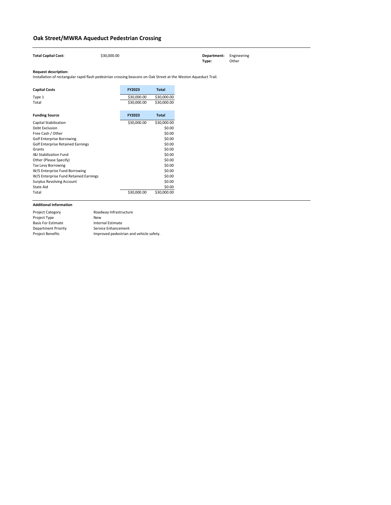| <b>Total Capital Cost:</b>                                                                                      | \$30,000.00 |               |              | Department:<br>Type: |
|-----------------------------------------------------------------------------------------------------------------|-------------|---------------|--------------|----------------------|
| <b>Request description:</b>                                                                                     |             |               |              |                      |
| Installation of rectangular rapid flash pedestrian crossing beacons on Oak Street at the Weston Aqueduct Trail. |             |               |              |                      |
| <b>Capital Costs</b>                                                                                            |             | <b>FY2023</b> | <b>Total</b> |                      |
| Type 1                                                                                                          |             | \$30,000.00   | \$30,000.00  |                      |
| Total                                                                                                           |             | \$30,000.00   | \$30,000.00  |                      |
| <b>Funding Source</b>                                                                                           |             | <b>FY2023</b> | <b>Total</b> |                      |
| <b>Capital Stabilization</b>                                                                                    |             | \$30,000.00   | \$30,000.00  |                      |
| Debt Exclusion                                                                                                  |             |               | \$0.00       |                      |
| Free Cash / Other                                                                                               |             |               | \$0.00       |                      |
| <b>Golf Enterprise Borrowing</b>                                                                                |             |               | \$0.00       |                      |
| <b>Golf Enterprise Retained Earnings</b>                                                                        |             |               | \$0.00       |                      |
| Grants                                                                                                          |             |               | \$0.00       |                      |
| <b>I&amp;I Stabilization Fund</b>                                                                               |             |               | \$0.00       |                      |
| Other (Please Specify)                                                                                          |             |               | \$0.00       |                      |
| <b>Tax Levy Borrowing</b>                                                                                       |             |               | \$0.00       |                      |
| W/S Enterprise Fund Borrowing                                                                                   |             |               | \$0.00       |                      |
| W/S Enterprise Fund Retained Earnings                                                                           |             |               | \$0.00       |                      |
| <b>Surplus Revolving Account</b>                                                                                |             |               | \$0.00       |                      |
| <b>State Aid</b>                                                                                                |             |               | \$0.00       |                      |
| Total                                                                                                           |             | \$30,000.00   | \$30,000.00  |                      |

| <b>Project Category</b>    | Roadway Infrastructure                  |
|----------------------------|-----------------------------------------|
| Project Type               | <b>New</b>                              |
| <b>Basis For Estimate</b>  | Internal Estimate                       |
| <b>Department Priority</b> | Service Enhancement                     |
| <b>Project Benefits</b>    | Improved pedestrian and vehicle safety. |

### <span id="page-31-0"></span>**Oak Street/MWRA Aqueduct Pedestrian Crossing**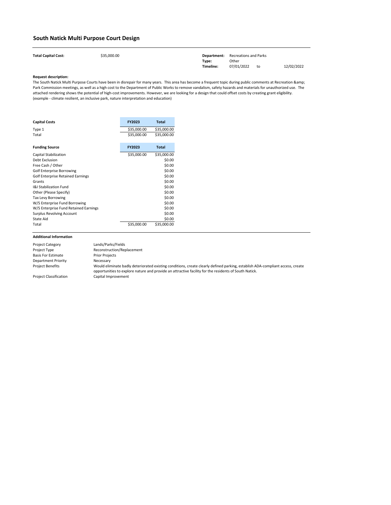| <b>Total Capital Cost:</b> | \$35,000.00 |           | <b>Department:</b> Recreations and Parks |    |            |
|----------------------------|-------------|-----------|------------------------------------------|----|------------|
|                            |             | Type:     | Other                                    |    |            |
|                            |             | Timeline: | 07/01/2022                               | to | 12/02/2022 |

| <b>Capital Costs</b>                     | <b>FY2023</b> | <b>Total</b> |
|------------------------------------------|---------------|--------------|
| Type 1                                   | \$35,000.00   | \$35,000.00  |
| Total                                    | \$35,000.00   | \$35,000.00  |
| <b>Funding Source</b>                    | <b>FY2023</b> | <b>Total</b> |
| <b>Capital Stabilization</b>             | \$35,000.00   | \$35,000.00  |
| <b>Debt Exclusion</b>                    |               | \$0.00       |
| Free Cash / Other                        |               | \$0.00       |
| <b>Golf Enterprise Borrowing</b>         |               | \$0.00       |
| <b>Golf Enterprise Retained Earnings</b> |               | \$0.00       |
| Grants                                   |               | \$0.00       |
| <b>1&amp;I Stabilization Fund</b>        |               | \$0.00       |
| Other (Please Specify)                   |               | \$0.00       |
| Tax Levy Borrowing                       |               | \$0.00       |
| W/S Enterprise Fund Borrowing            |               | \$0.00       |
| W/S Enterprise Fund Retained Earnings    |               | \$0.00       |
| <b>Surplus Revolving Account</b>         |               | \$0.00       |
| <b>State Aid</b>                         |               | \$0.00       |
| Total                                    | \$35,000.00   | \$35,000.00  |

The South Natick Multi Purpose Courts have been in disrepair for many years. This area has become a frequent topic during public comments at Recreation & Park Commission meetings, as well as a high cost to the Department of Public Works to remove vandalism, safety hazards and materials for unauthorized use. The attached rendering shows the potential of high-cost improvements. However, we are looking for a design that could offset costs by creating grant eligibility. (example - climate resilient, an inclusive park, nature interpretation and education)

### <span id="page-32-0"></span>**South Natick Multi Purpose Court Design**

| <b>Project Category</b>       | Lands/Parks/Fields                                                                                                                                                                                                                      |
|-------------------------------|-----------------------------------------------------------------------------------------------------------------------------------------------------------------------------------------------------------------------------------------|
| Project Type                  | Reconstruction/Replacement                                                                                                                                                                                                              |
| <b>Basis For Estimate</b>     | <b>Prior Projects</b>                                                                                                                                                                                                                   |
| Department Priority           | Necessary                                                                                                                                                                                                                               |
| <b>Project Benefits</b>       | Would eliminate badly deteriorated existing conditions, create clearly defined parking, establish ADA-compliant access, create<br>opportunities to explore nature and provide an attractive facility for the residents of South Natick. |
| <b>Project Classification</b> | Capital Improvement                                                                                                                                                                                                                     |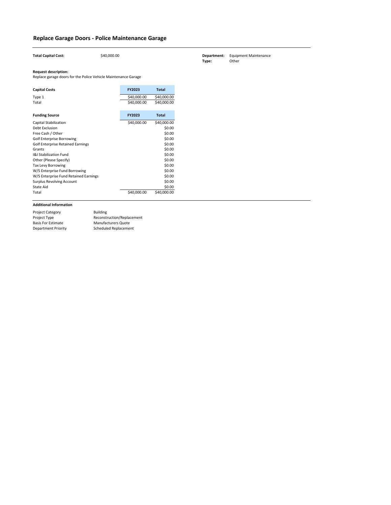| <b>Total Capital Cost:</b>                                     | \$40,000.00 |             |              |
|----------------------------------------------------------------|-------------|-------------|--------------|
| <b>Request description:</b>                                    |             |             |              |
| Replace garage doors for the Police Vehicle Maintenance Garage |             |             |              |
| <b>Capital Costs</b>                                           |             | FY2023      | <b>Total</b> |
| Type 1                                                         |             | \$40,000.00 | \$40,000.00  |
| Total                                                          |             | \$40,000.00 | \$40,000.00  |
|                                                                |             |             |              |
| <b>Funding Source</b>                                          |             | FY2023      | <b>Total</b> |
| Capital Stabilization                                          |             | \$40,000.00 | \$40,000.00  |
| Debt Exclusion                                                 |             |             | \$0.00       |
| Free Cash / Other                                              |             |             | \$0.00       |
| <b>Golf Enterprise Borrowing</b>                               |             |             | \$0.00       |
| <b>Golf Enterprise Retained Earnings</b>                       |             |             | \$0.00       |
| Grants                                                         |             |             | \$0.00       |
| <b>I&amp;I Stabilization Fund</b>                              |             |             | \$0.00       |
| Other (Please Specify)                                         |             |             | \$0.00       |
| <b>Tax Levy Borrowing</b>                                      |             |             | \$0.00       |
| W/S Enterprise Fund Borrowing                                  |             |             | \$0.00       |
| W/S Enterprise Fund Retained Earnings                          |             |             | \$0.00       |
| <b>Surplus Revolving Account</b>                               |             |             | \$0.00       |
| <b>State Aid</b>                                               |             |             | \$0.00       |
| Total                                                          |             | \$40,000.00 | \$40,000.00  |

### <span id="page-33-0"></span>**Replace Garage Doors - Police Maintenance Garage**

| <b>Project Category</b>    | <b>Building</b>            |
|----------------------------|----------------------------|
| <b>Project Type</b>        | Reconstruction/Replacement |
| <b>Basis For Estimate</b>  | <b>Manufacturers Quote</b> |
| <b>Department Priority</b> | Scheduled Replacement      |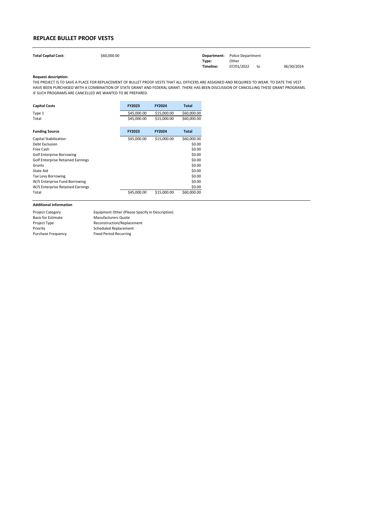| <b>Total Capital Cost:</b> | \$60,000.00 |           | <b>Department:</b> Police Department |    |            |
|----------------------------|-------------|-----------|--------------------------------------|----|------------|
|                            |             | Type:     | Other                                |    |            |
|                            |             | Timeline: | 07/01/2022                           | to | 06/30/2024 |

| <b>Capital Costs</b>                     | <b>FY2023</b> | <b>FY2024</b> | Total        |
|------------------------------------------|---------------|---------------|--------------|
| Type 1                                   | \$45,000.00   | \$15,000.00   | \$60,000.00  |
| Total                                    | \$45,000.00   | \$15,000.00   | \$60,000.00  |
|                                          |               |               |              |
| <b>Funding Source</b>                    | <b>FY2023</b> | <b>FY2024</b> | <b>Total</b> |
| <b>Capital Stabilization</b>             | \$45,000.00   | \$15,000.00   | \$60,000.00  |
| Debt Exclusion                           |               |               | \$0.00       |
| Free Cash                                |               |               | \$0.00       |
| <b>Golf Enterprise Borrowing</b>         |               |               | \$0.00       |
| <b>Golf Enterprise Retained Earnings</b> |               |               | \$0.00       |
| Grants                                   |               |               | \$0.00       |
| State Aid                                |               |               | \$0.00       |
| Tax Levy Borrowing                       |               |               | \$0.00       |
| W/S Enterprise Fund Borrowing            |               |               | \$0.00       |
| W/S Enterprise Retained Earnings         |               |               | \$0.00       |
| Total                                    | \$45,000.00   | \$15,000.00   | \$60,000.00  |

### <span id="page-34-0"></span>**REPLACE BULLET PROOF VESTS**

| <b>Project Category</b>   | Equipment Other (Please Specify in Description) |
|---------------------------|-------------------------------------------------|
| <b>Basis for Estimate</b> | <b>Manufacturers Quote</b>                      |
| Project Type              | Reconstruction/Replacement                      |
| Priority                  | <b>Scheduled Replacement</b>                    |
| <b>Purchase Frequency</b> | <b>Fixed Period Recurring</b>                   |

THE PROJECT IS TO SAVE A PLACE FOR REPLACEMENT OF BULLET PROOF VESTS THAT ALL OFFICERS ARE ASSIGNED AND REQUIRED TO WEAR. TO DATE THE VEST HAVE BEEN PURCHASED WITH A COMBINATION OF STATE GRANT AND FEDERAL GRANT. THERE HAS BEEN DISCUSSION OF CANCELLING THESE GRANT PROGRAMS. IF SUCH PROGRAMS ARE CANCELLED WE WANTED TO BE PREPARED.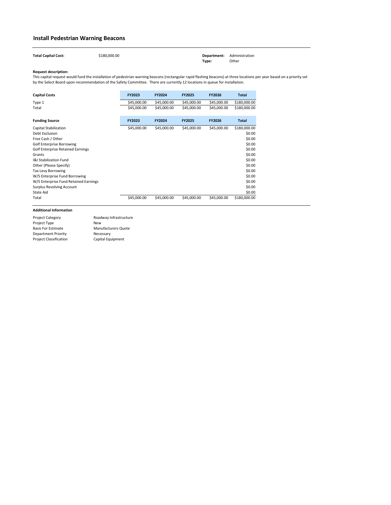| <b>Total Capital Cost:</b> | \$180,000.00 | <b>Department:</b> Administration |       |
|----------------------------|--------------|-----------------------------------|-------|
|                            |              | Type:                             | Other |

| <b>Capital Costs</b>                     | FY2023      | <b>FY2024</b> | <b>FY2025</b> | <b>FY2026</b> | <b>Total</b> |
|------------------------------------------|-------------|---------------|---------------|---------------|--------------|
| Type 1                                   | \$45,000.00 | \$45,000.00   | \$45,000.00   | \$45,000.00   | \$180,000.00 |
| Total                                    | \$45,000.00 | \$45,000.00   | \$45,000.00   | \$45,000.00   | \$180,000.00 |
| <b>Funding Source</b>                    | FY2023      | <b>FY2024</b> | <b>FY2025</b> | <b>FY2026</b> | <b>Total</b> |
| Capital Stabilization                    | \$45,000.00 | \$45,000.00   | \$45,000.00   | \$45,000.00   | \$180,000.00 |
| Debt Exclusion                           |             |               |               |               | \$0.00       |
| Free Cash / Other                        |             |               |               |               | \$0.00       |
| <b>Golf Enterprise Borrowing</b>         |             |               |               |               | \$0.00       |
| <b>Golf Enterprise Retained Earnings</b> |             |               |               |               | \$0.00       |
| Grants                                   |             |               |               |               | \$0.00       |
| <b>I&amp;I Stabilization Fund</b>        |             |               |               |               | \$0.00       |
| Other (Please Specify)                   |             |               |               |               | \$0.00       |
| <b>Tax Levy Borrowing</b>                |             |               |               |               | \$0.00       |
| W/S Enterprise Fund Borrowing            |             |               |               |               | \$0.00       |
| W/S Enterprise Fund Retained Earnings    |             |               |               |               | \$0.00       |
| <b>Surplus Revolving Account</b>         |             |               |               |               | \$0.00       |
| State Aid                                |             |               |               |               | \$0.00       |
| Total                                    | \$45,000.00 | \$45,000.00   | \$45,000.00   | \$45,000.00   | \$180,000.00 |

### <span id="page-35-0"></span>**Install Pedestrian Warning Beacons**

| <b>Project Category</b>       | Roadway Infrastructure     |
|-------------------------------|----------------------------|
| Project Type                  | <b>New</b>                 |
| <b>Basis For Estimate</b>     | <b>Manufacturers Quote</b> |
| <b>Department Priority</b>    | Necessary                  |
| <b>Project Classification</b> | Capital Equipment          |
|                               |                            |

This capital request would fund the installation of pedestrian warning beacons (rectangular rapid flashing beacons) at three locations per year based on a priority set by the Select Board upon recommendation of the Safety Committee. There are currently 12 locations in queue for installation.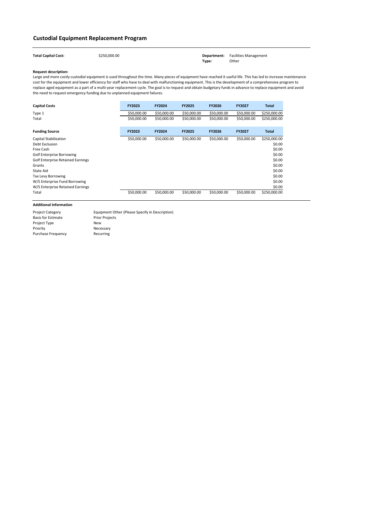| <b>Total Capital Cost:</b> | \$250,000.00 |       | <b>Department:</b> Facilities Management |
|----------------------------|--------------|-------|------------------------------------------|
|                            |              | Tvpe: | Other                                    |

| <b>Capital Costs</b>                     | <b>FY2023</b> | <b>FY2024</b> | <b>FY2025</b> | <b>FY2026</b> | <b>FY2027</b> | <b>Total</b> |
|------------------------------------------|---------------|---------------|---------------|---------------|---------------|--------------|
| Type 1                                   | \$50,000.00   | \$50,000.00   | \$50,000.00   | \$50,000.00   | \$50,000.00   | \$250,000.00 |
| Total                                    | \$50,000.00   | \$50,000.00   | \$50,000.00   | \$50,000.00   | \$50,000.00   | \$250,000.00 |
| <b>Funding Source</b>                    | <b>FY2023</b> | <b>FY2024</b> | <b>FY2025</b> | <b>FY2026</b> | <b>FY2027</b> | <b>Total</b> |
| Capital Stabilization                    | \$50,000.00   | \$50,000.00   | \$50,000.00   | \$50,000.00   | \$50,000.00   | \$250,000.00 |
| Debt Exclusion                           |               |               |               |               |               | \$0.00       |
| Free Cash                                |               |               |               |               |               | \$0.00       |
| <b>Golf Enterprise Borrowing</b>         |               |               |               |               |               | \$0.00       |
| <b>Golf Enterprise Retained Earnings</b> |               |               |               |               |               | \$0.00       |
| Grants                                   |               |               |               |               |               | \$0.00       |
| State Aid                                |               |               |               |               |               | \$0.00       |
| <b>Tax Levy Borrowing</b>                |               |               |               |               |               | \$0.00       |
| W/S Enterprise Fund Borrowing            |               |               |               |               |               | \$0.00       |
| W/S Enterprise Retained Earnings         |               |               |               |               |               | \$0.00       |
| Total                                    | \$50,000.00   | \$50,000.00   | \$50,000.00   | \$50,000.00   | \$50,000.00   | \$250,000.00 |

## **Custodial Equipment Replacement Program**

Project Category Basis for Estimate Project Type Priority Purchase Frequency New Necessary Recurring Equipment Other (Please Specify in Description) Prior Projects

Large and more costly custodial equipment is used throughout the time. Many pieces of equipment have reached it useful life. This has led to increase maintenance cost for the equipment and lower efficiency for staff who have to deal with malfunctioning equipment. This is the development of a comprehensive program to replace aged equipment as a part of a multi-year replacement cycle. The goal is to request and obtain budgetary funds in advance to replace equipment and avoid the need to request emergency funding due to unplanned equipment failures.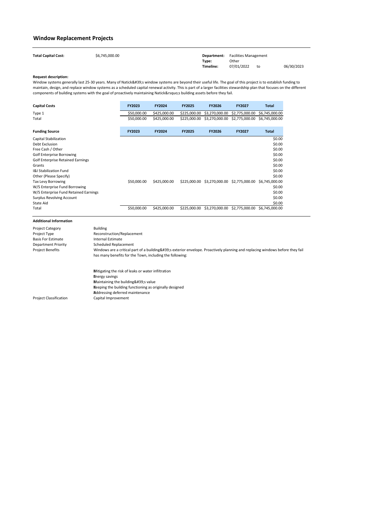| <b>Total Capital Cost:</b> | \$6,745,000.00 |           | <b>Department:</b> Facilities Management |    |            |
|----------------------------|----------------|-----------|------------------------------------------|----|------------|
|                            |                | Type:     | Other                                    |    |            |
|                            |                | Timeline: | 07/01/2022                               | to | 06/30/2023 |

Window systems generally last 25-30 years. Many of Natick's window systems are beyond their useful life. The goal of this project is to establish funding to maintain, design, and replace window systems as a scheduled capital renewal activity. This is part of a larger facilities stewardship plan that focuses on the different components of building systems with the goal of proactively maintaining Natick's building assets before they fail.

| <b>Capital Costs</b>                     | <b>FY2023</b> | <b>FY2024</b> | <b>FY2025</b> | <b>FY2026</b>  | <b>FY2027</b>                 | Total          |
|------------------------------------------|---------------|---------------|---------------|----------------|-------------------------------|----------------|
| Type 1                                   | \$50,000.00   | \$425,000.00  | \$225,000.00  | \$3,270,000.00 | \$2,775,000.00                | \$6,745,000.00 |
| Total                                    | \$50,000.00   | \$425,000.00  | \$225,000.00  | \$3,270,000.00 | \$2,775,000.00                | \$6,745,000.00 |
| <b>Funding Source</b>                    | <b>FY2023</b> | <b>FY2024</b> | <b>FY2025</b> | <b>FY2026</b>  | <b>FY2027</b>                 | <b>Total</b>   |
| Capital Stabilization                    |               |               |               |                |                               | \$0.00         |
| Debt Exclusion                           |               |               |               |                |                               | \$0.00         |
| Free Cash / Other                        |               |               |               |                |                               | \$0.00         |
| <b>Golf Enterprise Borrowing</b>         |               |               |               |                |                               | \$0.00         |
| <b>Golf Enterprise Retained Earnings</b> |               |               |               |                |                               | \$0.00         |
| Grants                                   |               |               |               |                |                               | \$0.00         |
| <b>I&amp;I Stabilization Fund</b>        |               |               |               |                |                               | \$0.00         |
| Other (Please Specify)                   |               |               |               |                |                               | \$0.00         |
| <b>Tax Levy Borrowing</b>                | \$50,000.00   | \$425,000.00  | \$225,000.00  | \$3,270,000.00 | \$2,775,000.00 \$6,745,000.00 |                |
| W/S Enterprise Fund Borrowing            |               |               |               |                |                               | \$0.00         |
| W/S Enterprise Fund Retained Earnings    |               |               |               |                |                               | \$0.00         |
| <b>Surplus Revolving Account</b>         |               |               |               |                |                               | \$0.00         |
| State Aid                                |               |               |               |                |                               | \$0.00         |
| Total                                    | \$50,000.00   | \$425,000.00  | \$225,000.00  | \$3,270,000.00 | \$2,775,000.00                | \$6,745,000.00 |

| <b>Project Category</b><br>Project Type<br><b>Basis For Estimate</b><br><b>Department Priority</b><br><b>Project Benefits</b> | <b>Building</b><br>Reconstruction/Replacement<br>Internal Estimate<br><b>Scheduled Replacement</b><br>Windows are a critical part of a building's exterior envelope. Proactively planning and replacing windows before they fail<br>has many benefits for the Town, including the following: |
|-------------------------------------------------------------------------------------------------------------------------------|----------------------------------------------------------------------------------------------------------------------------------------------------------------------------------------------------------------------------------------------------------------------------------------------|
| <b>Project Classification</b>                                                                                                 | Mitigating the risk of leaks or water infiltration<br><b>Energy savings</b><br>Maintaining the building's value<br>Keeping the building functioning as originally designed<br><b>Addressing deferred maintenance</b><br>Capital Improvement                                                  |

## **Window Replacement Projects**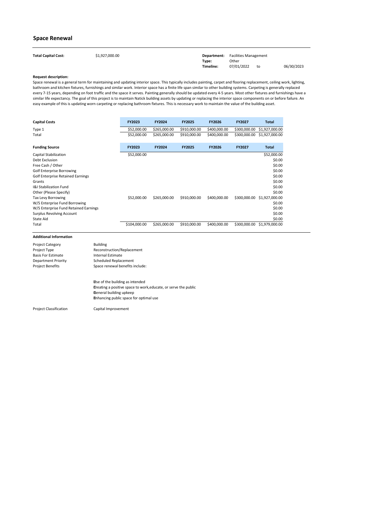| <b>Total Capital Cost:</b> | \$1,927,000.00 |           | <b>Department:</b> Facilities Management |    |            |
|----------------------------|----------------|-----------|------------------------------------------|----|------------|
|                            |                | Type:     | Other                                    |    |            |
|                            |                | Timeline: | 07/01/2022                               | to | 06/30/2023 |

| <b>Capital Costs</b>                     | <b>FY2023</b> | <b>FY2024</b> | <b>FY2025</b> | <b>FY2026</b> | <b>FY2027</b> | <b>Total</b>   |
|------------------------------------------|---------------|---------------|---------------|---------------|---------------|----------------|
| Type 1                                   | \$52,000.00   | \$265,000.00  | \$910,000.00  | \$400,000.00  | \$300,000.00  | \$1,927,000.00 |
| Total                                    | \$52,000.00   | \$265,000.00  | \$910,000.00  | \$400,000.00  | \$300,000.00  | \$1,927,000.00 |
| <b>Funding Source</b>                    | <b>FY2023</b> | <b>FY2024</b> | <b>FY2025</b> | <b>FY2026</b> | <b>FY2027</b> | <b>Total</b>   |
| <b>Capital Stabilization</b>             | \$52,000.00   |               |               |               |               | \$52,000.00    |
| Debt Exclusion                           |               |               |               |               |               | \$0.00         |
| Free Cash / Other                        |               |               |               |               |               | \$0.00         |
| <b>Golf Enterprise Borrowing</b>         |               |               |               |               |               | \$0.00         |
| <b>Golf Enterprise Retained Earnings</b> |               |               |               |               |               | \$0.00         |
| Grants                                   |               |               |               |               |               | \$0.00         |
| <b>I&amp;I Stabilization Fund</b>        |               |               |               |               |               | \$0.00         |
| Other (Please Specify)                   |               |               |               |               |               | \$0.00         |
| <b>Tax Levy Borrowing</b>                | \$52,000.00   | \$265,000.00  | \$910,000.00  | \$400,000.00  | \$300,000.00  | \$1,927,000.00 |
| W/S Enterprise Fund Borrowing            |               |               |               |               |               | \$0.00         |
| W/S Enterprise Fund Retained Earnings    |               |               |               |               |               | \$0.00         |
| <b>Surplus Revolving Account</b>         |               |               |               |               |               | \$0.00         |
| <b>State Aid</b>                         |               |               |               |               |               | \$0.00         |
| Total                                    | \$104,000.00  | \$265,000.00  | \$910,000.00  | \$400,000.00  | \$300,000.00  | \$1,979,000.00 |

Project Classification

 Use of the building as intended Creating a positive space to work,educate, or serve the public General building upkeep Enhancing public space for optimal use

Capital Improvement

### **Space Renewal**

| <b>Building</b>                 |
|---------------------------------|
| Reconstruction/Replacement      |
| <b>Internal Estimate</b>        |
| <b>Scheduled Replacement</b>    |
| Space renewal benefits include: |
|                                 |

Space renewal is a general term for maintaining and updating interior space. This typically includes painting, carpet and flooring replacement, ceiling work, lighting, bathroom and kitchen fixtures, furnishings and similar work. Interior space has a finite life span similar to other building systems. Carpeting is generally replaced every 7-15 years, depending on foot traffic and the space it serves. Painting generally should be updated every 4-5 years. Most other fixtures and furnishings have a similar life expectancy. The goal of this project is to maintain Natick building assets by updating or replacing the interior space components on or before failure. An easy example of this is updating worn carpeting or replacing bathroom fixtures. This is necessary work to maintain the value of the building asset.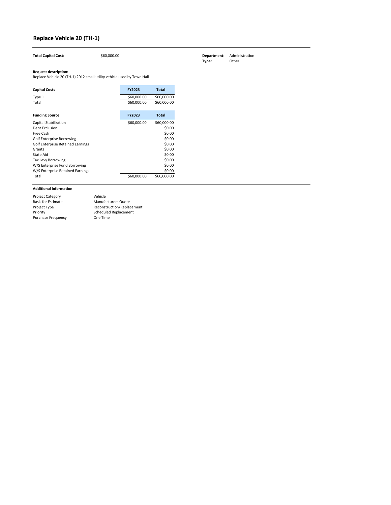| <b>Capital Costs</b>                     | <b>FY2023</b> | <b>Total</b> |
|------------------------------------------|---------------|--------------|
| Type 1                                   | \$60,000.00   | \$60,000.00  |
| Total                                    | \$60,000.00   | \$60,000.00  |
|                                          |               |              |
| <b>Funding Source</b>                    | <b>FY2023</b> | <b>Total</b> |
| Capital Stabilization                    | \$60,000.00   | \$60,000.00  |
| Debt Exclusion                           |               | \$0.00       |
| Free Cash                                |               | \$0.00       |
| <b>Golf Enterprise Borrowing</b>         |               | \$0.00       |
| <b>Golf Enterprise Retained Earnings</b> |               | \$0.00       |
| Grants                                   |               | \$0.00       |
| State Aid                                |               | \$0.00       |
| <b>Tax Levy Borrowing</b>                |               | \$0.00       |
| W/S Enterprise Fund Borrowing            |               | \$0.00       |
| W/S Enterprise Retained Earnings         |               | \$0.00       |
| Total                                    | \$60,000.00   | \$60,000.00  |

Project Category Basis for Estimate Project Type Priority Purchase Frequency Reconstruction/Replacement Scheduled Replacement One Time Vehicle Manufacturers Quote

## **Replace Vehicle 20 (TH-1)**

**Total Capital Cost:**  $\frac{1}{560,000.00}$  \$60,000.00 **Department:** Administration **Department:** Administration **Type:** 

Replace Vehicle 20 (TH-1) 2012 small utility vehicle used by Town Hall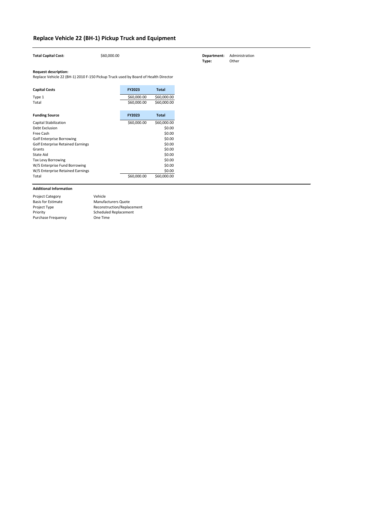| <b>Total Capital Cost:</b>                                                                                        | \$60,000.00 |               |              |
|-------------------------------------------------------------------------------------------------------------------|-------------|---------------|--------------|
| <b>Request description:</b><br>Replace Vehicle 22 (BH-1) 2010 F-150 Pickup Truck used by Board of Health Director |             |               |              |
| <b>Capital Costs</b>                                                                                              |             | <b>FY2023</b> | <b>Total</b> |
| Type 1                                                                                                            |             | \$60,000.00   | \$60,000.00  |
| Total                                                                                                             |             | \$60,000.00   | \$60,000.00  |
| <b>Funding Source</b>                                                                                             |             | FY2023        | <b>Total</b> |
| <b>Capital Stabilization</b>                                                                                      |             | \$60,000.00   | \$60,000.00  |
| Debt Exclusion                                                                                                    |             |               | \$0.00       |
| Free Cash                                                                                                         |             |               | \$0.00       |
| <b>Golf Enterprise Borrowing</b>                                                                                  |             |               | \$0.00       |
| <b>Golf Enterprise Retained Earnings</b>                                                                          |             |               | \$0.00       |
| Grants                                                                                                            |             |               | \$0.00       |
| <b>State Aid</b>                                                                                                  |             |               | \$0.00       |
| Tax Levy Borrowing                                                                                                |             |               | \$0.00       |
| W/S Enterprise Fund Borrowing                                                                                     |             |               | \$0.00       |
| W/S Enterprise Retained Earnings                                                                                  |             |               | \$0.00       |
| Total                                                                                                             |             | \$60,000.00   | \$60,000.00  |

| <b>Project Category</b>   | Vehicle                    |
|---------------------------|----------------------------|
| <b>Basis for Estimate</b> | <b>Manufacturers Quote</b> |
| Project Type              | Reconstruction/Replacement |
| Priority                  | Scheduled Replacement      |
| <b>Purchase Frequency</b> | One Time                   |

# **Replace Vehicle 22 (BH-1) Pickup Truck and Equipment**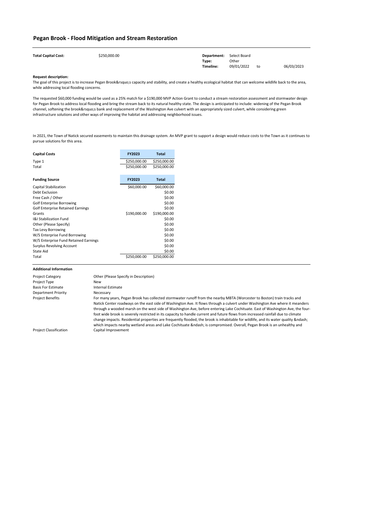| <b>Total Capital Cost:</b> | \$250,000.00 | <b>Department:</b> Select Board |            |    |            |
|----------------------------|--------------|---------------------------------|------------|----|------------|
|                            |              | Type:                           | Other      |    |            |
|                            |              | Timeline:                       | 09/01/2022 | to | 06/03/2023 |

| <b>Capital Costs</b>                  | <b>FY2023</b> | <b>Total</b> |
|---------------------------------------|---------------|--------------|
| Type 1                                | \$250,000.00  | \$250,000.00 |
| Total                                 | \$250,000.00  | \$250,000.00 |
|                                       |               |              |
| <b>Funding Source</b>                 | <b>FY2023</b> | <b>Total</b> |
| <b>Capital Stabilization</b>          | \$60,000.00   | \$60,000.00  |
| Debt Exclusion                        |               | \$0.00       |
| Free Cash / Other                     |               | \$0.00       |
| <b>Golf Enterprise Borrowing</b>      |               | \$0.00       |
| Golf Enterprise Retained Earnings     |               | \$0.00       |
| Grants                                | \$190,000.00  | \$190,000.00 |
| <b>1&amp;I Stabilization Fund</b>     |               | \$0.00       |
| Other (Please Specify)                |               | \$0.00       |
| <b>Tax Levy Borrowing</b>             |               | \$0.00       |
| W/S Enterprise Fund Borrowing         |               | \$0.00       |
| W/S Enterprise Fund Retained Earnings |               | \$0.00       |
| <b>Surplus Revolving Account</b>      |               | \$0.00       |
| State Aid                             |               | \$0.00       |
| Total                                 | \$250,000.00  | \$250,000.00 |

which impacts nearby wetland areas and Lake Cochituate – is compromised. Overall, Pegan Brook is an unhealthy and

The goal of this project is to increase Pegan Brook's capacity and stability, and create a healthy ecological habitat that can welcome wildlife back to the area, while addressing local flooding concerns.

Capital Improvement

### **Pegan Brook - Flood Mitigation and Stream Restoration**

| <b>Project Category</b>   | Other (Please Specify in Description)                                                                                            |
|---------------------------|----------------------------------------------------------------------------------------------------------------------------------|
| Project Type              | New                                                                                                                              |
| <b>Basis For Estimate</b> | Internal Estimate                                                                                                                |
| Department Priority       | Necessary                                                                                                                        |
| <b>Project Benefits</b>   | For many years, Pegan Brook has collected stormwater runoff from the nearby MBTA (Worcester to Boston) train tracks and          |
|                           | Natick Center roadways on the east side of Washington Ave. It flows through a culvert under Washington Ave where it meanders     |
|                           | through a wooded marsh on the west side of Washington Ave, before entering Lake Cochituate. East of Washington Ave, the four-    |
|                           | foot wide brook is severely restricted in its capacity to handle current and future flows from increased rainfall due to climate |
|                           | change impacts. Residential properties are frequently flooded, the brook is inhabitable for wildlife, and its water quality –    |

The requested \$60,000 funding would be used as a 25% match for a \$190,000 MVP Action Grant to conduct a stream restoration assessment and stormwater design for Pegan Brook to address local flooding and bring the stream back to its natural healthy state. The design is anticipated to include: widening of the Pegan Brook channel, softening the brook's bank and replacement of the Washington Ave culvert with an appropriately sized culvert, while considering green infrastructure solutions and other ways of improving the habitat and addressing neighborhood issues.

In 2021, the Town of Natick secured easements to maintain this drainage system. An MVP grant to support a design would reduce costs to the Town as it continues to pursue solutions for this area.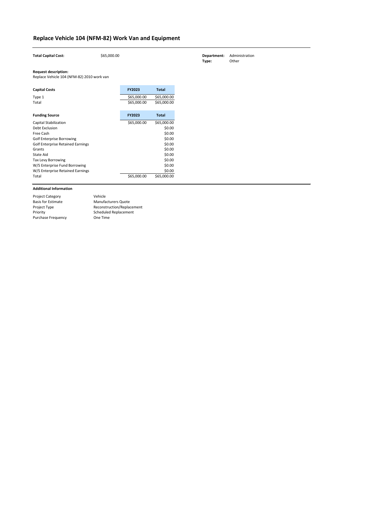| <b>Total Capital Cost:</b>                 | \$65,000.00 |               |              |
|--------------------------------------------|-------------|---------------|--------------|
| <b>Request description:</b>                |             |               |              |
| Replace Vehicle 104 (NFM-82) 2010 work van |             |               |              |
| <b>Capital Costs</b>                       |             | FY2023        | <b>Total</b> |
| Type 1                                     |             | \$65,000.00   | \$65,000.00  |
| Total                                      |             | \$65,000.00   | \$65,000.00  |
|                                            |             |               |              |
| <b>Funding Source</b>                      |             | <b>FY2023</b> | <b>Total</b> |
| <b>Capital Stabilization</b>               |             | \$65,000.00   | \$65,000.00  |
| <b>Debt Exclusion</b>                      |             |               | \$0.00       |
| Free Cash                                  |             |               | \$0.00       |
| <b>Golf Enterprise Borrowing</b>           |             |               | \$0.00       |
| <b>Golf Enterprise Retained Earnings</b>   |             |               | \$0.00       |
| Grants                                     |             |               | \$0.00       |
| State Aid                                  |             |               | \$0.00       |
| Tax Levy Borrowing                         |             |               | \$0.00       |
| W/S Enterprise Fund Borrowing              |             |               | \$0.00       |
| W/S Enterprise Retained Earnings           |             |               | \$0.00       |
| Total                                      |             | \$65,000.00   | \$65,000.00  |

| <b>Project Category</b>   | Vehicle                    |
|---------------------------|----------------------------|
| <b>Basis for Estimate</b> | <b>Manufacturers Quote</b> |
| Project Type              | Reconstruction/Replacement |
| Priority                  | Scheduled Replacement      |
| <b>Purchase Frequency</b> | One Time                   |

# **Replace Vehicle 104 (NFM-82) Work Van and Equipment**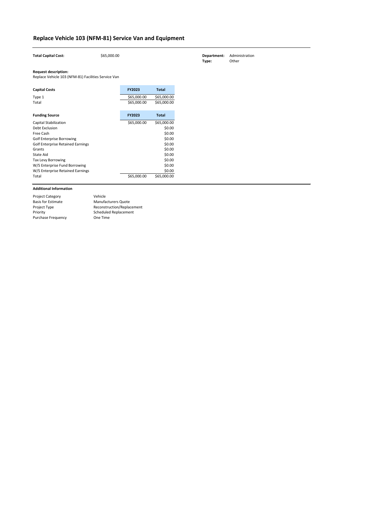| <b>Total Capital Cost:</b>                                                         | \$65,000.00 |               |              |
|------------------------------------------------------------------------------------|-------------|---------------|--------------|
| <b>Request description:</b><br>Replace Vehicle 103 (NFM-81) Facilities Service Van |             |               |              |
| <b>Capital Costs</b>                                                               |             | <b>FY2023</b> | <b>Total</b> |
| Type 1                                                                             |             | \$65,000.00   | \$65,000.00  |
| Total                                                                              |             | \$65,000.00   | \$65,000.00  |
| <b>Funding Source</b>                                                              |             | <b>FY2023</b> | <b>Total</b> |
| <b>Capital Stabilization</b>                                                       |             |               |              |
|                                                                                    |             | \$65,000.00   | \$65,000.00  |
| Debt Exclusion                                                                     |             |               | \$0.00       |
| <b>Free Cash</b>                                                                   |             |               | \$0.00       |
| <b>Golf Enterprise Borrowing</b>                                                   |             |               | \$0.00       |
| <b>Golf Enterprise Retained Earnings</b>                                           |             |               | \$0.00       |
| Grants                                                                             |             |               | \$0.00       |
| <b>State Aid</b>                                                                   |             |               | \$0.00       |
| <b>Tax Levy Borrowing</b>                                                          |             |               | \$0.00       |
| W/S Enterprise Fund Borrowing                                                      |             |               | \$0.00       |
| W/S Enterprise Retained Earnings                                                   |             |               | \$0.00       |

| <b>Project Category</b>   | Vehicle                    |
|---------------------------|----------------------------|
| <b>Basis for Estimate</b> | <b>Manufacturers Quote</b> |
| Project Type              | Reconstruction/Replacement |
| Priority                  | Scheduled Replacement      |
| <b>Purchase Frequency</b> | One Time                   |

**Thereformant:** Administration<br> **Type:** Other **Type:** 

# **Replace Vehicle 103 (NFM-81) Service Van and Equipment**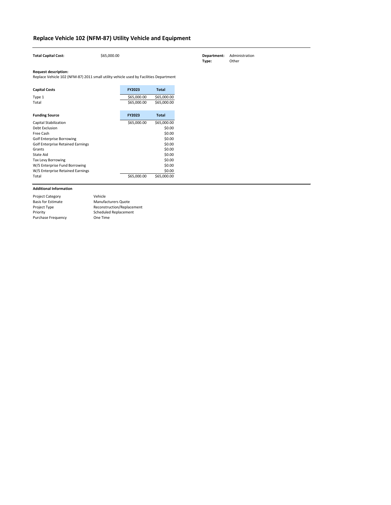| <b>Total Capital Cost:</b>                                                                                           | \$65,000.00 |               |              |
|----------------------------------------------------------------------------------------------------------------------|-------------|---------------|--------------|
| <b>Request description:</b><br>Replace Vehicle 102 (NFM-87) 2011 small utility vehicle used by Facilities Department |             |               |              |
| <b>Capital Costs</b>                                                                                                 |             | <b>FY2023</b> | <b>Total</b> |
| Type 1                                                                                                               |             | \$65,000.00   | \$65,000.00  |
| Total                                                                                                                |             | \$65,000.00   | \$65,000.00  |
| <b>Funding Source</b>                                                                                                |             | FY2023        | <b>Total</b> |
| <b>Capital Stabilization</b>                                                                                         |             | \$65,000.00   | \$65,000.00  |
| <b>Debt Exclusion</b>                                                                                                |             |               | \$0.00       |
| Free Cash                                                                                                            |             |               | \$0.00       |
| <b>Golf Enterprise Borrowing</b>                                                                                     |             |               | \$0.00       |
| <b>Golf Enterprise Retained Earnings</b>                                                                             |             |               | \$0.00       |
| Grants                                                                                                               |             |               | \$0.00       |
| <b>State Aid</b>                                                                                                     |             |               | \$0.00       |
| Tax Levy Borrowing                                                                                                   |             |               | \$0.00       |
| W/S Enterprise Fund Borrowing                                                                                        |             |               | \$0.00       |
| W/S Enterprise Retained Earnings                                                                                     |             |               | \$0.00       |
| Total                                                                                                                |             | \$65,000.00   | \$65,000.00  |

| <b>Project Category</b>   | Vehicle                    |
|---------------------------|----------------------------|
| <b>Basis for Estimate</b> | <b>Manufacturers Quote</b> |
| Project Type              | Reconstruction/Replacement |
| Priority                  | Scheduled Replacement      |
| <b>Purchase Frequency</b> | One Time                   |

# **Replace Vehicle 102 (NFM-87) Utility Vehicle and Equipment**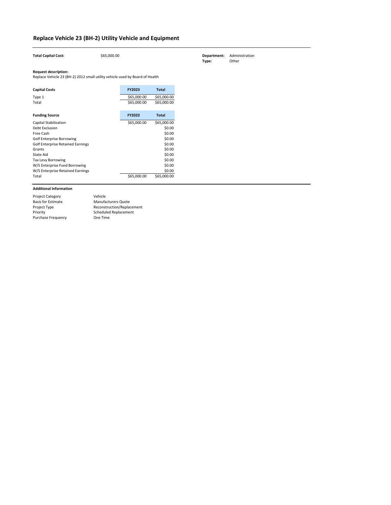| <b>Total Capital Cost:</b>                                                                                  | \$65,000.00 |               |              |
|-------------------------------------------------------------------------------------------------------------|-------------|---------------|--------------|
| <b>Request description:</b><br>Replace Vehicle 23 (BH-2) 2012 small utility vehicle used by Board of Health |             |               |              |
| <b>Capital Costs</b>                                                                                        |             | <b>FY2023</b> | <b>Total</b> |
| Type 1                                                                                                      |             | \$65,000.00   | \$65,000.00  |
| Total                                                                                                       |             | \$65,000.00   | \$65,000.00  |
|                                                                                                             |             |               |              |
| <b>Funding Source</b>                                                                                       |             | FY2023        | <b>Total</b> |
| <b>Capital Stabilization</b>                                                                                |             | \$65,000.00   | \$65,000.00  |
| <b>Debt Exclusion</b>                                                                                       |             |               | \$0.00       |
| Free Cash                                                                                                   |             |               | \$0.00       |
| <b>Golf Enterprise Borrowing</b>                                                                            |             |               | \$0.00       |
| <b>Golf Enterprise Retained Earnings</b>                                                                    |             |               | \$0.00       |
| Grants                                                                                                      |             |               | \$0.00       |
| <b>State Aid</b>                                                                                            |             |               | \$0.00       |
| <b>Tax Levy Borrowing</b>                                                                                   |             |               | \$0.00       |
| W/S Enterprise Fund Borrowing                                                                               |             |               | \$0.00       |
| W/S Enterprise Retained Earnings                                                                            |             |               | \$0.00       |
| Total                                                                                                       |             | \$65,000.00   | \$65,000.00  |

| <b>Project Category</b>   | Vehicle                    |
|---------------------------|----------------------------|
| <b>Basis for Estimate</b> | <b>Manufacturers Quote</b> |
| Project Type              | Reconstruction/Replacement |
| Priority                  | Scheduled Replacement      |
| <b>Purchase Frequency</b> | One Time                   |

# **Replace Vehicle 23 (BH-2) Utility Vehicle and Equipment**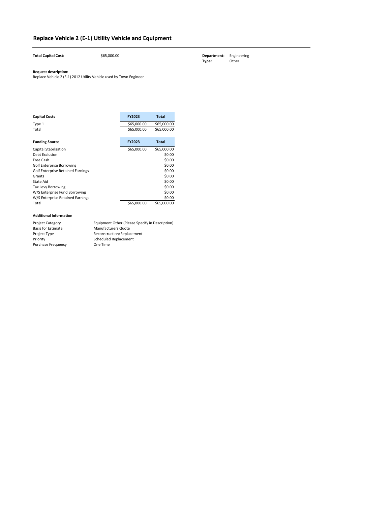| <b>Total Capital Cost:</b> | \$65,000.00 | <b>Department:</b> Engineering<br>Type: | Other |
|----------------------------|-------------|-----------------------------------------|-------|
|                            |             |                                         |       |

| <b>Capital Costs</b>                     | <b>FY2023</b> | Total        |
|------------------------------------------|---------------|--------------|
| Type 1                                   | \$65,000.00   | \$65,000.00  |
| Total                                    | \$65,000.00   | \$65,000.00  |
|                                          |               |              |
| <b>Funding Source</b>                    | <b>FY2023</b> | <b>Total</b> |
| <b>Capital Stabilization</b>             | \$65,000.00   | \$65,000.00  |
| Debt Exclusion                           |               | \$0.00       |
| Free Cash                                |               | \$0.00       |
| <b>Golf Enterprise Borrowing</b>         |               | \$0.00       |
| <b>Golf Enterprise Retained Earnings</b> |               | \$0.00       |
| Grants                                   |               | \$0.00       |
| State Aid                                |               | \$0.00       |
| Tax Levy Borrowing                       |               | \$0.00       |
| W/S Enterprise Fund Borrowing            |               | \$0.00       |
| W/S Enterprise Retained Earnings         |               | \$0.00       |
| Total                                    | \$65,000.00   | \$65,000.00  |

# **Replace Vehicle 2 (E-1) Utility Vehicle and Equipment**

| <b>Project Category</b>   | Equipment Other (Please Specify in Description) |
|---------------------------|-------------------------------------------------|
| <b>Basis for Estimate</b> | <b>Manufacturers Quote</b>                      |
| <b>Project Type</b>       | Reconstruction/Replacement                      |
| Priority                  | Scheduled Replacement                           |
| <b>Purchase Frequency</b> | One Time                                        |

Replace Vehicle 2 (E-1) 2012 Utility Vehicle used by Town Engineer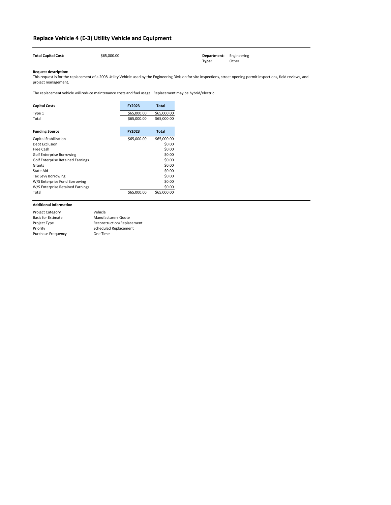| <b>Total Capital Cost:</b> | \$65,000.00 | <b>Department:</b> Engineering |       |
|----------------------------|-------------|--------------------------------|-------|
|                            |             | Type:                          | Other |

| <b>Capital Costs</b>                     | <b>FY2023</b> | <b>Total</b> |
|------------------------------------------|---------------|--------------|
| Type 1                                   | \$65,000.00   | \$65,000.00  |
| Total                                    | \$65,000.00   | \$65,000.00  |
|                                          |               |              |
| <b>Funding Source</b>                    | <b>FY2023</b> | <b>Total</b> |
| <b>Capital Stabilization</b>             | \$65,000.00   | \$65,000.00  |
| Debt Exclusion                           |               | \$0.00       |
| Free Cash                                |               | \$0.00       |
| <b>Golf Enterprise Borrowing</b>         |               | \$0.00       |
| <b>Golf Enterprise Retained Earnings</b> |               | \$0.00       |
| Grants                                   |               | \$0.00       |
| <b>State Aid</b>                         |               | \$0.00       |
| <b>Tax Levy Borrowing</b>                |               | \$0.00       |
| W/S Enterprise Fund Borrowing            |               | \$0.00       |
| W/S Enterprise Retained Earnings         |               | \$0.00       |
| Total                                    | \$65,000.00   | \$65,000.00  |

## **Replace Vehicle 4 (E-3) Utility Vehicle and Equipment**

| <b>Project Category</b>   | Vehicle                      |
|---------------------------|------------------------------|
| <b>Basis for Estimate</b> | <b>Manufacturers Quote</b>   |
| Project Type              | Reconstruction/Replacement   |
| Priority                  | <b>Scheduled Replacement</b> |
| <b>Purchase Frequency</b> | One Time                     |

This request is for the replacement of a 2008 Utility Vehicle used by the Engineering Division for site inspections, street opening permit inspections, field reviews, and project management.

The replacement vehicle will reduce maintenance costs and fuel usage. Replacement may be hybrid/electric.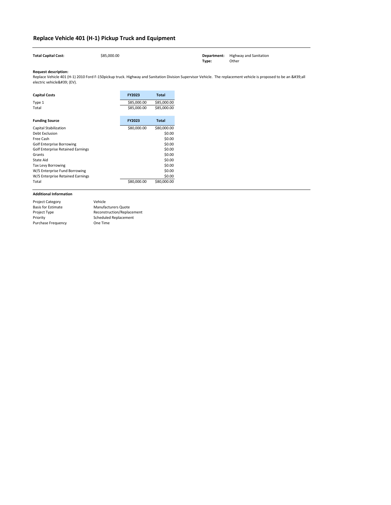Replace Vehicle 401 (H-1) 2010 Ford F-150pickup truck. Highway and Sanitation Division Supervisor Vehicle. The replacement vehicle is proposed to be an 'all electric vehicle' (EV).

 $\sim$ 

| <b>Capital Costs</b>                     | <b>FY2023</b> | <b>Total</b> |
|------------------------------------------|---------------|--------------|
| Type 1                                   | \$85,000.00   | \$85,000.00  |
| Total                                    | \$85,000.00   | \$85,000.00  |
|                                          |               |              |
| <b>Funding Source</b>                    | <b>FY2023</b> | <b>Total</b> |
| <b>Capital Stabilization</b>             | \$80,000.00   | \$80,000.00  |
| <b>Debt Exclusion</b>                    |               | \$0.00       |
| Free Cash                                |               | \$0.00       |
| <b>Golf Enterprise Borrowing</b>         |               | \$0.00       |
| <b>Golf Enterprise Retained Earnings</b> |               | \$0.00       |
| Grants                                   |               | \$0.00       |
| <b>State Aid</b>                         |               | \$0.00       |
| <b>Tax Levy Borrowing</b>                |               | \$0.00       |
| W/S Enterprise Fund Borrowing            |               | \$0.00       |
| W/S Enterprise Retained Earnings         |               | \$0.00       |
| Total                                    | \$80,000.00   | \$80,000.00  |

 $\sim$ 

# **Replace Vehicle 401 (H-1) Pickup Truck and Equipment**

**Department:** Highway and Sanitation<br>**Type:** Other **Type:** 

| <b>Project Category</b>   | Vehicle                      |
|---------------------------|------------------------------|
| <b>Basis for Estimate</b> | <b>Manufacturers Quote</b>   |
| Project Type              | Reconstruction/Replacement   |
| Priority                  | <b>Scheduled Replacement</b> |
| <b>Purchase Frequency</b> | One Time                     |
|                           |                              |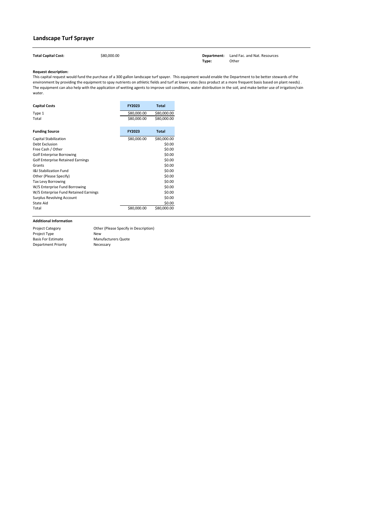Total Capital Cost:  $$80,000.00$  \$80,000.00 **Department:** Land Fac. and Nat. Resources **Type:** Other

### **Request description:**

| <b>Capital Costs</b>                     | <b>FY2023</b> | <b>Total</b> |
|------------------------------------------|---------------|--------------|
| Type 1                                   | \$80,000.00   | \$80,000.00  |
| Total                                    | \$80,000.00   | \$80,000.00  |
| <b>Funding Source</b>                    | <b>FY2023</b> | <b>Total</b> |
| <b>Capital Stabilization</b>             | \$80,000.00   | \$80,000.00  |
| <b>Debt Exclusion</b>                    |               | \$0.00       |
| Free Cash / Other                        |               | \$0.00       |
| <b>Golf Enterprise Borrowing</b>         |               | \$0.00       |
| <b>Golf Enterprise Retained Earnings</b> |               | \$0.00       |
| Grants                                   |               | \$0.00       |
| <b>1&amp;I Stabilization Fund</b>        |               | \$0.00       |
| Other (Please Specify)                   |               | \$0.00       |
| <b>Tax Levy Borrowing</b>                |               | \$0.00       |
| W/S Enterprise Fund Borrowing            |               | \$0.00       |
| W/S Enterprise Fund Retained Earnings    |               | \$0.00       |
| <b>Surplus Revolving Account</b>         |               | \$0.00       |
| State Aid                                |               | \$0.00       |
| Total                                    | \$80,000.00   | \$80,000.00  |

Project Category Project Type Basis For Estimate Department Priority

## **Landscape Turf Sprayer**

This capital request would fund the purchase of a 300 gallon landscape turf spayer. This equipment would enable the Department to be better stewards of the environment by providing the equipment to spay nutrients on athletic fields and turf at lower rates (less product at a more frequent basis based on plant needs) . The equipment can also help with the application of wetting agents to improve soil conditions, water distribution in the soil, and make better use of irrigation/rain water.

> Manufacturers Quote Necessary Other (Please Specify in Description) New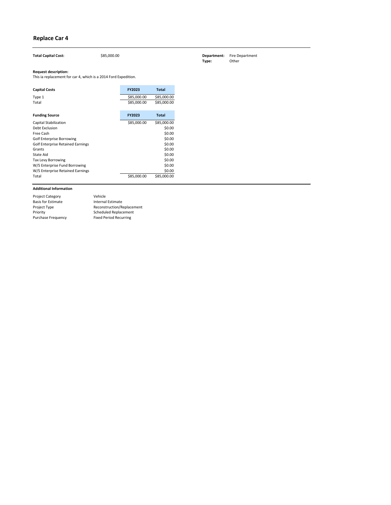| <b>Capital Costs</b>              | <b>FY2023</b> | <b>Total</b> |
|-----------------------------------|---------------|--------------|
| Type 1                            | \$85,000.00   | \$85,000.00  |
| Total                             | \$85,000.00   | \$85,000.00  |
|                                   |               |              |
| <b>Funding Source</b>             | <b>FY2023</b> | <b>Total</b> |
| <b>Capital Stabilization</b>      | \$85,000.00   | \$85,000.00  |
| Debt Exclusion                    |               | \$0.00       |
| Free Cash                         |               | \$0.00       |
| <b>Golf Enterprise Borrowing</b>  |               | \$0.00       |
| Golf Enterprise Retained Earnings |               | \$0.00       |
| Grants                            |               | \$0.00       |
| State Aid                         |               | \$0.00       |
| <b>Tax Levy Borrowing</b>         |               | \$0.00       |
| W/S Enterprise Fund Borrowing     |               | \$0.00       |
| W/S Enterprise Retained Earnings  |               | \$0.00       |
| Total                             | \$85,000.00   | \$85,000.00  |

| <b>Project Category</b>   | Vehicle                       |
|---------------------------|-------------------------------|
| <b>Basis for Estimate</b> | Internal Estimate             |
| Project Type              | Reconstruction/Replacement    |
| Priority                  | <b>Scheduled Replacement</b>  |
| <b>Purchase Frequency</b> | <b>Fixed Period Recurring</b> |

**The Cost is a Constructed Construction Construction Costing Costing Costing Costing Costing Costing Costing Cost**<br> **Type:** Other **Type:** 

# **Replace Car 4**

| <b>Total Capital Cost:</b> | \$85,000.0 |
|----------------------------|------------|
|                            |            |

This ia replacement for car 4, which is a 2014 Ford Expedition.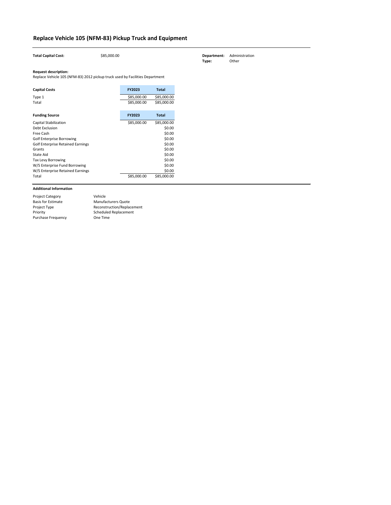| <b>Total Capital Cost:</b>                                                                                  | \$85,000.00 |               |              |
|-------------------------------------------------------------------------------------------------------------|-------------|---------------|--------------|
| <b>Request description:</b><br>Replace Vehicle 105 (NFM-83) 2012 pickup truck used by Facilities Department |             |               |              |
| <b>Capital Costs</b>                                                                                        |             | <b>FY2023</b> | <b>Total</b> |
| Type 1                                                                                                      |             | \$85,000.00   | \$85,000.00  |
| Total                                                                                                       |             | \$85,000.00   | \$85,000.00  |
|                                                                                                             |             |               |              |
| <b>Funding Source</b>                                                                                       |             | FY2023        | <b>Total</b> |
| Capital Stabilization                                                                                       |             | \$85,000.00   | \$85,000.00  |
| <b>Debt Exclusion</b>                                                                                       |             |               | \$0.00       |
| Free Cash                                                                                                   |             |               | \$0.00       |
| <b>Golf Enterprise Borrowing</b>                                                                            |             |               | \$0.00       |
| <b>Golf Enterprise Retained Earnings</b>                                                                    |             |               | \$0.00       |
| Grants                                                                                                      |             |               | \$0.00       |
| <b>State Aid</b>                                                                                            |             |               | \$0.00       |
| Tax Levy Borrowing                                                                                          |             |               | \$0.00       |
| W/S Enterprise Fund Borrowing                                                                               |             |               | \$0.00       |
| W/S Enterprise Retained Earnings                                                                            |             |               | \$0.00       |
| Total                                                                                                       |             | \$85,000.00   | \$85,000.00  |

| <b>Project Category</b>   | Vehicle                    |
|---------------------------|----------------------------|
| <b>Basis for Estimate</b> | <b>Manufacturers Quote</b> |
| Project Type              | Reconstruction/Replacement |
| Priority                  | Scheduled Replacement      |
| <b>Purchase Frequency</b> | One Time                   |

# **Replace Vehicle 105 (NFM-83) Pickup Truck and Equipment**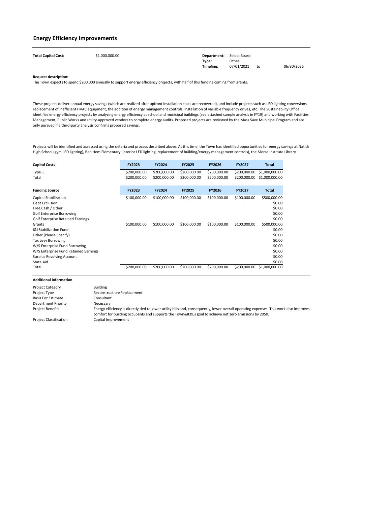| <b>Total Capital Cost:</b> | \$1,000,000.00 | <b>Department:</b> Select Board |            |    |            |
|----------------------------|----------------|---------------------------------|------------|----|------------|
|                            |                | Type:                           | Other      |    |            |
|                            |                | Timeline:                       | 07/01/2021 | to | 06/30/2026 |

| <b>Capital Costs</b>                     | <b>FY2023</b> | <b>FY2024</b> | <b>FY2025</b> | <b>FY2026</b> | <b>FY2027</b> | <b>Total</b>   |
|------------------------------------------|---------------|---------------|---------------|---------------|---------------|----------------|
| Type 1                                   | \$200,000.00  | \$200,000.00  | \$200,000.00  | \$200,000.00  | \$200,000.00  | \$1,000,000.00 |
| Total                                    | \$200,000.00  | \$200,000.00  | \$200,000.00  | \$200,000.00  | \$200,000.00  | \$1,000,000.00 |
| <b>Funding Source</b>                    | <b>FY2023</b> | <b>FY2024</b> | <b>FY2025</b> | <b>FY2026</b> | <b>FY2027</b> | <b>Total</b>   |
| <b>Capital Stabilization</b>             | \$100,000.00  | \$100,000.00  | \$100,000.00  | \$100,000.00  | \$100,000.00  | \$500,000.00   |
| <b>Debt Exclusion</b>                    |               |               |               |               |               | \$0.00         |
| Free Cash / Other                        |               |               |               |               |               | \$0.00         |
| <b>Golf Enterprise Borrowing</b>         |               |               |               |               |               | \$0.00         |
| <b>Golf Enterprise Retained Earnings</b> |               |               |               |               |               | \$0.00         |
| Grants                                   | \$100,000.00  | \$100,000.00  | \$100,000.00  | \$100,000.00  | \$100,000.00  | \$500,000.00   |
| <b>I&amp;I Stabilization Fund</b>        |               |               |               |               |               | \$0.00         |
| Other (Please Specify)                   |               |               |               |               |               | \$0.00         |
| <b>Tax Levy Borrowing</b>                |               |               |               |               |               | \$0.00         |
| W/S Enterprise Fund Borrowing            |               |               |               |               |               | \$0.00         |
| W/S Enterprise Fund Retained Earnings    |               |               |               |               |               | \$0.00         |
| <b>Surplus Revolving Account</b>         |               |               |               |               |               | \$0.00         |
| State Aid                                |               |               |               |               |               | \$0.00         |
| Total                                    | \$200,000.00  | \$200,000.00  | \$200,000.00  | \$200,000.00  | \$200,000.00  | \$1,000,000.00 |

Projects will be identified and assessed using the criteria and process described above. At this time, the Town has identified opportunities for energy savings at Natick High School (gym LED lighting), Ben Hem Elementary (interior LED lighting, replacement of building/energy management controls), the Morse Institute Library

### **Energy Efficiency Improvements**

The Town expects to spend \$200,000 annually to support energy efficiency projects, with half of this funding coming from grants.

| <b>Project Category</b>       | <b>Building</b>                                                                                                                                                                                                                              |
|-------------------------------|----------------------------------------------------------------------------------------------------------------------------------------------------------------------------------------------------------------------------------------------|
| Project Type                  | Reconstruction/Replacement                                                                                                                                                                                                                   |
| <b>Basis For Estimate</b>     | Consultant                                                                                                                                                                                                                                   |
| <b>Department Priority</b>    | Necessary                                                                                                                                                                                                                                    |
| <b>Project Benefits</b>       | Energy efficiency is directly tied to lower utility bills and, consequently, lower overall operating expenses. This work also improves<br>comfort for building occupants and supports the Town's goal to achieve net zero emissions by 2050. |
| <b>Project Classification</b> | Capital Improvement                                                                                                                                                                                                                          |

These projects deliver annual energy savings (which are realized after upfront installation costs are recovered), and include projects such as LED lighting conversions, replacement of inefficient HVAC equipment, the addition of energy management controls, installation of variable frequency drives, etc. The Sustainability Office identifies energy efficiency projects by analyzing energy efficiency at school and municipal buildings (see attached sample analysis in FY19) and working with Facilities Management, Public Works and utility-approved vendors to complete energy audits. Proposed projects are reviewed by the Mass Save Municipal Program and are only pursued if a third-party analysis confirms proposed savings.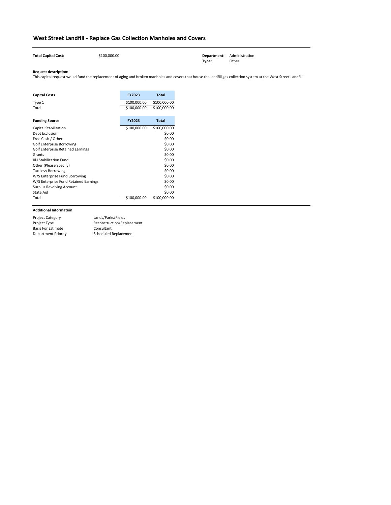**Total Capital Cost:** \$100,000.00 **Department:** Administration **Type:** Other

### **Request description:**

| <b>Capital Costs</b>                     | <b>FY2023</b> | <b>Total</b> |
|------------------------------------------|---------------|--------------|
| Type 1                                   | \$100,000.00  | \$100,000.00 |
| Total                                    | \$100,000.00  | \$100,000.00 |
| <b>Funding Source</b>                    | <b>FY2023</b> | <b>Total</b> |
| <b>Capital Stabilization</b>             | \$100,000.00  | \$100,000.00 |
| Debt Exclusion                           |               | \$0.00       |
| Free Cash / Other                        |               | \$0.00       |
| <b>Golf Enterprise Borrowing</b>         |               | \$0.00       |
| <b>Golf Enterprise Retained Earnings</b> |               | \$0.00       |
| Grants                                   |               | \$0.00       |
| <b>I&amp;I Stabilization Fund</b>        |               | \$0.00       |
| Other (Please Specify)                   |               | \$0.00       |
| <b>Tax Levy Borrowing</b>                |               | \$0.00       |
| W/S Enterprise Fund Borrowing            |               | \$0.00       |
| W/S Enterprise Fund Retained Earnings    |               | \$0.00       |
| <b>Surplus Revolving Account</b>         |               | \$0.00       |
| <b>State Aid</b>                         |               | \$0.00       |
| Total                                    | \$100,000.00  | \$100,000.00 |

## **West Street Landfill - Replace Gas Collection Manholes and Covers**

**COL** 

| <b>Project Category</b>    | Lands/Parks/Fields         |
|----------------------------|----------------------------|
| Project Type               | Reconstruction/Replacement |
| <b>Basis For Estimate</b>  | Consultant                 |
| <b>Department Priority</b> | Scheduled Replacement      |

This capital request would fund the replacement of aging and broken manholes and covers that house the landfill gas collection system at the West Street Landfill.

 $\mathcal{L}_{\mathcal{A}}$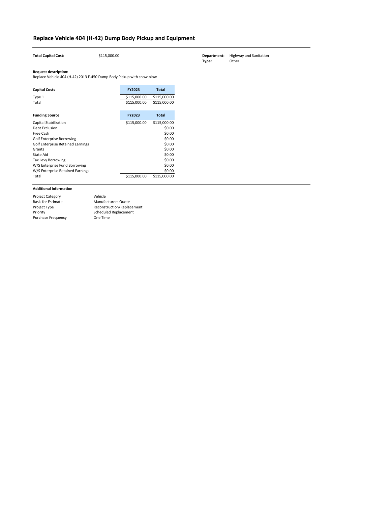| <b>Total Capital Cost:</b>                                                                           | \$115,000.00 |                              |                              |
|------------------------------------------------------------------------------------------------------|--------------|------------------------------|------------------------------|
| <b>Request description:</b><br>Replace Vehicle 404 (H-42) 2013 F-450 Dump Body Pickup with snow plow |              |                              |                              |
| <b>Capital Costs</b>                                                                                 |              | FY2023                       | <b>Total</b>                 |
| Type 1<br>Total                                                                                      |              | \$115,000.00<br>\$115,000.00 | \$115,000.00<br>\$115,000.00 |
| <b>Funding Source</b>                                                                                |              | FY2023                       | <b>Total</b>                 |
| <b>Capital Stabilization</b>                                                                         |              | \$115,000.00                 | \$115,000.00                 |
| Debt Exclusion                                                                                       |              |                              | \$0.00                       |
| Free Cash                                                                                            |              |                              | \$0.00                       |
| <b>Golf Enterprise Borrowing</b>                                                                     |              |                              | \$0.00                       |
| <b>Golf Enterprise Retained Earnings</b>                                                             |              |                              | \$0.00                       |
| Grants                                                                                               |              |                              | \$0.00                       |
| <b>State Aid</b>                                                                                     |              |                              | \$0.00                       |
| Tax Levy Borrowing                                                                                   |              |                              | \$0.00                       |
| W/S Enterprise Fund Borrowing                                                                        |              |                              | \$0.00                       |
| W/S Enterprise Retained Earnings                                                                     |              |                              | \$0.00                       |
| Total                                                                                                |              | \$115,000.00                 | \$115,000.00                 |

| <b>Project Category</b>   | Vehicle                    |
|---------------------------|----------------------------|
| <b>Basis for Estimate</b> | <b>Manufacturers Quote</b> |
| Project Type              | Reconstruction/Replacement |
| Priority                  | Scheduled Replacement      |
| <b>Purchase Frequency</b> | One Time                   |

# **Replace Vehicle 404 (H-42) Dump Body Pickup and Equipment**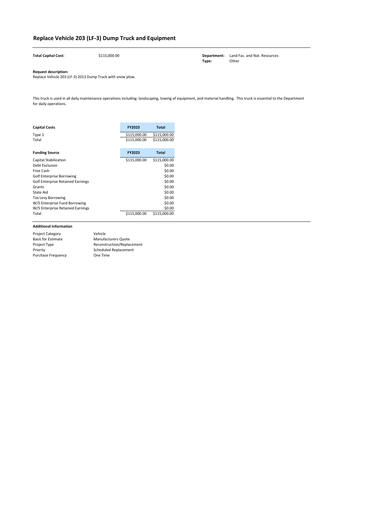| <b>Total Capital Cost:</b> | \$115,000.00 |       | <b>Department:</b> Land Fac. and Nat. Resources |
|----------------------------|--------------|-------|-------------------------------------------------|
|                            |              | Type: | Other                                           |

| <b>Capital Costs</b>                     | <b>FY2023</b> | <b>Total</b> |
|------------------------------------------|---------------|--------------|
| Type 1                                   | \$115,000.00  | \$115,000.00 |
| Total                                    | \$115,000.00  | \$115,000.00 |
| <b>Funding Source</b>                    | <b>FY2023</b> | <b>Total</b> |
| <b>Capital Stabilization</b>             | \$115,000.00  | \$115,000.00 |
| Debt Exclusion                           |               | \$0.00       |
| Free Cash                                |               | \$0.00       |
| <b>Golf Enterprise Borrowing</b>         |               | \$0.00       |
| <b>Golf Enterprise Retained Earnings</b> |               | \$0.00       |
| Grants                                   |               | \$0.00       |
| State Aid                                |               | \$0.00       |
| <b>Tax Levy Borrowing</b>                |               | \$0.00       |
| W/S Enterprise Fund Borrowing            |               | \$0.00       |
| W/S Enterprise Retained Earnings         |               | \$0.00       |
| Total                                    | \$115,000.00  | \$115,000.00 |

# **Replace Vehicle 203 (LF-3) Dump Truck and Equipment**

Replace Vehicle 203 (LF-3) 2013 Dump Truck with snow plow.

| <b>Project Category</b>   | Vehicle                      |
|---------------------------|------------------------------|
| <b>Basis for Estimate</b> | <b>Manufacturers Quote</b>   |
| Project Type              | Reconstruction/Replacement   |
| Priority                  | <b>Scheduled Replacement</b> |
| <b>Purchase Frequency</b> | One Time                     |
|                           |                              |

This truck is used in all daily maintenance operations including: landscaping, towing of equipment, and material handling. This truck is essential to the Department for daily operations.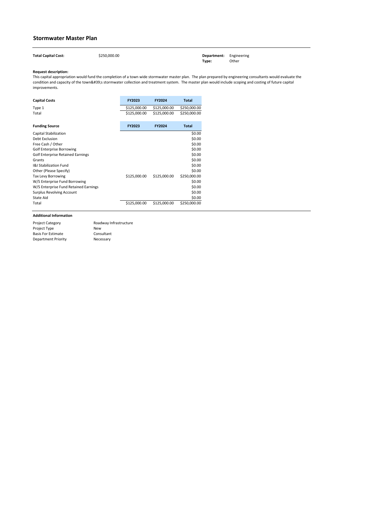| <b>Total Capital Cost:</b> | \$250,000.00 | <b>Department:</b> Engineering |       |
|----------------------------|--------------|--------------------------------|-------|
|                            |              | Type:                          | Other |

| \$125,000.00 | \$250,000.00                 |
|--------------|------------------------------|
| \$125,000.00 | \$250,000.00                 |
|              | \$125,000.00<br>\$125,000.00 |

| <b>Funding Source</b>                    | <b>FY2023</b> | <b>FY2024</b> | <b>Total</b> |
|------------------------------------------|---------------|---------------|--------------|
| <b>Capital Stabilization</b>             |               |               | \$0.00       |
| Debt Exclusion                           |               |               | \$0.00       |
| Free Cash / Other                        |               |               | \$0.00       |
| <b>Golf Enterprise Borrowing</b>         |               |               | \$0.00       |
| <b>Golf Enterprise Retained Earnings</b> |               |               | \$0.00       |
| Grants                                   |               |               | \$0.00       |
| <b>I&amp;I Stabilization Fund</b>        |               |               | \$0.00       |
| Other (Please Specify)                   |               |               | \$0.00       |
| <b>Tax Levy Borrowing</b>                | \$125,000.00  | \$125,000.00  | \$250,000.00 |
| W/S Enterprise Fund Borrowing            |               |               | \$0.00       |
| W/S Enterprise Fund Retained Earnings    |               |               | \$0.00       |
| <b>Surplus Revolving Account</b>         |               |               | \$0.00       |
| State Aid                                |               |               | \$0.00       |
| Total                                    | \$125,000.00  | \$125,000.00  | \$250,000.00 |

### **Stormwater Master Plan**

| <b>Project Category</b>   | Roadway Infrastructure |
|---------------------------|------------------------|
| <b>Project Type</b>       | New                    |
| <b>Basis For Estimate</b> | Consultant             |
| Department Priority       | Necessary              |

This capital appropriation would fund the completion of a town wide stormwater master plan. The plan prepared by engineering consultants would evaluate the condition and capacity of the town's stormwater collection and treatment system. The master plan would include scoping and costing of future capital improvements.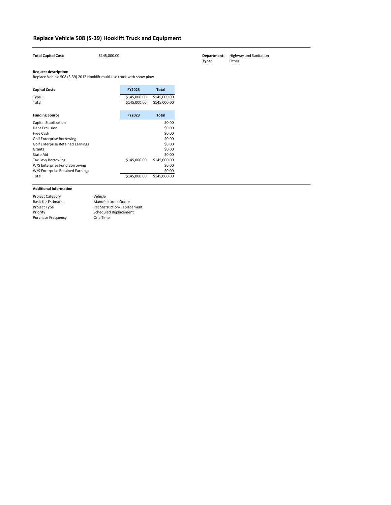| <b>Total Capital Cost:</b>                                                                             | \$145,000.00 |               |              |
|--------------------------------------------------------------------------------------------------------|--------------|---------------|--------------|
| <b>Request description:</b><br>Replace Vehicle 508 (S-39) 2012 Hooklift multi-use truck with snow plow |              |               |              |
| <b>Capital Costs</b>                                                                                   |              | <b>FY2023</b> | <b>Total</b> |
| Type 1                                                                                                 |              | \$145,000.00  | \$145,000.00 |
| Total                                                                                                  |              | \$145,000.00  | \$145,000.00 |
| <b>Funding Source</b>                                                                                  |              | FY2023        | <b>Total</b> |
| <b>Capital Stabilization</b>                                                                           |              |               | \$0.00       |
| Debt Exclusion                                                                                         |              |               | \$0.00       |
| Free Cash                                                                                              |              |               | \$0.00       |
| <b>Golf Enterprise Borrowing</b>                                                                       |              |               | \$0.00       |
| <b>Golf Enterprise Retained Earnings</b>                                                               |              |               | \$0.00       |
| Grants                                                                                                 |              |               | \$0.00       |
| <b>State Aid</b>                                                                                       |              |               | \$0.00       |
| Tax Levy Borrowing                                                                                     |              | \$145,000.00  | \$145,000.00 |
| W/S Enterprise Fund Borrowing                                                                          |              |               | \$0.00       |
| W/S Enterprise Retained Earnings                                                                       |              |               | \$0.00       |
| Total                                                                                                  |              | \$145,000.00  | \$145,000.00 |

| <b>Project Category</b>   | Vehicle                    |
|---------------------------|----------------------------|
| <b>Basis for Estimate</b> | <b>Manufacturers Quote</b> |
| Project Type              | Reconstruction/Replacement |
| Priority                  | Scheduled Replacement      |
| <b>Purchase Frequency</b> | One Time                   |

# **Replace Vehicle 508 (S-39) Hooklift Truck and Equipment**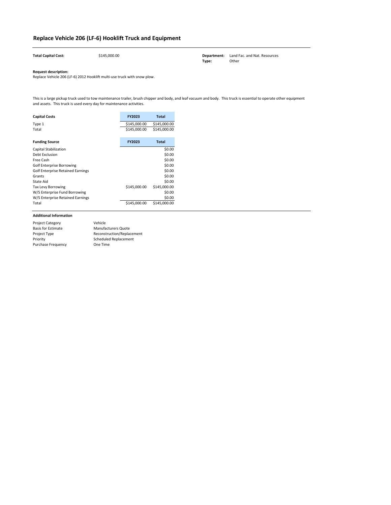| <b>Total Capital Cost:</b> | \$145,000.00 |       | <b>Department:</b> Land Fac. and Nat. Resources |
|----------------------------|--------------|-------|-------------------------------------------------|
|                            |              | Type: | Other                                           |

| <b>Capital Costs</b>                     | <b>FY2023</b> | <b>Total</b> |
|------------------------------------------|---------------|--------------|
| Type 1                                   | \$145,000.00  | \$145,000.00 |
| Total                                    | \$145,000.00  | \$145,000.00 |
|                                          |               |              |
| <b>Funding Source</b>                    | <b>FY2023</b> | <b>Total</b> |
| <b>Capital Stabilization</b>             |               | \$0.00       |
| Debt Exclusion                           |               | \$0.00       |
| Free Cash                                |               | \$0.00       |
| <b>Golf Enterprise Borrowing</b>         |               | \$0.00       |
| <b>Golf Enterprise Retained Earnings</b> |               | \$0.00       |
| Grants                                   |               | \$0.00       |
| <b>State Aid</b>                         |               | \$0.00       |
| Tax Levy Borrowing                       | \$145,000.00  | \$145,000.00 |
| W/S Enterprise Fund Borrowing            |               | \$0.00       |
| W/S Enterprise Retained Earnings         |               | \$0.00       |
| Total                                    | \$145,000.00  | \$145,000.00 |

## **Replace Vehicle 206 (LF-6) Hooklift Truck and Equipment**

Replace Vehicle 206 (LF-6) 2012 Hooklift multi-use truck with snow plow.

| <b>Project Category</b>   | Vehicle                    |
|---------------------------|----------------------------|
| <b>Basis for Estimate</b> | <b>Manufacturers Quote</b> |
| Project Type              | Reconstruction/Replacement |
| Priority                  | Scheduled Replacement      |
| <b>Purchase Frequency</b> | One Time                   |

This is a large pickup truck used to tow maintenance trailer, brush chipper and body, and leaf vacuum and body. This truck is essential to operate other equipment and assets. This truck is used every day for maintenance activities.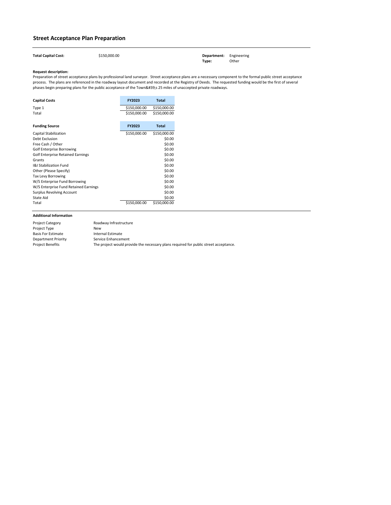| <b>Total Capital Cost:</b> | \$150,000.00 | <b>Department:</b> Engineering |       |
|----------------------------|--------------|--------------------------------|-------|
|                            |              | Type:                          | Other |

| <b>Capital Costs</b>                     | <b>FY2023</b> | <b>Total</b> |
|------------------------------------------|---------------|--------------|
| Type 1                                   | \$150,000.00  | \$150,000.00 |
| Total                                    | \$150,000.00  | \$150,000.00 |
| <b>Funding Source</b>                    | <b>FY2023</b> | <b>Total</b> |
| <b>Capital Stabilization</b>             | \$150,000.00  | \$150,000.00 |
| <b>Debt Exclusion</b>                    |               | \$0.00       |
| Free Cash / Other                        |               | \$0.00       |
| <b>Golf Enterprise Borrowing</b>         |               | \$0.00       |
| <b>Golf Enterprise Retained Earnings</b> |               | \$0.00       |
| Grants                                   |               | \$0.00       |
| <b>I&amp;I Stabilization Fund</b>        |               | \$0.00       |
| Other (Please Specify)                   |               | \$0.00       |
| <b>Tax Levy Borrowing</b>                |               | \$0.00       |
| W/S Enterprise Fund Borrowing            |               | \$0.00       |
| W/S Enterprise Fund Retained Earnings    |               | \$0.00       |
| <b>Surplus Revolving Account</b>         |               | \$0.00       |
| <b>State Aid</b>                         |               | \$0.00       |
| Total                                    | \$150,000.00  | \$150,000.00 |

Preparation of street acceptance plans by professional land surveyor. Street acceptance plans are a necessary component to the formal public street acceptance process. The plans are referenced in the roadway layout document and recorded at the Registry of Deeds. The requested funding would be the first of several phases begin preparing plans for the public acceptance of the Town's 25 miles of unaccepted private roadways.

## **Street Acceptance Plan Preparation**

| <b>Project Category</b>   | Roadway Infrastructure                                                               |
|---------------------------|--------------------------------------------------------------------------------------|
| Project Type              | New                                                                                  |
| <b>Basis For Estimate</b> | Internal Estimate                                                                    |
| Department Priority       | Service Enhancement                                                                  |
| <b>Project Benefits</b>   | The project would provide the necessary plans required for public street acceptance. |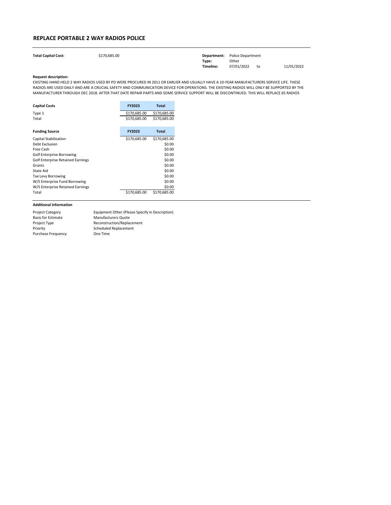| <b>Total Capital Cost:</b> | \$170,685.00 |           | <b>Department:</b> Police Department |    |            |
|----------------------------|--------------|-----------|--------------------------------------|----|------------|
|                            |              | Type:     | Other                                |    |            |
|                            |              | Timeline: | 07/01/2022                           | to | 11/01/2022 |

| <b>Capital Costs</b>                     | <b>FY2023</b> | <b>Total</b> |
|------------------------------------------|---------------|--------------|
| Type 1                                   | \$170,685.00  | \$170,685.00 |
| Total                                    | \$170,685.00  | \$170,685.00 |
| <b>Funding Source</b>                    | <b>FY2023</b> | <b>Total</b> |
| Capital Stabilization                    | \$170,685.00  | \$170,685.00 |
| Debt Exclusion                           |               | \$0.00       |
| Free Cash                                |               | \$0.00       |
| Golf Enterprise Borrowing                |               | \$0.00       |
| <b>Golf Enterprise Retained Earnings</b> |               | \$0.00       |
| Grants                                   |               | \$0.00       |
| State Aid                                |               | \$0.00       |
| <b>Tax Levy Borrowing</b>                |               | \$0.00       |
| W/S Enterprise Fund Borrowing            |               | \$0.00       |
| W/S Enterprise Retained Earnings         |               | \$0.00       |
| Total                                    | \$170,685.00  | \$170,685.00 |

### **REPLACE PORTABLE 2 WAY RADIOS POLICE**

| <b>Project Category</b>   | Equipment Other (Please Specify in Description) |
|---------------------------|-------------------------------------------------|
| <b>Basis for Estimate</b> | <b>Manufacturers Quote</b>                      |
| Project Type              | Reconstruction/Replacement                      |
| Priority                  | <b>Scheduled Replacement</b>                    |
| <b>Purchase Frequency</b> | One Time                                        |

EXISTING HAND HELD 2 WAY RADIOS USED BY PD WERE PROCURED IN 2011 OR EARLIER AND USUALLY HAVE A 10-YEAR MANUFACTURERS SERVICE LIFE. THESE RADIOS ARE USED DAILY AND ARE A CRUCIAL SAFETY AND COMMUNICATION DEVICE FOR OPERATIONS. THE EXISTING RADIOS WILL ONLY BE SUPPORTED BY THE MANUFACTURER THROUGH DEC 2018. AFTER THAT DATE REPAIR PARTS AND SOME SERVICE SUPPORT WILL BE DISCONTINUED. THIS WILL REPLACE 65 RADIOS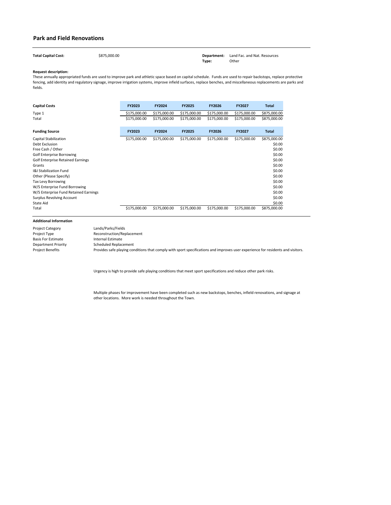| <b>Total Capital Cost:</b> | \$875,000.00 | <b>Department:</b> Land Fac. and Nat. Resources |       |
|----------------------------|--------------|-------------------------------------------------|-------|
|                            |              | Type:                                           | Other |

| <b>Capital Costs</b>                     | <b>FY2023</b> | <b>FY2024</b> | <b>FY2025</b> | <b>FY2026</b> | <b>FY2027</b> | <b>Total</b> |
|------------------------------------------|---------------|---------------|---------------|---------------|---------------|--------------|
| Type 1                                   | \$175,000.00  | \$175,000.00  | \$175,000.00  | \$175,000.00  | \$175,000.00  | \$875,000.00 |
| Total                                    | \$175,000.00  | \$175,000.00  | \$175,000.00  | \$175,000.00  | \$175,000.00  | \$875,000.00 |
| <b>Funding Source</b>                    | FY2023        | <b>FY2024</b> | <b>FY2025</b> | <b>FY2026</b> | <b>FY2027</b> | <b>Total</b> |
| <b>Capital Stabilization</b>             | \$175,000.00  | \$175,000.00  | \$175,000.00  | \$175,000.00  | \$175,000.00  | \$875,000.00 |
| Debt Exclusion                           |               |               |               |               |               | \$0.00       |
| Free Cash / Other                        |               |               |               |               |               | \$0.00       |
| <b>Golf Enterprise Borrowing</b>         |               |               |               |               |               | \$0.00       |
| <b>Golf Enterprise Retained Earnings</b> |               |               |               |               |               | \$0.00       |
| Grants                                   |               |               |               |               |               | \$0.00       |
| <b>I&amp;I Stabilization Fund</b>        |               |               |               |               |               | \$0.00       |
| Other (Please Specify)                   |               |               |               |               |               | \$0.00       |
| <b>Tax Levy Borrowing</b>                |               |               |               |               |               | \$0.00       |
| W/S Enterprise Fund Borrowing            |               |               |               |               |               | \$0.00       |
| W/S Enterprise Fund Retained Earnings    |               |               |               |               |               | \$0.00       |
| <b>Surplus Revolving Account</b>         |               |               |               |               |               | \$0.00       |
| State Aid                                |               |               |               |               |               | \$0.00       |
| Total                                    | \$175,000.00  | \$175,000.00  | \$175,000.00  | \$175,000.00  | \$175,000.00  | \$875,000.00 |

Project Category Project Type Basis For Estimate Department Priority Project Benefits

Urgency is high to provide safe playing conditions that meet sport specifications and reduce other park risks.

Multiple phases for improvement have been completed such as new backstops, benches, infield renovations, and signage at other locations. More work is needed throughout the Town.

Internal Estimate Scheduled Replacement Provides safe playing conditions that comply with sport specifications and improves user experience for residents and visitors. Lands/Parks/Fields Reconstruction/Replacement

### **Park and Field Renovations**

These annually appropriated funds are used to improve park and athletic space based on capital schedule. Funds are used to repair backstops, replace protective fencing, add identity and regulatory signage, improve irrigation systems, improve infield surfaces, replace benches, and miscellaneous replacements are parks and fields.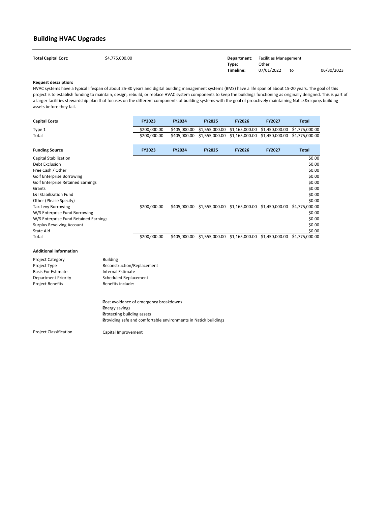| <b>Total Capital Cost:</b> | \$4,775,000.00 |           | <b>Department:</b> Facilities Management |    |            |
|----------------------------|----------------|-----------|------------------------------------------|----|------------|
|                            |                | Type:     | Other                                    |    |            |
|                            |                | Timeline: | 07/01/2022                               | to | 06/30/2023 |

| <b>Capital Costs</b>                     | FY2023       | FY2024        | <b>FY2025</b>  | <b>FY2026</b>  | <b>FY2027</b>                                               | <b>Total</b>   |
|------------------------------------------|--------------|---------------|----------------|----------------|-------------------------------------------------------------|----------------|
| Type 1                                   | \$200,000.00 | \$405,000.00  | \$1,555,000.00 | \$1,165,000.00 | \$1,450,000.00                                              | \$4,775,000.00 |
| Total                                    | \$200,000.00 | \$405,000.00  | \$1,555,000.00 | \$1,165,000.00 | \$1,450,000.00                                              | \$4,775,000.00 |
| <b>Funding Source</b>                    | FY2023       | <b>FY2024</b> | <b>FY2025</b>  | <b>FY2026</b>  | <b>FY2027</b>                                               | <b>Total</b>   |
| Capital Stabilization                    |              |               |                |                |                                                             | \$0.00         |
| Debt Exclusion                           |              |               |                |                |                                                             | \$0.00         |
| Free Cash / Other                        |              |               |                |                |                                                             | \$0.00         |
| <b>Golf Enterprise Borrowing</b>         |              |               |                |                |                                                             | \$0.00         |
| <b>Golf Enterprise Retained Earnings</b> |              |               |                |                |                                                             | \$0.00         |
| Grants                                   |              |               |                |                |                                                             | \$0.00         |
| <b>I&amp;I Stabilization Fund</b>        |              |               |                |                |                                                             | \$0.00         |
| Other (Please Specify)                   |              |               |                |                |                                                             | \$0.00         |
| Tax Levy Borrowing                       | \$200,000.00 | \$405,000.00  |                |                | \$1,555,000.00 \$1,165,000.00 \$1,450,000.00 \$4,775,000.00 |                |
| W/S Enterprise Fund Borrowing            |              |               |                |                |                                                             | \$0.00         |
| W/S Enterprise Fund Retained Earnings    |              |               |                |                |                                                             | \$0.00         |
| <b>Surplus Revolving Account</b>         |              |               |                |                |                                                             | \$0.00         |
| State Aid                                |              |               |                |                |                                                             | \$0.00         |
| Total                                    | \$200,000.00 | \$405,000.00  | \$1,555,000.00 | \$1,165,000.00 | \$1,450,000.00                                              | \$4,775,000.00 |

## **Building HVAC Upgrades**

| <b>Project Category</b><br>Project Type<br><b>Basis For Estimate</b><br><b>Department Priority</b><br><b>Project Benefits</b> | <b>Building</b><br>Reconstruction/Replacement<br>Internal Estimate<br>Scheduled Replacement<br>Benefits include:                                                                      |
|-------------------------------------------------------------------------------------------------------------------------------|---------------------------------------------------------------------------------------------------------------------------------------------------------------------------------------|
|                                                                                                                               | <b>Cost avoidance of emergency breakdowns</b><br><b>Energy savings</b><br><b>Protecting building assets</b><br><b>Providing safe and comfortable environments in Natick buildings</b> |
| <b>Project Classification</b>                                                                                                 | Capital Improvement                                                                                                                                                                   |

HVAC systems have a typical lifespan of about 25-30 years and digital building management systems (BMS) have a life span of about 15-20 years. The goal of this project is to establish funding to maintain, design, rebuild, or replace HVAC system components to keep the buildings functioning as originally designed. This is part of a larger facilities stewardship plan that focuses on the different components of building systems with the goal of proactively maintaining Natick's building assets before they fail.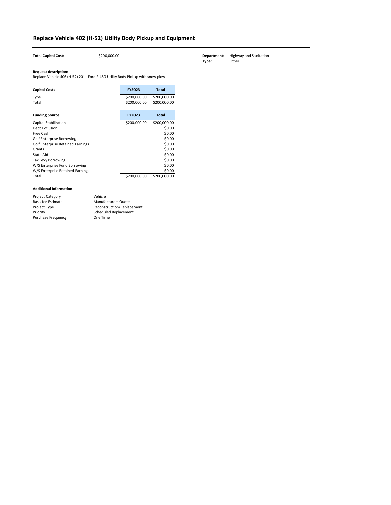| <b>Total Capital Cost:</b>                                                                                   | \$200,000.00 |               |              |
|--------------------------------------------------------------------------------------------------------------|--------------|---------------|--------------|
| <b>Request description:</b><br>Replace Vehicle 406 (H-52) 2011 Ford F-450 Utility Body Pickup with snow plow |              |               |              |
| <b>Capital Costs</b>                                                                                         |              | <b>FY2023</b> | <b>Total</b> |
| Type 1                                                                                                       |              | \$200,000.00  | \$200,000.00 |
| Total                                                                                                        |              | \$200,000.00  | \$200,000.00 |
|                                                                                                              |              |               |              |
| <b>Funding Source</b>                                                                                        |              | <b>FY2023</b> | <b>Total</b> |
| <b>Capital Stabilization</b>                                                                                 |              | \$200,000.00  | \$200,000.00 |
| Debt Exclusion                                                                                               |              |               | \$0.00       |
| Free Cash                                                                                                    |              |               | \$0.00       |
| <b>Golf Enterprise Borrowing</b>                                                                             |              |               | \$0.00       |
| <b>Golf Enterprise Retained Earnings</b>                                                                     |              |               | \$0.00       |
| Grants                                                                                                       |              |               | \$0.00       |
| <b>State Aid</b>                                                                                             |              |               | \$0.00       |
| Tax Levy Borrowing                                                                                           |              |               | \$0.00       |
| W/S Enterprise Fund Borrowing                                                                                |              |               | \$0.00       |
| W/S Enterprise Retained Earnings                                                                             |              |               | \$0.00       |
| Total                                                                                                        |              | \$200,000.00  | \$200,000.00 |

| <b>Project Category</b>   | Vehicle                    |
|---------------------------|----------------------------|
| <b>Basis for Estimate</b> | <b>Manufacturers Quote</b> |
| Project Type              | Reconstruction/Replacement |
| Priority                  | Scheduled Replacement      |
| <b>Purchase Frequency</b> | One Time                   |

# **Replace Vehicle 402 (H-52) Utility Body Pickup and Equipment**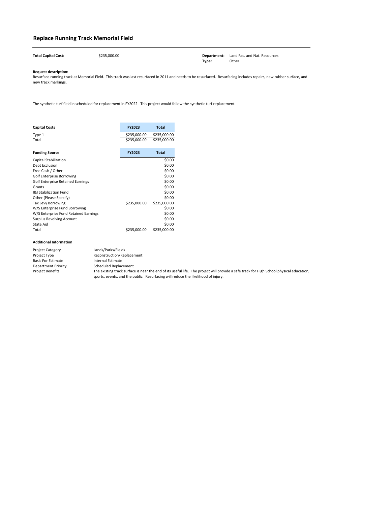**Total Capital Cost:** \$235,000.00 **Department:** Land Fac. and Nat. Resources

**Type:** Other

### **Request description:**

| <b>Capital Costs</b>                     | <b>FY2023</b> | <b>Total</b> |
|------------------------------------------|---------------|--------------|
| Type 1                                   | \$235,000.00  | \$235,000.00 |
| Total                                    | \$235,000.00  | \$235,000.00 |
| <b>Funding Source</b>                    | <b>FY2023</b> | <b>Total</b> |
| <b>Capital Stabilization</b>             |               | \$0.00       |
| Debt Exclusion                           |               | \$0.00       |
| Free Cash / Other                        |               | \$0.00       |
| <b>Golf Enterprise Borrowing</b>         |               | \$0.00       |
| <b>Golf Enterprise Retained Earnings</b> |               | \$0.00       |
| Grants                                   |               | \$0.00       |
| <b>I&amp;I Stabilization Fund</b>        |               | \$0.00       |
| Other (Please Specify)                   |               | \$0.00       |
| <b>Tax Levy Borrowing</b>                | \$235,000.00  | \$235,000.00 |
| W/S Enterprise Fund Borrowing            |               | \$0.00       |
| W/S Enterprise Fund Retained Earnings    |               | \$0.00       |
| <b>Surplus Revolving Account</b>         |               | \$0.00       |
| <b>State Aid</b>                         |               | \$0.00       |
| Total                                    | \$235,000.00  | \$235,000.00 |

## **Replace Running Track Memorial Field**

| <b>Project Category</b>   | Lands/Parks/Fields                                                                                                                       |
|---------------------------|------------------------------------------------------------------------------------------------------------------------------------------|
| Project Type              | Reconstruction/Replacement                                                                                                               |
| <b>Basis For Estimate</b> | Internal Estimate                                                                                                                        |
| Department Priority       | <b>Scheduled Replacement</b>                                                                                                             |
| Project Benefits          | The existing track surface is near the end of its useful life. The project will provide a safe track for High School physical education, |
|                           | sports, events, and the public. Resurfacing will reduce the likelihood of injury.                                                        |

Resurface running track at Memorial Field. This track was last resurfaced in 2011 and needs to be resurfaced. Resurfacing includes repairs, new rubber surface, and new track markings.

The synthetic turf field in scheduled for replacement in FY2022. This project would follow the synthetic turf replacement.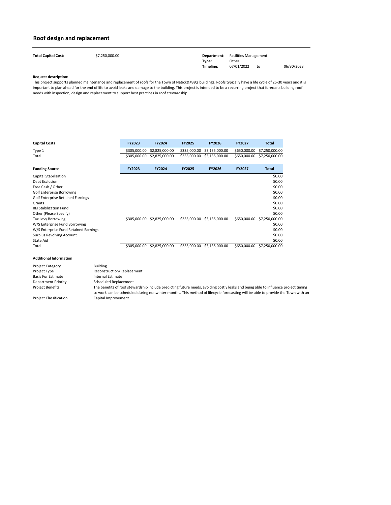| <b>Total Capital Cost:</b> | \$7,250,000.00 |           | <b>Department:</b> Facilities Management |    |            |
|----------------------------|----------------|-----------|------------------------------------------|----|------------|
|                            |                | Type:     | Other                                    |    |            |
|                            |                | Timeline: | 07/01/2022                               | to | 06/30/2023 |

| <b>Capital Costs</b>                     | <b>FY2023</b> | <b>FY2024</b>  | <b>FY2025</b> | <b>FY2026</b>  | <b>FY2027</b> | <b>Total</b>   |
|------------------------------------------|---------------|----------------|---------------|----------------|---------------|----------------|
| Type 1                                   | \$305,000.00  | \$2,825,000.00 | \$335,000.00  | \$3,135,000.00 | \$650,000.00  | \$7,250,000.00 |
| Total                                    | \$305,000.00  | \$2,825,000.00 | \$335,000.00  | \$3,135,000.00 | \$650,000.00  | \$7,250,000.00 |
| <b>Funding Source</b>                    | <b>FY2023</b> | <b>FY2024</b>  | <b>FY2025</b> | <b>FY2026</b>  | <b>FY2027</b> | <b>Total</b>   |
| <b>Capital Stabilization</b>             |               |                |               |                |               | \$0.00         |
| Debt Exclusion                           |               |                |               |                |               | \$0.00         |
| Free Cash / Other                        |               |                |               |                |               | \$0.00         |
| <b>Golf Enterprise Borrowing</b>         |               |                |               |                |               | \$0.00         |
| <b>Golf Enterprise Retained Earnings</b> |               |                |               |                |               | \$0.00         |
| Grants                                   |               |                |               |                |               | \$0.00         |
| <b>I&amp;I Stabilization Fund</b>        |               |                |               |                |               | \$0.00         |
| Other (Please Specify)                   |               |                |               |                |               | \$0.00         |
| <b>Tax Levy Borrowing</b>                | \$305,000.00  | \$2,825,000.00 | \$335,000.00  | \$3,135,000.00 | \$650,000.00  | \$7,250,000.00 |
| W/S Enterprise Fund Borrowing            |               |                |               |                |               | \$0.00         |
| W/S Enterprise Fund Retained Earnings    |               |                |               |                |               | \$0.00         |
| <b>Surplus Revolving Account</b>         |               |                |               |                |               | \$0.00         |
| <b>State Aid</b>                         |               |                |               |                |               | \$0.00         |
| Total                                    | \$305,000.00  | \$2,825,000.00 | \$335,000.00  | \$3,135,000.00 | \$650,000.00  | \$7,250,000.00 |

This project supports planned maintenance and replacement of roofs for the Town of Natick's buildings. Roofs typically have a life cycle of 25-30 years and it is important to plan ahead for the end of life to avoid leaks and damage to the building. This project is intended to be a recurring project that forecasts building roof needs with inspection, design and replacement to support best practices in roof stewardship.

## **Roof design and replacement**

| <b>Project Category</b>       | <b>Building</b>                                                                                                                                                                                                                                                       |
|-------------------------------|-----------------------------------------------------------------------------------------------------------------------------------------------------------------------------------------------------------------------------------------------------------------------|
| Project Type                  | Reconstruction/Replacement                                                                                                                                                                                                                                            |
| <b>Basis For Estimate</b>     | Internal Estimate                                                                                                                                                                                                                                                     |
| Department Priority           | <b>Scheduled Replacement</b>                                                                                                                                                                                                                                          |
| Project Benefits              | The benefits of roof stewardship include predicting future needs, avoiding costly leaks and being able to influence project timing<br>so work can be scheduled during nonwinter months. This method of lifecycle forecasting will be able to provide the Town with an |
| <b>Project Classification</b> | Capital Improvement                                                                                                                                                                                                                                                   |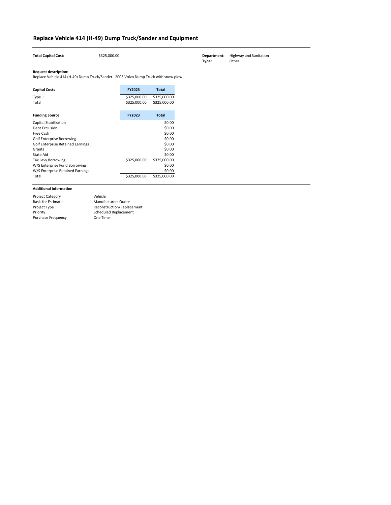| <b>Total Capital Cost:</b>                                                                                                                                                                                                                                                                  | \$325,000.00                 |                                                                                                                        | Department:<br>Type: | <b>Highway and Sanitation</b><br>Other |
|---------------------------------------------------------------------------------------------------------------------------------------------------------------------------------------------------------------------------------------------------------------------------------------------|------------------------------|------------------------------------------------------------------------------------------------------------------------|----------------------|----------------------------------------|
| <b>Request description:</b><br>Replace Vehicle 414 (H-49) Dump Truck/Sander. 2005 Volvo Dump Truck with snow plow.                                                                                                                                                                          |                              |                                                                                                                        |                      |                                        |
| <b>Capital Costs</b>                                                                                                                                                                                                                                                                        | <b>FY2023</b>                | <b>Total</b>                                                                                                           |                      |                                        |
| Type 1<br>Total                                                                                                                                                                                                                                                                             | \$325,000.00<br>\$325,000.00 | \$325,000.00<br>\$325,000.00                                                                                           |                      |                                        |
| <b>Funding Source</b>                                                                                                                                                                                                                                                                       | FY2023                       | <b>Total</b>                                                                                                           |                      |                                        |
| <b>Capital Stabilization</b><br><b>Debt Exclusion</b><br>Free Cash<br><b>Golf Enterprise Borrowing</b><br><b>Golf Enterprise Retained Earnings</b><br>Grants<br><b>State Aid</b><br><b>Tax Levy Borrowing</b><br>W/S Enterprise Fund Borrowing<br>W/S Enterprise Retained Earnings<br>Total | \$325,000.00<br>\$325,000.00 | \$0.00<br>\$0.00<br>\$0.00<br>\$0.00<br>\$0.00<br>\$0.00<br>\$0.00<br>\$325,000.00<br>\$0.00<br>\$0.00<br>\$325,000.00 |                      |                                        |

| <b>Project Category</b>   | Vehicle                    |
|---------------------------|----------------------------|
| <b>Basis for Estimate</b> | <b>Manufacturers Quote</b> |
| Project Type              | Reconstruction/Replacement |
| Priority                  | Scheduled Replacement      |
| <b>Purchase Frequency</b> | One Time                   |

# **Replace Vehicle 414 (H-49) Dump Truck/Sander and Equipment**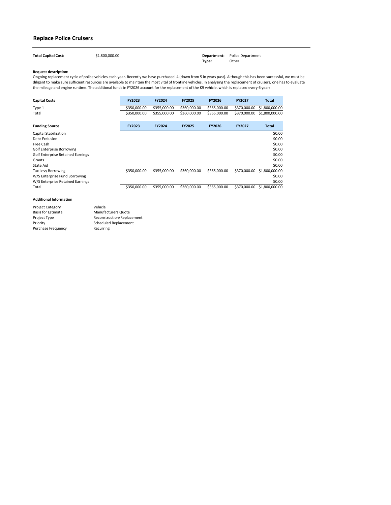| <b>Total Capital Cost:</b> | \$1,800,000.00 |       | <b>Department:</b> Police Department |
|----------------------------|----------------|-------|--------------------------------------|
|                            |                | Type: | Other                                |

| <b>Capital Costs</b>                     | <b>FY2023</b> | <b>FY2024</b> | <b>FY2025</b> | <b>FY2026</b> | <b>FY2027</b> | Total          |
|------------------------------------------|---------------|---------------|---------------|---------------|---------------|----------------|
| Type 1                                   | \$350,000.00  | \$355,000.00  | \$360,000.00  | \$365,000.00  | \$370,000.00  | \$1,800,000.00 |
| Total                                    | \$350,000.00  | \$355,000.00  | \$360,000.00  | \$365,000.00  | \$370,000.00  | \$1,800,000.00 |
| <b>Funding Source</b>                    | <b>FY2023</b> | <b>FY2024</b> | <b>FY2025</b> | <b>FY2026</b> | <b>FY2027</b> | <b>Total</b>   |
| Capital Stabilization                    |               |               |               |               |               | \$0.00         |
| Debt Exclusion                           |               |               |               |               |               | \$0.00         |
| Free Cash                                |               |               |               |               |               | \$0.00         |
| <b>Golf Enterprise Borrowing</b>         |               |               |               |               |               | \$0.00         |
| <b>Golf Enterprise Retained Earnings</b> |               |               |               |               |               | \$0.00         |
| Grants                                   |               |               |               |               |               | \$0.00         |
| State Aid                                |               |               |               |               |               | \$0.00         |
| Tax Levy Borrowing                       | \$350,000.00  | \$355,000.00  | \$360,000.00  | \$365,000.00  | \$370,000.00  | \$1,800,000.00 |
| W/S Enterprise Fund Borrowing            |               |               |               |               |               | \$0.00         |
| W/S Enterprise Retained Earnings         |               |               |               |               |               | \$0.00         |
| Total                                    | \$350,000.00  | \$355,000.00  | \$360,000.00  | \$365,000.00  | \$370,000.00  | \$1,800,000.00 |

## **Replace Police Cruisers**

Project Category Basis for Estimate Project Type Priority Purchase Frequency Reconstruction/Replacement Scheduled Replacement Recurring Vehicle Manufacturers Quote

Ongoing replacement cycle of police vehicles each year. Recently we have purchased 4 (down from 5 in years past). Although this has been successful, we must be diligent to make sure sufficient resources are available to maintain the most vital of frontline vehicles. In analyzing the replacement of cruisers, one has to evaluate the mileage and engine runtime. The additional funds in FY2026 account for the replacement of the K9 vehicle, which is replaced every 6 years.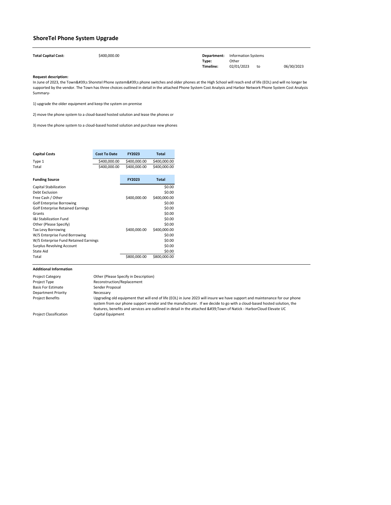| <b>Total Capital Cost:</b> | \$400,000.00 |           | <b>Department:</b> Information Systems |    |            |
|----------------------------|--------------|-----------|----------------------------------------|----|------------|
|                            |              | Type:     | Other                                  |    |            |
|                            |              | Timeline: | 02/01/2023                             | to | 06/30/2023 |

| <b>Capital Costs</b>                     | <b>Cost To Date</b> | <b>FY2023</b> | Total        |
|------------------------------------------|---------------------|---------------|--------------|
| Type 1                                   | \$400,000.00        | \$400,000.00  | \$400,000.00 |
| Total                                    | \$400,000.00        | \$400,000.00  | \$400,000.00 |
|                                          |                     |               |              |
| <b>Funding Source</b>                    |                     | <b>FY2023</b> | <b>Total</b> |
| <b>Capital Stabilization</b>             |                     |               | \$0.00       |
| <b>Debt Exclusion</b>                    |                     |               | \$0.00       |
| Free Cash / Other                        |                     | \$400,000.00  | \$400,000.00 |
| <b>Golf Enterprise Borrowing</b>         |                     |               | \$0.00       |
| <b>Golf Enterprise Retained Earnings</b> |                     |               | \$0.00       |
| Grants                                   |                     |               | \$0.00       |
| <b>1&amp;I Stabilization Fund</b>        |                     |               | \$0.00       |
| Other (Please Specify)                   |                     |               | \$0.00       |
| <b>Tax Levy Borrowing</b>                |                     | \$400,000.00  | \$400,000.00 |
| W/S Enterprise Fund Borrowing            |                     |               | \$0.00       |
| W/S Enterprise Fund Retained Earnings    |                     |               | \$0.00       |
| <b>Surplus Revolving Account</b>         |                     |               | \$0.00       |
| <b>State Aid</b>                         |                     |               | \$0.00       |
| Total                                    |                     | \$800,000.00  | \$800,000.00 |

In June of 2023, the Town's Shoretel Phone system's phone switches and older phones at the High School will reach end of life (EOL) and will no longer be supported by the vendor. The Town has three choices outlined in detail in the attached Phone System Cost Analysis and Harbor Network Phone System Cost Analysis Summary-

## **ShoreTel Phone System Upgrade**

| <b>Project Category</b>       | Other (Please Specify in Description)                                                                                                                                                                                                                                                                                                                                  |
|-------------------------------|------------------------------------------------------------------------------------------------------------------------------------------------------------------------------------------------------------------------------------------------------------------------------------------------------------------------------------------------------------------------|
| Project Type                  | Reconstruction/Replacement                                                                                                                                                                                                                                                                                                                                             |
| <b>Basis For Estimate</b>     | Sender Proposal                                                                                                                                                                                                                                                                                                                                                        |
| <b>Department Priority</b>    | Necessary                                                                                                                                                                                                                                                                                                                                                              |
| <b>Project Benefits</b>       | Upgrading old equipment that will end of life (EOL) in June 2023 will insure we have support and maintenance for our phone<br>system from our phone support vendor and the manufacturer. If we decide to go with a cloud-based hosted solution, the<br>features, benefits and services are outlined in detail in the attached 'Town of Natick - HarborCloud Elevate UC |
| <b>Project Classification</b> | Capital Equipment                                                                                                                                                                                                                                                                                                                                                      |

1) upgrade the older equipment and keep the system on-premise

2) move the phone system to a cloud-based hosted solution and lease the phones or

3) move the phone system to a cloud-based hosted solution and purchase new phones

**College**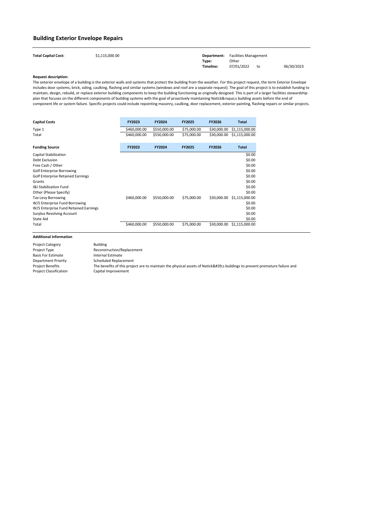| <b>Total Capital Cost:</b> | \$1,115,000.00 |           | <b>Department:</b> Facilities Management |    |            |
|----------------------------|----------------|-----------|------------------------------------------|----|------------|
|                            |                | Type:     | Other                                    |    |            |
|                            |                | Timeline: | 07/01/2022                               | to | 06/30/2023 |

| <b>Capital Costs</b>                     | <b>FY2023</b> | <b>FY2024</b> | <b>FY2025</b> | <b>FY2026</b> | Total          |
|------------------------------------------|---------------|---------------|---------------|---------------|----------------|
| Type 1                                   | \$460,000.00  | \$550,000.00  | \$75,000.00   | \$30,000.00   | \$1,115,000.00 |
| Total                                    | \$460,000.00  | \$550,000.00  | \$75,000.00   | \$30,000.00   | \$1,115,000.00 |
| <b>Funding Source</b>                    | <b>FY2023</b> | <b>FY2024</b> | <b>FY2025</b> | <b>FY2026</b> | <b>Total</b>   |
| Capital Stabilization                    |               |               |               |               | \$0.00         |
| <b>Debt Exclusion</b>                    |               |               |               |               | \$0.00         |
| Free Cash / Other                        |               |               |               |               | \$0.00         |
| <b>Golf Enterprise Borrowing</b>         |               |               |               |               | \$0.00         |
| <b>Golf Enterprise Retained Earnings</b> |               |               |               |               | \$0.00         |
| Grants                                   |               |               |               |               | \$0.00         |
| <b>I&amp;I Stabilization Fund</b>        |               |               |               |               | \$0.00         |
| Other (Please Specify)                   |               |               |               |               | \$0.00         |
| <b>Tax Levy Borrowing</b>                | \$460,000.00  | \$550,000.00  | \$75,000.00   | \$30,000.00   | \$1,115,000.00 |
| W/S Enterprise Fund Borrowing            |               |               |               |               | \$0.00         |
| W/S Enterprise Fund Retained Earnings    |               |               |               |               | \$0.00         |
| <b>Surplus Revolving Account</b>         |               |               |               |               | \$0.00         |
| State Aid                                |               |               |               |               | \$0.00         |
| Total                                    | \$460,000.00  | \$550,000.00  | \$75,000.00   | \$30,000.00   | \$1,115,000.00 |

### **Building Exterior Envelope Repairs**

| <b>Building</b>                                                                                                         |
|-------------------------------------------------------------------------------------------------------------------------|
| Reconstruction/Replacement                                                                                              |
| Internal Estimate                                                                                                       |
| <b>Scheduled Replacement</b>                                                                                            |
| The benefits of this project are to maintain the physical assets of Natick's buildings to prevent premature failure and |
| Capital Improvement                                                                                                     |
|                                                                                                                         |

The exterior envelope of a building is the exterior walls and systems that protect the building from the weather. For this project request, the term Exterior Envelope includes door systems, brick, siding, caulking, flashing and similar systems (windows and roof are a separate request). The goal of this project is to establish funding to maintain, design, rebuild, or replace exterior building components to keep the building functioning as originally designed. This is part of a larger facilities stewardship plan that focuses on the different components of building systems with the goal of proactively maintaining Natick's building assets before the end of component life or system failure. Specific projects could include repointing masonry, caulking, door replacement, exterior painting, flashing repairs or similar projects.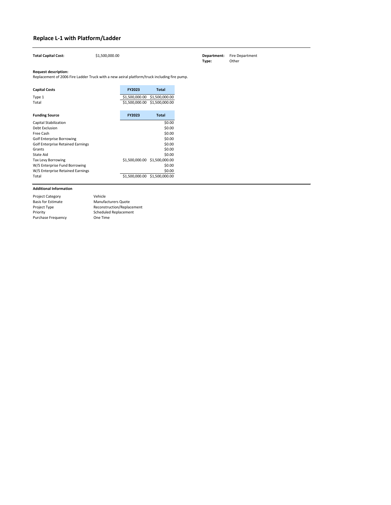| Type 1<br>Total                   | \$1,500,000.00 | \$1,500,000.00<br>\$1,500,000.00 \$1,500,000.00 |
|-----------------------------------|----------------|-------------------------------------------------|
|                                   |                |                                                 |
| <b>Funding Source</b>             | <b>FY2023</b>  | <b>Total</b>                                    |
| <b>Capital Stabilization</b>      |                | \$0.00                                          |
| Debt Exclusion                    |                | \$0.00                                          |
| Free Cash                         |                | \$0.00                                          |
| <b>Golf Enterprise Borrowing</b>  |                | \$0.00                                          |
| Golf Enterprise Retained Earnings |                | \$0.00                                          |
| Grants                            |                | \$0.00                                          |
| State Aid                         |                | \$0.00                                          |
| <b>Tax Levy Borrowing</b>         | \$1,500,000.00 | \$1,500,000.00                                  |
| W/S Enterprise Fund Borrowing     |                | \$0.00                                          |
| W/S Enterprise Retained Earnings  |                | \$0.00                                          |
| Total                             | \$1,500,000.00 | \$1,500,000.00                                  |

| <b>Total Capital Cost:</b>                                                                                                 | \$1,500,000.00 |               |              | Department:<br>Type: | <b>Fire Department</b><br>Other |
|----------------------------------------------------------------------------------------------------------------------------|----------------|---------------|--------------|----------------------|---------------------------------|
| <b>Request description:</b><br>Replacement of 2006 Fire Ladder Truck with a new aeiral platform/truck including fire pump. |                |               |              |                      |                                 |
| <b>Capital Costs</b>                                                                                                       |                | <b>FY2023</b> | <b>Total</b> |                      |                                 |

# **Replace L-1 with Platform/Ladder**

| <b>Project Category</b>   | Vehicle                      |
|---------------------------|------------------------------|
| <b>Basis for Estimate</b> | <b>Manufacturers Quote</b>   |
| Project Type              | Reconstruction/Replacement   |
| Priority                  | <b>Scheduled Replacement</b> |
| <b>Purchase Frequency</b> | One Time                     |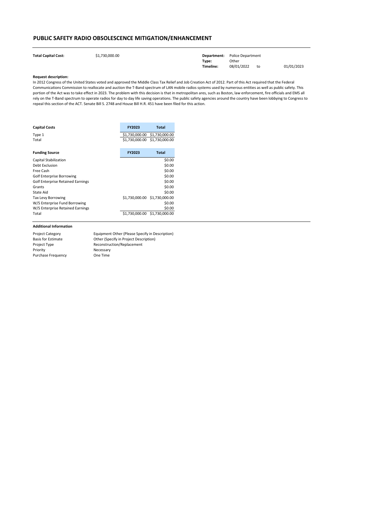| <b>Total Capital Cost:</b> | \$1,730,000.00 |           | <b>Department:</b> Police Department |    |            |
|----------------------------|----------------|-----------|--------------------------------------|----|------------|
|                            |                | Type:     | Other                                |    |            |
|                            |                | Timeline: | 08/01/2022                           | to | 01/01/2023 |

| <b>Capital Costs</b>                     | <b>FY2023</b>                 | <b>Total</b> |
|------------------------------------------|-------------------------------|--------------|
| Type 1                                   | \$1,730,000.00 \$1,730,000.00 |              |
| Total                                    | \$1,730,000.00 \$1,730,000.00 |              |
| <b>Funding Source</b>                    | <b>FY2023</b>                 | <b>Total</b> |
| Capital Stabilization                    |                               | \$0.00       |
| Debt Exclusion                           |                               | \$0.00       |
| Free Cash                                |                               | \$0.00       |
| <b>Golf Enterprise Borrowing</b>         |                               | \$0.00       |
| <b>Golf Enterprise Retained Earnings</b> |                               | \$0.00       |
| Grants                                   |                               | \$0.00       |
| State Aid                                |                               | \$0.00       |
| <b>Tax Levy Borrowing</b>                | \$1,730,000.00 \$1,730,000.00 |              |
| W/S Enterprise Fund Borrowing            |                               | \$0.00       |
| W/S Enterprise Retained Earnings         |                               | \$0.00       |
| Total                                    | \$1,730,000.00 \$1,730,000.00 |              |

## **PUBLIC SAFETY RADIO OBSOLESCENCE MITIGATION/ENHANCEMENT**

| <b>Project Category</b>   | Equipment Other (Please Specify in Description) |
|---------------------------|-------------------------------------------------|
| <b>Basis for Estimate</b> | Other (Specify in Project Description)          |
| Project Type              | Reconstruction/Replacement                      |
| Priority                  | Necessary                                       |
| <b>Purchase Frequency</b> | One Time                                        |

In 2012 Congress of the United States voted and approved the Middle Class Tax Relief and Job Creation Act of 2012. Part of this Act required that the Federal Communications Commission to reallocate and auction the T-Band spectrum of LAN mobile radios systems used by numerous entities as well as public safety. This portion of the Act was to take effect in 2023. The problem with this decision is that in metropolitan ares, such as Boston, law enforcement, fire officials and EMS all rely on the T-Band spectrum to operate radios for day to day life saving operations. The public safety agencies around the country have been lobbying to Congress to repeal this section of the ACT. Senate Bill S. 2748 and House Bill H.R. 451 have been filed for this action.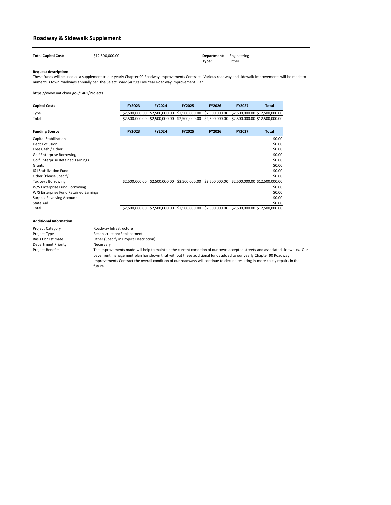| <b>Total Capital Cost:</b> | \$12,500,000.00 | <b>Department:</b> Engineering |       |
|----------------------------|-----------------|--------------------------------|-------|
|                            |                 | Type:                          | Other |

| <b>Capital Costs</b> | <b>FY2023</b> | <b>FY2024</b>                                                                              | <b>FY2025</b> | <b>FY2026</b> | <b>FY2027</b> | <b>Total</b> |
|----------------------|---------------|--------------------------------------------------------------------------------------------|---------------|---------------|---------------|--------------|
| Type 1               |               | \$2,500,000.00 \$2,500,000.00 \$2,500,000.00 \$2,500,000.00 \$2,500,000.00 \$12,500,000.00 |               |               |               |              |
| Total                |               | \$2,500,000.00 \$2,500,000.00 \$2,500,000.00 \$2,500,000.00 \$2,500,000.00 \$12,500,000.00 |               |               |               |              |

| <b>Funding Source</b>                    | <b>FY2023</b>  | <b>FY2024</b>  | <b>FY2025</b>  | <b>FY2026</b>  | <b>FY2027</b> | <b>Total</b>                                                                |
|------------------------------------------|----------------|----------------|----------------|----------------|---------------|-----------------------------------------------------------------------------|
| <b>Capital Stabilization</b>             |                |                |                |                |               | \$0.00                                                                      |
| Debt Exclusion                           |                |                |                |                |               | \$0.00                                                                      |
| Free Cash / Other                        |                |                |                |                |               | \$0.00                                                                      |
| <b>Golf Enterprise Borrowing</b>         |                |                |                |                |               | \$0.00                                                                      |
| <b>Golf Enterprise Retained Earnings</b> |                |                |                |                |               | \$0.00                                                                      |
| Grants                                   |                |                |                |                |               | \$0.00                                                                      |
| <b>I&amp;I Stabilization Fund</b>        |                |                |                |                |               | \$0.00                                                                      |
| Other (Please Specify)                   |                |                |                |                |               | \$0.00                                                                      |
| <b>Tax Levy Borrowing</b>                | \$2,500,000,00 |                |                |                |               | \$2,500,000.00 \$2,500,000.00 \$2,500,000.00 \$2,500,000.00 \$12,500,000.00 |
| W/S Enterprise Fund Borrowing            |                |                |                |                |               | \$0.00                                                                      |
| W/S Enterprise Fund Retained Earnings    |                |                |                |                |               | \$0.00                                                                      |
| <b>Surplus Revolving Account</b>         |                |                |                |                |               | \$0.00                                                                      |
| <b>State Aid</b>                         |                |                |                |                |               | \$0.00                                                                      |
| Total                                    | \$2,500,000.00 | \$2,500,000.00 | \$2,500,000.00 | \$2,500,000.00 |               | \$2,500,000.00 \$12,500,000.00                                              |

These funds will be used as a supplement to our yearly Chapter 90 Roadway Improvements Contract. Various roadway and sidewalk improvements will be made to numerous town roadways annually per the Select Board's Five Year Roadway Improvement Plan.

| <b>Project Category</b>    | Roadway Infrastructure                                                                                                                                                                                                                                                                                                                                                                   |
|----------------------------|------------------------------------------------------------------------------------------------------------------------------------------------------------------------------------------------------------------------------------------------------------------------------------------------------------------------------------------------------------------------------------------|
| Project Type               | Reconstruction/Replacement                                                                                                                                                                                                                                                                                                                                                               |
| <b>Basis For Estimate</b>  | Other (Specify in Project Description)                                                                                                                                                                                                                                                                                                                                                   |
| <b>Department Priority</b> | Necessary                                                                                                                                                                                                                                                                                                                                                                                |
| <b>Project Benefits</b>    | The improvements made will help to maintain the current condition of our town accepted streets and associated sidewalks. Our<br>pavement management plan has shown that without these additional funds added to our yearly Chapter 90 Roadway<br>Improvements Contract the overall condition of our roadways will continue to decline resulting in more costly repairs in the<br>future. |

# **Roadway & Sidewalk Supplement**

https://www.natickma.gov/1461/Projects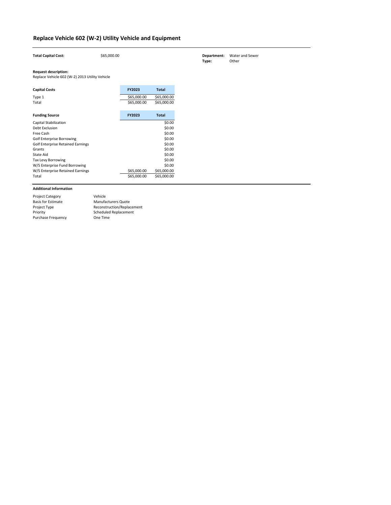| Department: | <b>Water and Sewer</b> |
|-------------|------------------------|
| Type:       | Other                  |

| <b>Total Capital Cost:</b>                     | \$65,000.00 |               |              | Department:<br>Type: | Water and Sewer<br>Other |
|------------------------------------------------|-------------|---------------|--------------|----------------------|--------------------------|
| <b>Request description:</b>                    |             |               |              |                      |                          |
| Replace Vehicle 602 (W-2) 2013 Utility Vehicle |             |               |              |                      |                          |
| <b>Capital Costs</b>                           |             | <b>FY2023</b> | <b>Total</b> |                      |                          |
| Type 1                                         |             | \$65,000.00   | \$65,000.00  |                      |                          |
| Total                                          |             | \$65,000.00   | \$65,000.00  |                      |                          |
| <b>Funding Source</b>                          |             | <b>FY2023</b> | <b>Total</b> |                      |                          |
| Capital Stabilization                          |             |               | \$0.00       |                      |                          |
| Debt Exclusion                                 |             |               | \$0.00       |                      |                          |
| Free Cash                                      |             |               | \$0.00       |                      |                          |
| <b>Golf Enterprise Borrowing</b>               |             |               | \$0.00       |                      |                          |
| <b>Golf Enterprise Retained Earnings</b>       |             |               | \$0.00       |                      |                          |
| Grants                                         |             |               | \$0.00       |                      |                          |
| State Aid                                      |             |               | \$0.00       |                      |                          |
| Tax Levy Borrowing                             |             |               | \$0.00       |                      |                          |
| W/S Enterprise Fund Borrowing                  |             |               | \$0.00       |                      |                          |
| W/S Enterprise Retained Earnings               |             | \$65,000.00   | \$65,000.00  |                      |                          |
| Total                                          |             | \$65,000.00   | \$65,000.00  |                      |                          |
|                                                |             |               |              |                      |                          |

| <b>Project Category</b>   | Vehicle                    |
|---------------------------|----------------------------|
| <b>Basis for Estimate</b> | <b>Manufacturers Quote</b> |
| Project Type              | Reconstruction/Replacement |
| Priority                  | Scheduled Replacement      |
| <b>Purchase Frequency</b> | One Time                   |

# **Replace Vehicle 602 (W-2) Utility Vehicle and Equipment**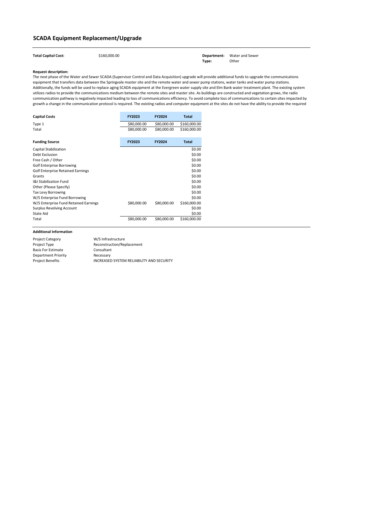| <b>Total Capital Cost:</b> | \$160,000.00 |       | <b>Department:</b> Water and Sewer |
|----------------------------|--------------|-------|------------------------------------|
|                            |              | Type: | Other                              |

| <b>Capital Costs</b>                     | <b>FY2023</b> | <b>FY2024</b> | <b>Total</b> |
|------------------------------------------|---------------|---------------|--------------|
| Type 1                                   | \$80,000.00   | \$80,000.00   | \$160,000.00 |
| Total                                    | \$80,000.00   | \$80,000.00   | \$160,000.00 |
| <b>Funding Source</b>                    | <b>FY2023</b> | <b>FY2024</b> | <b>Total</b> |
| <b>Capital Stabilization</b>             |               |               | \$0.00       |
| <b>Debt Exclusion</b>                    |               |               | \$0.00       |
| Free Cash / Other                        |               |               | \$0.00       |
| <b>Golf Enterprise Borrowing</b>         |               |               | \$0.00       |
| <b>Golf Enterprise Retained Earnings</b> |               |               | \$0.00       |
| Grants                                   |               |               | \$0.00       |
| <b>I&amp;I Stabilization Fund</b>        |               |               | \$0.00       |
| Other (Please Specify)                   |               |               | \$0.00       |
| <b>Tax Levy Borrowing</b>                |               |               | \$0.00       |
| W/S Enterprise Fund Borrowing            |               |               | \$0.00       |
| W/S Enterprise Fund Retained Earnings    | \$80,000.00   | \$80,000.00   | \$160,000.00 |
| <b>Surplus Revolving Account</b>         |               |               | \$0.00       |
| <b>State Aid</b>                         |               |               | \$0.00       |
| Total                                    | \$80,000.00   | \$80,000.00   | \$160,000.00 |

# **SCADA Equipment Replacement/Upgrade**

| <b>Project Category</b>   | W/S Infrastructure                        |
|---------------------------|-------------------------------------------|
| Project Type              | Reconstruction/Replacement                |
| <b>Basis For Estimate</b> | Consultant                                |
| Department Priority       | Necessary                                 |
| <b>Project Benefits</b>   | INCREASED SYSTEM RELIABILITY AND SECURITY |

The next phase of the Water and Sewer SCADA (Supervisor Control and Data Acquisition) upgrade will provide additional funds to upgrade the communications equipment that transfers data between the Springvale master site and the remote water and sewer pump stations, water tanks and water pump stations. Additionally, the funds will be used to replace aging SCADA equipment at the Evergreen water supply site and Elm Bank water treatment plant. The existing system utilizes radios to provide the communications medium between the remote sites and master site. As buildings are constructed and vegetation grows, the radio communication pathway is negatively impacted leading to loss of communications efficiency. To avoid complete loss of communications to certain sites impacted by growth a change in the communication protocol is required. The existing radios and computer equipment at the sites do not have the ability to provide the required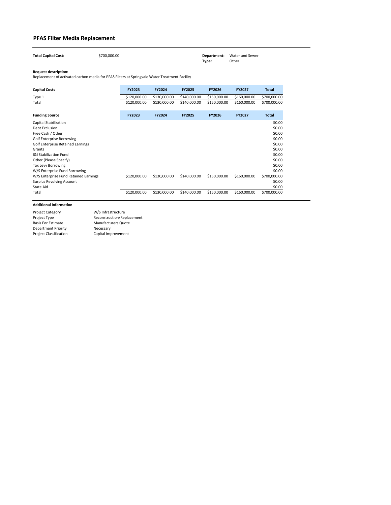| <b>Total Capital Cost:</b> | \$700,000.00 |       | <b>Department:</b> Water and Sewer |
|----------------------------|--------------|-------|------------------------------------|
|                            |              | Type: | Other                              |

| <b>Capital Costs</b>                     | <b>FY2023</b> | <b>FY2024</b> | <b>FY2025</b> | <b>FY2026</b> | <b>FY2027</b> | <b>Total</b> |
|------------------------------------------|---------------|---------------|---------------|---------------|---------------|--------------|
| Type 1                                   | \$120,000.00  | \$130,000.00  | \$140,000.00  | \$150,000.00  | \$160,000.00  | \$700,000.00 |
| Total                                    | \$120,000.00  | \$130,000.00  | \$140,000.00  | \$150,000.00  | \$160,000.00  | \$700,000.00 |
| <b>Funding Source</b>                    | <b>FY2023</b> | <b>FY2024</b> | <b>FY2025</b> | <b>FY2026</b> | <b>FY2027</b> | <b>Total</b> |
| Capital Stabilization                    |               |               |               |               |               | \$0.00       |
| Debt Exclusion                           |               |               |               |               |               | \$0.00       |
| Free Cash / Other                        |               |               |               |               |               | \$0.00       |
| <b>Golf Enterprise Borrowing</b>         |               |               |               |               |               | \$0.00       |
| <b>Golf Enterprise Retained Earnings</b> |               |               |               |               |               | \$0.00       |
| Grants                                   |               |               |               |               |               | \$0.00       |
| <b>I&amp;I Stabilization Fund</b>        |               |               |               |               |               | \$0.00       |
| Other (Please Specify)                   |               |               |               |               |               | \$0.00       |
| <b>Tax Levy Borrowing</b>                |               |               |               |               |               | \$0.00       |
| W/S Enterprise Fund Borrowing            |               |               |               |               |               | \$0.00       |
| W/S Enterprise Fund Retained Earnings    | \$120,000.00  | \$130,000.00  | \$140,000.00  | \$150,000.00  | \$160,000.00  | \$700,000.00 |
| <b>Surplus Revolving Account</b>         |               |               |               |               |               | \$0.00       |
| State Aid                                |               |               |               |               |               | \$0.00       |
| Total                                    | \$120,000.00  | \$130,000.00  | \$140,000.00  | \$150,000.00  | \$160,000.00  | \$700,000.00 |

# **PFAS Filter Media Replacement**

Project Category Project Type Basis For Estimate Department Priority Project Classification Manufacturers Quote Necessary Capital Improvement W/S Infrastructure Reconstruction/Replacement

Replacement of activated carbon media for PFAS Filters at Springvale Water Treatment Facility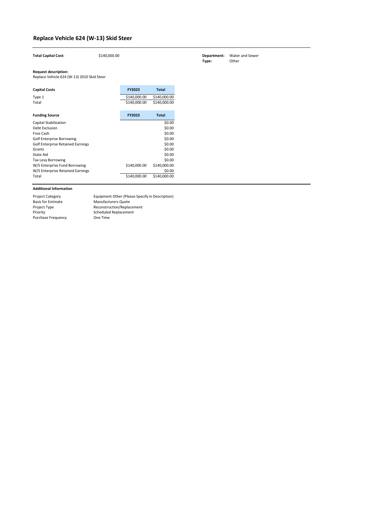| <b>Total Capital Cost:</b>                                                | \$140,000.00 |              |              |
|---------------------------------------------------------------------------|--------------|--------------|--------------|
| <b>Request description:</b><br>Replace Vehicle 624 (W-13) 2010 Skid Steer |              |              |              |
| <b>Capital Costs</b>                                                      |              | FY2023       | <b>Total</b> |
| Type 1                                                                    |              | \$140,000.00 | \$140,000.00 |
| Total                                                                     |              | \$140,000.00 | \$140,000.00 |
| <b>Funding Source</b>                                                     |              | FY2023       | <b>Total</b> |
| <b>Capital Stabilization</b>                                              |              |              | \$0.00       |
| <b>Debt Exclusion</b>                                                     |              |              | \$0.00       |
| Free Cash                                                                 |              |              | \$0.00       |
| <b>Golf Enterprise Borrowing</b>                                          |              |              | \$0.00       |
| <b>Golf Enterprise Retained Earnings</b>                                  |              |              | \$0.00       |
| Grants                                                                    |              |              | \$0.00       |
| <b>State Aid</b>                                                          |              |              | \$0.00       |
| Tax Levy Borrowing                                                        |              |              | \$0.00       |
| W/S Enterprise Fund Borrowing                                             |              | \$140,000.00 | \$140,000.00 |
| W/S Enterprise Retained Earnings                                          |              |              | \$0.00       |
| Total                                                                     |              | \$140,000.00 | \$140,000.00 |

| <b>Project Category</b>   | Equipment Other (Please Specify in Description) |
|---------------------------|-------------------------------------------------|
| <b>Basis for Estimate</b> | <b>Manufacturers Quote</b>                      |
| Project Type              | Reconstruction/Replacement                      |
| Priority                  | <b>Scheduled Replacement</b>                    |
| <b>Purchase Frequency</b> | One Time                                        |

# **Replace Vehicle 624 (W-13) Skid Steer**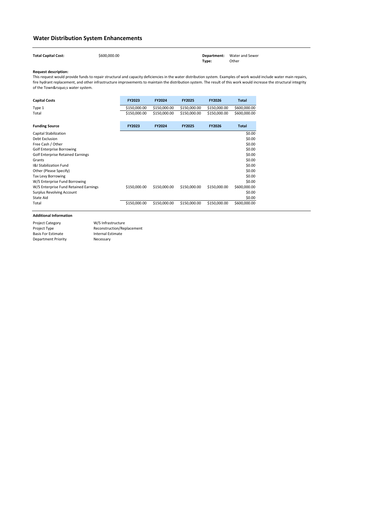| <b>Total Capital Cost:</b> | \$600,000.00 |       | <b>Department:</b> Water and Sewer |
|----------------------------|--------------|-------|------------------------------------|
|                            |              | Type: | Other                              |

| <b>Capital Costs</b>                     | <b>FY2023</b> | <b>FY2024</b> | <b>FY2025</b> | <b>FY2026</b> | <b>Total</b> |
|------------------------------------------|---------------|---------------|---------------|---------------|--------------|
| Type 1                                   | \$150,000.00  | \$150,000.00  | \$150,000.00  | \$150,000.00  | \$600,000.00 |
| Total                                    | \$150,000.00  | \$150,000.00  | \$150,000.00  | \$150,000.00  | \$600,000.00 |
| <b>Funding Source</b>                    | <b>FY2023</b> | <b>FY2024</b> | <b>FY2025</b> | <b>FY2026</b> | <b>Total</b> |
| <b>Capital Stabilization</b>             |               |               |               |               | \$0.00       |
| <b>Debt Exclusion</b>                    |               |               |               |               | \$0.00       |
| Free Cash / Other                        |               |               |               |               | \$0.00       |
| <b>Golf Enterprise Borrowing</b>         |               |               |               |               | \$0.00       |
| <b>Golf Enterprise Retained Earnings</b> |               |               |               |               | \$0.00       |
| Grants                                   |               |               |               |               | \$0.00       |
| <b>I&amp;I Stabilization Fund</b>        |               |               |               |               | \$0.00       |
| Other (Please Specify)                   |               |               |               |               | \$0.00       |
| <b>Tax Levy Borrowing</b>                |               |               |               |               | \$0.00       |
| W/S Enterprise Fund Borrowing            |               |               |               |               | \$0.00       |
| W/S Enterprise Fund Retained Earnings    | \$150,000.00  | \$150,000.00  | \$150,000.00  | \$150,000.00  | \$600,000.00 |
| <b>Surplus Revolving Account</b>         |               |               |               |               | \$0.00       |
| State Aid                                |               |               |               |               | \$0.00       |
| Total                                    | \$150,000.00  | \$150,000.00  | \$150,000.00  | \$150,000.00  | \$600,000.00 |

This request would provide funds to repair structural and capacity deficiencies in the water distribution system. Examples of work would include water main repairs, fire hydrant replacement, and other infrastructure improvements to maintain the distribution system. The result of this work would increase the structural integrity of the Town's water system.

# **Water Distribution System Enhancements**

Project Category Project Type Basis For Estimate Department Priority Internal Estimate Necessary W/S Infrastructure Reconstruction/Replacement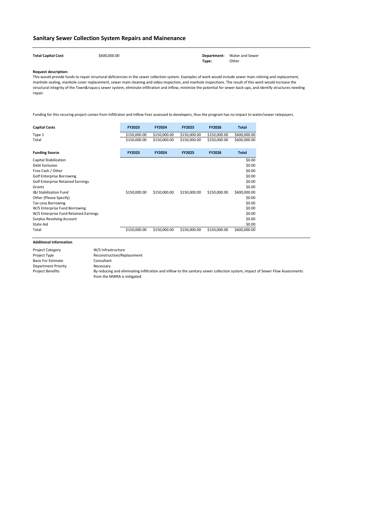Total Capital Cost:  $$600,000.00$  **Department:** Water and Sewer **Type:** Other

#### **Request description:**

| <b>Capital Costs</b>                     | <b>FY2023</b> | <b>FY2024</b> | <b>FY2025</b> | <b>FY2026</b> | <b>Total</b> |
|------------------------------------------|---------------|---------------|---------------|---------------|--------------|
| Type 1                                   | \$150,000.00  | \$150,000.00  | \$150,000.00  | \$150,000.00  | \$600,000.00 |
| Total                                    | \$150,000.00  | \$150,000.00  | \$150,000.00  | \$150,000.00  | \$600,000.00 |
| <b>Funding Source</b>                    | <b>FY2023</b> | <b>FY2024</b> | <b>FY2025</b> | <b>FY2026</b> | <b>Total</b> |
| Capital Stabilization                    |               |               |               |               | \$0.00       |
| <b>Debt Exclusion</b>                    |               |               |               |               | \$0.00       |
| Free Cash / Other                        |               |               |               |               | \$0.00       |
| <b>Golf Enterprise Borrowing</b>         |               |               |               |               | \$0.00       |
| <b>Golf Enterprise Retained Earnings</b> |               |               |               |               | \$0.00       |
| Grants                                   |               |               |               |               | \$0.00       |
| <b>I&amp;I Stabilization Fund</b>        | \$150,000.00  | \$150,000.00  | \$150,000.00  | \$150,000.00  | \$600,000.00 |
| Other (Please Specify)                   |               |               |               |               | \$0.00       |
| Tax Levy Borrowing                       |               |               |               |               | \$0.00       |
| W/S Enterprise Fund Borrowing            |               |               |               |               | \$0.00       |
| W/S Enterprise Fund Retained Earnings    |               |               |               |               | \$0.00       |
| <b>Surplus Revolving Account</b>         |               |               |               |               | \$0.00       |
| State Aid                                |               |               |               |               | \$0.00       |
| Total                                    | \$150,000.00  | \$150,000.00  | \$150,000.00  | \$150,000.00  | \$600,000.00 |

# **Sanitary Sewer Collection System Repairs and Mainenance**

| <b>Project Category</b>   | W/S Infrastructure                                                                                                                                           |
|---------------------------|--------------------------------------------------------------------------------------------------------------------------------------------------------------|
| Project Type              | Reconstruction/Replacement                                                                                                                                   |
| <b>Basis For Estimate</b> | Consultant                                                                                                                                                   |
| Department Priority       | Necessary                                                                                                                                                    |
| <b>Project Benefits</b>   | By reducing and eliminating infiltration and inflow to the sanitary sewer collection system, impact of Sewer Flow Assessments<br>from the MWRA is mitigated. |

This would provide funds to repair structural deficiencies in the sewer collection system. Examples of work would include sewer main relining and replacement, manhole sealing, manhole cover replacement, sewer main cleaning and video inspection, and manhole inspections. The result of this work would increase the structural integrity of the Town's sewer system, eliminate infiltration and inflow, minimize the potential for sewer back-ups, and identify structures needing repair.

Funding for this recuring project comes from Infiltraton and Inflow Fees assessed to developers, thus the program has no impact to water/sewer ratepayers.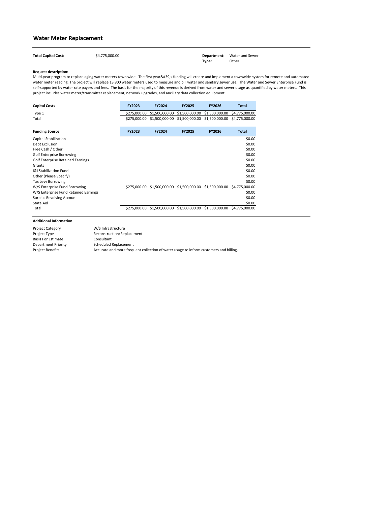| <b>Total Capital Cost:</b> | \$4,775,000.00 |       | <b>Department:</b> Water and Sewer |
|----------------------------|----------------|-------|------------------------------------|
|                            |                | Type: | Other                              |

| <b>Capital Costs</b> | <b>FY2023</b> | <b>FY2024</b>                                                            | <b>FY2025</b> | <b>FY2026</b> | <b>Total</b> |
|----------------------|---------------|--------------------------------------------------------------------------|---------------|---------------|--------------|
| Type 1               |               | \$275,000.00 \$1,500,000.00 \$1,500,000.00 \$1,500,000.00 \$4,775,000.00 |               |               |              |
| Total                |               | \$275,000.00 \$1,500,000.00 \$1,500,000.00 \$1,500,000.00 \$4,775,000.00 |               |               |              |

| <b>Funding Source</b>                    | <b>FY2023</b> | <b>FY2024</b> | <b>FY2025</b> | <b>FY2026</b>                                               | <b>Total</b> |
|------------------------------------------|---------------|---------------|---------------|-------------------------------------------------------------|--------------|
| Capital Stabilization                    |               |               |               |                                                             | \$0.00       |
| Debt Exclusion                           |               |               |               |                                                             | \$0.00       |
| Free Cash / Other                        |               |               |               |                                                             | \$0.00       |
| <b>Golf Enterprise Borrowing</b>         |               |               |               |                                                             | \$0.00       |
| <b>Golf Enterprise Retained Earnings</b> |               |               |               |                                                             | \$0.00       |
| Grants                                   |               |               |               |                                                             | \$0.00       |
| <b>I&amp;I Stabilization Fund</b>        |               |               |               |                                                             | \$0.00       |
| Other (Please Specify)                   |               |               |               |                                                             | \$0.00       |
| <b>Tax Levy Borrowing</b>                |               |               |               |                                                             | \$0.00       |
| W/S Enterprise Fund Borrowing            | \$275,000.00  |               |               | \$1,500,000.00 \$1,500,000.00 \$1,500,000.00 \$4,775,000.00 |              |
| W/S Enterprise Fund Retained Earnings    |               |               |               |                                                             | \$0.00       |
| <b>Surplus Revolving Account</b>         |               |               |               |                                                             | \$0.00       |
| State Aid                                |               |               |               |                                                             | \$0.00       |
| Total                                    | \$275,000.00  |               |               | \$1,500,000.00 \$1,500,000.00 \$1,500,000.00 \$4,775,000.00 |              |

Multi-year program to replace aging water meters town wide. The first year's funding will create and implement a townwide system for remote and automated water meter reading. The project will replace 13,800 water meters used to measure and bill water and sanitary sewer use. The Water and Sewer Enterprise Fund is self-supported by water rate payers and fees. The basis for the majority of this revenue is derived from water and sewer usage as quantified by water meters. This project includes water meter/transmitter replacement, network upgrades, and ancillary data collection equipment.

# **Water Meter Replacement**

| <b>Project Category</b>   | W/S Infrastructure                                                                    |
|---------------------------|---------------------------------------------------------------------------------------|
| Project Type              | Reconstruction/Replacement                                                            |
| <b>Basis For Estimate</b> | Consultant                                                                            |
| Department Priority       | Scheduled Replacement                                                                 |
| <b>Project Benefits</b>   | Accurate and more frequent collection of water usage to inform customers and billing. |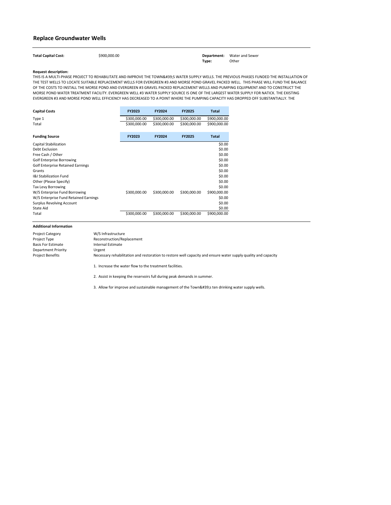| <b>Total Capital Cost:</b> | \$900,000.00 |       | <b>Department:</b> Water and Sewer |
|----------------------------|--------------|-------|------------------------------------|
|                            |              | Type: | Other                              |

| <b>Capital Costs</b>                     | <b>FY2023</b> | <b>FY2024</b> | <b>FY2025</b> | <b>Total</b> |
|------------------------------------------|---------------|---------------|---------------|--------------|
| Type 1                                   | \$300,000.00  | \$300,000.00  | \$300,000.00  | \$900,000.00 |
| Total                                    | \$300,000.00  | \$300,000.00  | \$300,000.00  | \$900,000.00 |
| <b>Funding Source</b>                    | <b>FY2023</b> | <b>FY2024</b> | <b>FY2025</b> | <b>Total</b> |
| <b>Capital Stabilization</b>             |               |               |               | \$0.00       |
| <b>Debt Exclusion</b>                    |               |               |               | \$0.00       |
| Free Cash / Other                        |               |               |               | \$0.00       |
| <b>Golf Enterprise Borrowing</b>         |               |               |               | \$0.00       |
| <b>Golf Enterprise Retained Earnings</b> |               |               |               | \$0.00       |
| Grants                                   |               |               |               | \$0.00       |
| <b>I&amp;I Stabilization Fund</b>        |               |               |               | \$0.00       |
| Other (Please Specify)                   |               |               |               | \$0.00       |
| <b>Tax Levy Borrowing</b>                |               |               |               | \$0.00       |
| W/S Enterprise Fund Borrowing            | \$300,000.00  | \$300,000.00  | \$300,000.00  | \$900,000.00 |
| W/S Enterprise Fund Retained Earnings    |               |               |               | \$0.00       |
| <b>Surplus Revolving Account</b>         |               |               |               | \$0.00       |
| State Aid                                |               |               |               | \$0.00       |
| Total                                    | \$300,000.00  | \$300,000.00  | \$300,000.00  | \$900,000.00 |

THIS IS A MULTI-PHASE PROJECT TO REHABILITATE AND IMPROVE THE TOWN'S WATER SUPPLY WELLS. THE PREVIOUS PHASES FUNDED THE INSTALLATION OF THE TEST WELLS TO LOCATE SUITABLE REPLACEMENT WELLS FOR EVERGREEN #3 AND MORSE POND GRAVEL PACKED WELL. THIS PHASE WILL FUND THE BALANCE OF THE COSTS TO INSTALL THE MORSE POND AND EVERGREEN #3 GRAVEL PACKED REPLACEMENT WELLS AND PUMPING EQUIPMENT AND TO CONSTRUCT THE MORSE POND WATER TREATMENT FACILITY. EVERGREEN WELL #3 WATER SUPPLY SOURCE IS ONE OF THE LARGEST WATER SUPPLY FOR NATICK. THE EXISTING EVERGREEN #3 AND MORSE POND WELL EFFICIENCY HAS DECREASED TO A POINT WHERE THE PUMPING CAPACITY HAS DROPPED OFF SUBSTANTIALLY. THE

1. Increase the water flow to the treatment facilities.

2. Assist in keeping the reservoirs full during peak demands in summer.

3. Allow for improve and sustainable management of the Town's ten drinking water supply wells.

# **Replace Groundwater Wells**

| <b>Project Category</b>    | W/S Infrastructure                                                                                             |
|----------------------------|----------------------------------------------------------------------------------------------------------------|
| Project Type               | Reconstruction/Replacement                                                                                     |
| <b>Basis For Estimate</b>  | Internal Estimate                                                                                              |
| <b>Department Priority</b> | Urgent                                                                                                         |
| Project Benefits           | Necessary rehabilitation and restoration to restore well capacity and ensure water supply quality and capacity |
|                            |                                                                                                                |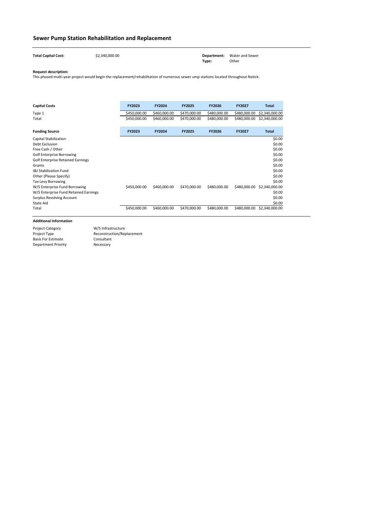| <b>Total Capital Cost:</b> | \$2,340,000.00 |       | <b>Department:</b> Water and Sewer |
|----------------------------|----------------|-------|------------------------------------|
|                            |                | Type: | Other                              |

| <b>Capital Costs</b>                     | FY2023        | <b>FY2024</b> | <b>FY2025</b> | <b>FY2026</b> | <b>FY2027</b> | <b>Total</b>   |
|------------------------------------------|---------------|---------------|---------------|---------------|---------------|----------------|
| Type 1                                   | \$450,000.00  | \$460,000.00  | \$470,000.00  | \$480,000.00  | \$480,000.00  | \$2,340,000.00 |
| Total                                    | \$450,000.00  | \$460,000.00  | \$470,000.00  | \$480,000.00  | \$480,000.00  | \$2,340,000.00 |
| <b>Funding Source</b>                    | <b>FY2023</b> | <b>FY2024</b> | <b>FY2025</b> | <b>FY2026</b> | <b>FY2027</b> | <b>Total</b>   |
| Capital Stabilization                    |               |               |               |               |               | \$0.00         |
| Debt Exclusion                           |               |               |               |               |               | \$0.00         |
| Free Cash / Other                        |               |               |               |               |               | \$0.00         |
| <b>Golf Enterprise Borrowing</b>         |               |               |               |               |               | \$0.00         |
| <b>Golf Enterprise Retained Earnings</b> |               |               |               |               |               | \$0.00         |
| Grants                                   |               |               |               |               |               | \$0.00         |
| <b>I&amp;I Stabilization Fund</b>        |               |               |               |               |               | \$0.00         |
| Other (Please Specify)                   |               |               |               |               |               | \$0.00         |
| Tax Levy Borrowing                       |               |               |               |               |               | \$0.00         |
| W/S Enterprise Fund Borrowing            | \$450,000.00  | \$460,000.00  | \$470,000.00  | \$480,000.00  | \$480,000.00  | \$2,340,000.00 |
| W/S Enterprise Fund Retained Earnings    |               |               |               |               |               | \$0.00         |
| <b>Surplus Revolving Account</b>         |               |               |               |               |               | \$0.00         |
| State Aid                                |               |               |               |               |               | \$0.00         |
| Total                                    | \$450,000.00  | \$460,000.00  | \$470,000.00  | \$480,000.00  | \$480,000.00  | \$2,340,000.00 |

# **Sewer Pump Station Rehabilitation and Replacement**

Project Category Project Type Basis For Estimate Department Priority Consultant Necessary W/S Infrastructure Reconstruction/Replacement

This phased multi-year project would begin the replacement/rehabilitation of numerous sewer ump stations located throughout Natick.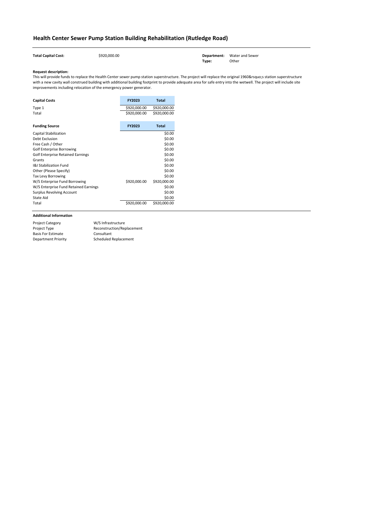**Total Capital Cost:**  $\leftarrow$  \$920,000.00 \$920,000.00 **Department:** Water and Sewer **Type:** Other

## **Request description:**

| <b>Capital Costs</b>                     | <b>FY2023</b> | <b>Total</b> |
|------------------------------------------|---------------|--------------|
| Type 1                                   | \$920,000.00  | \$920,000.00 |
| Total                                    | \$920,000.00  | \$920,000.00 |
| <b>Funding Source</b>                    | <b>FY2023</b> | <b>Total</b> |
| Capital Stabilization                    |               | \$0.00       |
| <b>Debt Exclusion</b>                    |               | \$0.00       |
| Free Cash / Other                        |               | \$0.00       |
| Golf Enterprise Borrowing                |               | \$0.00       |
| <b>Golf Enterprise Retained Earnings</b> |               | \$0.00       |
| Grants                                   |               | \$0.00       |
| <b>I&amp;I Stabilization Fund</b>        |               | \$0.00       |
| Other (Please Specify)                   |               | \$0.00       |
| <b>Tax Levy Borrowing</b>                |               | \$0.00       |
| W/S Enterprise Fund Borrowing            | \$920,000.00  | \$920,000.00 |
| W/S Enterprise Fund Retained Earnings    |               | \$0.00       |
| <b>Surplus Revolving Account</b>         |               | \$0.00       |
| <b>State Aid</b>                         |               | \$0.00       |
| Total                                    | \$920,000.00  | \$920,000.00 |

This will provide funds to replace the Health Center sewer pump station superstructure. The project will replace the original 1960's station superstructure with a new cavity wall construed building with additional building footprint to provide adequate area for safe entry into the wetwell. The project will include site improvements including relocation of the emergency power generator.

# **Health Center Sewer Pump Station Building Rehabilitation (Rutledge Road)**

| <b>Project Category</b>   | W/S Infrastructure         |
|---------------------------|----------------------------|
| Project Type              | Reconstruction/Replacement |
| <b>Basis For Estimate</b> | Consultant                 |
| Department Priority       | Scheduled Replacement      |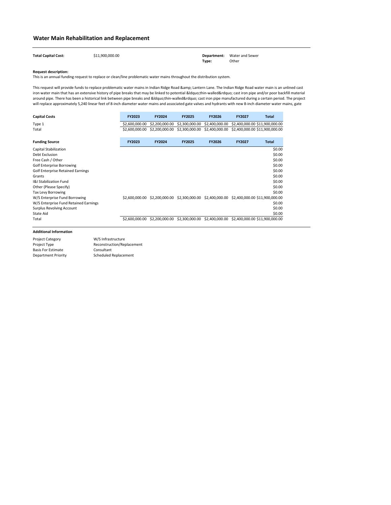**Total Capital Cost:** \$11,900,000.00 **Department:** Water and Sewer **Type:** Other

### **Request description:**

| <b>Capital Costs</b>                     | <b>FY2023</b>  | <b>FY2024</b>  | <b>FY2025</b>  | <b>FY2026</b>  | <b>FY2027</b> | Total                                                                       |
|------------------------------------------|----------------|----------------|----------------|----------------|---------------|-----------------------------------------------------------------------------|
| Type 1                                   | \$2,600,000.00 | \$2,200,000.00 | \$2,300,000.00 | \$2,400,000.00 |               | \$2,400,000.00 \$11,900,000.00                                              |
| Total                                    | \$2,600,000.00 | \$2,200,000.00 | \$2,300,000.00 | \$2,400,000.00 |               | \$2,400,000.00 \$11,900,000.00                                              |
| <b>Funding Source</b>                    | <b>FY2023</b>  | <b>FY2024</b>  | <b>FY2025</b>  | <b>FY2026</b>  | <b>FY2027</b> | <b>Total</b>                                                                |
| Capital Stabilization                    |                |                |                |                |               | \$0.00                                                                      |
| Debt Exclusion                           |                |                |                |                |               | \$0.00                                                                      |
| Free Cash / Other                        |                |                |                |                |               | \$0.00                                                                      |
| <b>Golf Enterprise Borrowing</b>         |                |                |                |                |               | \$0.00                                                                      |
| <b>Golf Enterprise Retained Earnings</b> |                |                |                |                |               | \$0.00                                                                      |
| Grants                                   |                |                |                |                |               | \$0.00                                                                      |
| <b>I&amp;I Stabilization Fund</b>        |                |                |                |                |               | \$0.00                                                                      |
| Other (Please Specify)                   |                |                |                |                |               | \$0.00                                                                      |
| <b>Tax Levy Borrowing</b>                |                |                |                |                |               | \$0.00                                                                      |
| W/S Enterprise Fund Borrowing            | \$2,600,000.00 |                |                |                |               | \$2,200,000.00 \$2,300,000.00 \$2,400,000.00 \$2,400,000.00 \$11,900,000.00 |
| W/S Enterprise Fund Retained Earnings    |                |                |                |                |               | \$0.00                                                                      |
| <b>Surplus Revolving Account</b>         |                |                |                |                |               | \$0.00                                                                      |
| State Aid                                |                |                |                |                |               | \$0.00                                                                      |
| Total                                    | \$2,600,000.00 | \$2,200,000.00 | \$2,300,000.00 | \$2,400,000.00 |               | \$2,400,000.00 \$11,900,000.00                                              |

This request will provide funds to replace problematic water mains in Indian Ridge Road & amp; Lantern Lane. The Indian Ridge Road water main is an unlined cast iron water main that has an extensive history of pipe breaks that may be linked to potential "thin-walled" cast iron pipe and/or poor backfill material around pipe. There has been a historical link between pipe breaks and "thin-walled" cast iron pipe manufactured during a certain period. The project will replace approximately 5,240 linear feet of 8-inch diameter water mains and associated gate valves and hydrants with new 8-inch diameter water mains, gate

# **Water Main Rehabilitation and Replacement**

This is an annual funding request to replace or clean/line problematic water mains throughout the distribution system.

| <b>Project Category</b>    | W/S Infrastructure           |
|----------------------------|------------------------------|
| Project Type               | Reconstruction/Replacement   |
| <b>Basis For Estimate</b>  | Consultant                   |
| <b>Department Priority</b> | <b>Scheduled Replacement</b> |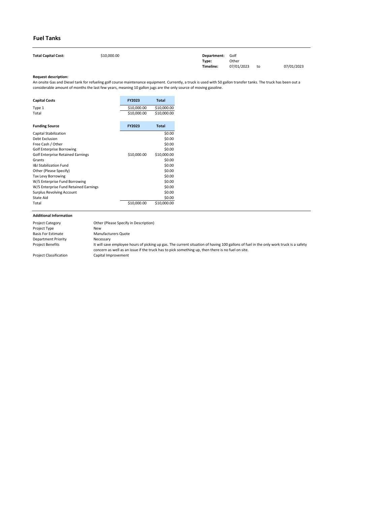| <b>Total Capital Cost:</b> | \$10,000.00 | Department: Golf |            |    |            |
|----------------------------|-------------|------------------|------------|----|------------|
|                            |             | Type:            | Other      |    |            |
|                            |             | Timeline:        | 07/01/2023 | to | 07/01/2023 |

| <b>Capital Costs</b>                     | <b>FY2023</b> | <b>Total</b> |
|------------------------------------------|---------------|--------------|
| Type 1                                   | \$10,000.00   | \$10,000.00  |
| Total                                    | \$10,000.00   | \$10,000.00  |
| <b>Funding Source</b>                    | <b>FY2023</b> | <b>Total</b> |
| <b>Capital Stabilization</b>             |               | \$0.00       |
| Debt Exclusion                           |               | \$0.00       |
| Free Cash / Other                        |               | \$0.00       |
| <b>Golf Enterprise Borrowing</b>         |               | \$0.00       |
| <b>Golf Enterprise Retained Earnings</b> | \$10,000.00   | \$10,000.00  |
| Grants                                   |               | \$0.00       |
| <b>I&amp;I Stabilization Fund</b>        |               | \$0.00       |
| Other (Please Specify)                   |               | \$0.00       |
| <b>Tax Levy Borrowing</b>                |               | \$0.00       |
| W/S Enterprise Fund Borrowing            |               | \$0.00       |
| W/S Enterprise Fund Retained Earnings    |               | \$0.00       |
| <b>Surplus Revolving Account</b>         |               | \$0.00       |
| <b>State Aid</b>                         |               | \$0.00       |
| Total                                    | \$10,000.00   | \$10,000.00  |

| <b>Project Category</b>       | Other (Please Specify in Description)                                                                                                                                                                                                      |
|-------------------------------|--------------------------------------------------------------------------------------------------------------------------------------------------------------------------------------------------------------------------------------------|
| Project Type                  | New                                                                                                                                                                                                                                        |
| <b>Basis For Estimate</b>     | Manufacturers Quote                                                                                                                                                                                                                        |
| <b>Department Priority</b>    | Necessary                                                                                                                                                                                                                                  |
| <b>Project Benefits</b>       | It will save employee hours of picking up gas. The current situation of having 100 gallons of fuel in the only work truck is a safety<br>concern as well as an issue if the truck has to pick something up, then there is no fuel on site. |
| <b>Project Classification</b> | Capital Improvement                                                                                                                                                                                                                        |

# **Fuel Tanks**

An onsite Gas and Diesel tank for refueling golf course maintenance equipment. Currently, a truck is used with 50 gallon transfer tanks. The truck has been out a considerable amount of months the last few years, meaning 10 gallon jugs are the only source of moving gasoline.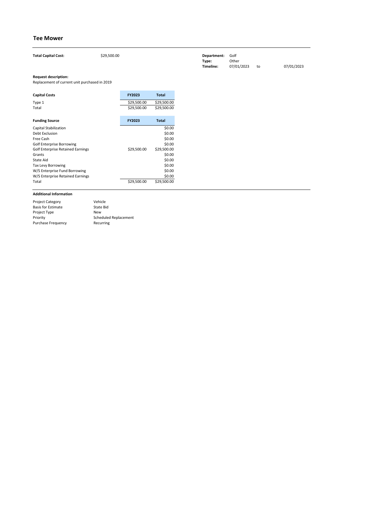| <b>Capital Costs</b>                     | <b>FY2023</b> | <b>Total</b> |
|------------------------------------------|---------------|--------------|
| Type 1                                   | \$29,500.00   | \$29,500.00  |
| Total                                    | \$29,500.00   | \$29,500.00  |
|                                          |               |              |
| <b>Funding Source</b>                    | <b>FY2023</b> | <b>Total</b> |
| <b>Capital Stabilization</b>             |               | \$0.00       |
| Debt Exclusion                           |               | \$0.00       |
| Free Cash                                |               | \$0.00       |
| <b>Golf Enterprise Borrowing</b>         |               | \$0.00       |
| <b>Golf Enterprise Retained Earnings</b> | \$29,500.00   | \$29,500.00  |
| Grants                                   |               | \$0.00       |
| State Aid                                |               | \$0.00       |
| <b>Tax Levy Borrowing</b>                |               | \$0.00       |
| W/S Enterprise Fund Borrowing            |               | \$0.00       |
| W/S Enterprise Retained Earnings         |               | \$0.00       |
| Total                                    | \$29,500.00   | \$29,500.00  |

| <b>Total Capital Cost:</b>                    | \$29,500.00 | Department:<br>Type:<br>Timeline: | Golf<br>Other<br>07/01/2023 | to | 07/01/2023 |
|-----------------------------------------------|-------------|-----------------------------------|-----------------------------|----|------------|
| <b>Request description:</b>                   |             |                                   |                             |    |            |
| Replacement of current unit purchased in 2019 |             |                                   |                             |    |            |

| <b>Project Category</b>   | Vehicle                      |
|---------------------------|------------------------------|
| <b>Basis for Estimate</b> | State Bid                    |
| Project Type              | New                          |
| Priority                  | <b>Scheduled Replacement</b> |
| <b>Purchase Frequency</b> | Recurring                    |

# **Tee Mower**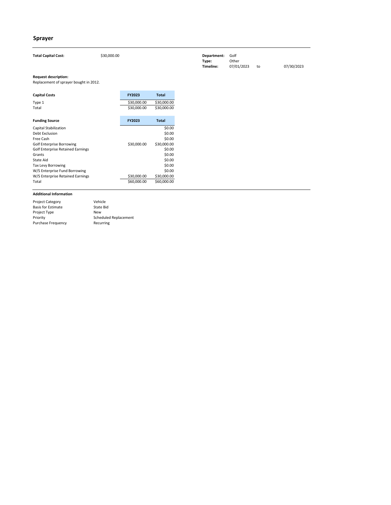| <b>Total Capital Cost:</b>                                            | \$30,000.00 |               |              |
|-----------------------------------------------------------------------|-------------|---------------|--------------|
| <b>Request description:</b><br>Replacement of sprayer bought in 2012. |             |               |              |
| <b>Capital Costs</b>                                                  |             | <b>FY2023</b> | <b>Total</b> |
| Type 1                                                                |             | \$30,000.00   | \$30,000.00  |
| Total                                                                 |             | \$30,000.00   | \$30,000.00  |
|                                                                       |             |               |              |
| <b>Funding Source</b>                                                 |             | <b>FY2023</b> | <b>Total</b> |
| <b>Capital Stabilization</b>                                          |             |               | \$0.00       |
| <b>Debt Exclusion</b>                                                 |             |               | \$0.00       |
| Free Cash                                                             |             |               | \$0.00       |

| Free Cash                                |             | \$0.00      |
|------------------------------------------|-------------|-------------|
| <b>Golf Enterprise Borrowing</b>         | \$30,000.00 | \$30,000.00 |
| <b>Golf Enterprise Retained Earnings</b> |             | \$0.00      |
| Grants                                   |             | \$0.00      |
| State Aid                                |             | \$0.00      |
| Tax Levy Borrowing                       |             | \$0.00      |
| W/S Enterprise Fund Borrowing            |             | \$0.00      |
| W/S Enterprise Retained Earnings         | \$30,000.00 | \$30,000.00 |
| Total                                    | \$60,000.00 | \$60,000.00 |
|                                          |             |             |

| <b>Project Category</b>   | Vehicle               |
|---------------------------|-----------------------|
| <b>Basis for Estimate</b> | State Bid             |
| Project Type              | New                   |
| Priority                  | Scheduled Replacement |
| <b>Purchase Frequency</b> | Recurring             |

# **Sprayer**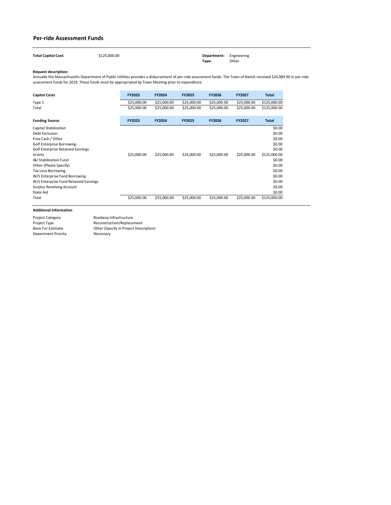| <b>Total Capital Cost:</b> | \$125,000.00 | <b>Department:</b> Engineering |       |
|----------------------------|--------------|--------------------------------|-------|
|                            |              | Type:                          | Other |

| <b>Capital Costs</b>                     | FY2023        | <b>FY2024</b> | <b>FY2025</b> | <b>FY2026</b> | <b>FY2027</b> | <b>Total</b> |
|------------------------------------------|---------------|---------------|---------------|---------------|---------------|--------------|
| Type 1                                   | \$25,000.00   | \$25,000.00   | \$25,000.00   | \$25,000.00   | \$25,000.00   | \$125,000.00 |
| Total                                    | \$25,000.00   | \$25,000.00   | \$25,000.00   | \$25,000.00   | \$25,000.00   | \$125,000.00 |
| <b>Funding Source</b>                    | <b>FY2023</b> | <b>FY2024</b> | <b>FY2025</b> | <b>FY2026</b> | <b>FY2027</b> | <b>Total</b> |
| Capital Stabilization                    |               |               |               |               |               | \$0.00       |
| Debt Exclusion                           |               |               |               |               |               | \$0.00       |
| Free Cash / Other                        |               |               |               |               |               | \$0.00       |
| <b>Golf Enterprise Borrowing</b>         |               |               |               |               |               | \$0.00       |
| <b>Golf Enterprise Retained Earnings</b> |               |               |               |               |               | \$0.00       |
| Grants                                   | \$25,000.00   | \$25,000.00   | \$25,000.00   | \$25,000.00   | \$25,000.00   | \$125,000.00 |
| <b>I&amp;I Stabilization Fund</b>        |               |               |               |               |               | \$0.00       |
| Other (Please Specify)                   |               |               |               |               |               | \$0.00       |
| <b>Tax Levy Borrowing</b>                |               |               |               |               |               | \$0.00       |
| W/S Enterprise Fund Borrowing            |               |               |               |               |               | \$0.00       |
| W/S Enterprise Fund Retained Earnings    |               |               |               |               |               | \$0.00       |
| <b>Surplus Revolving Account</b>         |               |               |               |               |               | \$0.00       |
| State Aid                                |               |               |               |               |               | \$0.00       |
| Total                                    | \$25,000.00   | \$25,000.00   | \$25,000.00   | \$25,000.00   | \$25,000.00   | \$125,000.00 |

# **Per-ride Assessment Funds**

Project Category Project Type Basis For Estimate Department Priority Other (Specify in Project Description) Necessary Roadway Infrastructure Reconstruction/Replacement

Annually the Massachusetts Department of Public Utilities provides a disbursement of per-ride assessment funds. The Town of Natick received \$24,984.90 in per-ride assessment funds for 2019. These funds must be appropriated by Town Meeting prior to expenditure.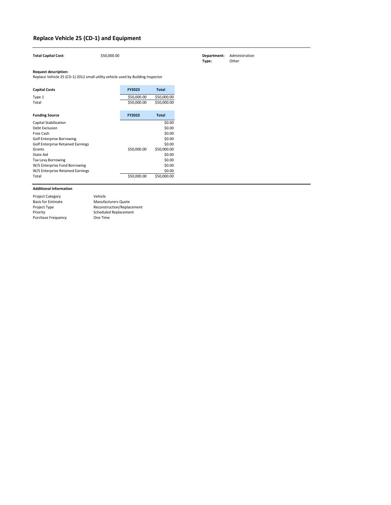| <b>Total Capital Cost:</b>                                                                                     | \$50,000.00 |               |              |
|----------------------------------------------------------------------------------------------------------------|-------------|---------------|--------------|
| <b>Request description:</b><br>Replace Vehicle 25 (CD-1) 2012 small utility vehicle used by Building Inspector |             |               |              |
|                                                                                                                |             |               |              |
| <b>Capital Costs</b>                                                                                           |             | <b>FY2023</b> | <b>Total</b> |
| Type 1                                                                                                         |             | \$50,000.00   | \$50,000.00  |
| Total                                                                                                          |             | \$50,000.00   | \$50,000.00  |
|                                                                                                                |             |               |              |
| <b>Funding Source</b>                                                                                          |             | <b>FY2023</b> | <b>Total</b> |
| Capital Stabilization                                                                                          |             |               | \$0.00       |
| Debt Exclusion                                                                                                 |             |               | \$0.00       |
| Free Cash                                                                                                      |             |               | \$0.00       |
| <b>Golf Enterprise Borrowing</b>                                                                               |             |               | \$0.00       |
| <b>Golf Enterprise Retained Earnings</b>                                                                       |             |               | \$0.00       |
| Grants                                                                                                         |             | \$50,000.00   | \$50,000.00  |
| <b>State Aid</b>                                                                                               |             |               | \$0.00       |
| <b>Tax Levy Borrowing</b>                                                                                      |             |               | \$0.00       |
| W/S Enterprise Fund Borrowing                                                                                  |             |               | \$0.00       |
| W/S Enterprise Retained Earnings                                                                               |             |               | \$0.00       |
| Total                                                                                                          |             | \$50,000.00   | \$50,000.00  |

| <b>Project Category</b>   | Vehicle                      |
|---------------------------|------------------------------|
| <b>Basis for Estimate</b> | <b>Manufacturers Quote</b>   |
| Project Type              | Reconstruction/Replacement   |
| Priority                  | <b>Scheduled Replacement</b> |
| <b>Purchase Frequency</b> | One Time                     |
|                           |                              |

# **Replace Vehicle 25 (CD-1) and Equipment**